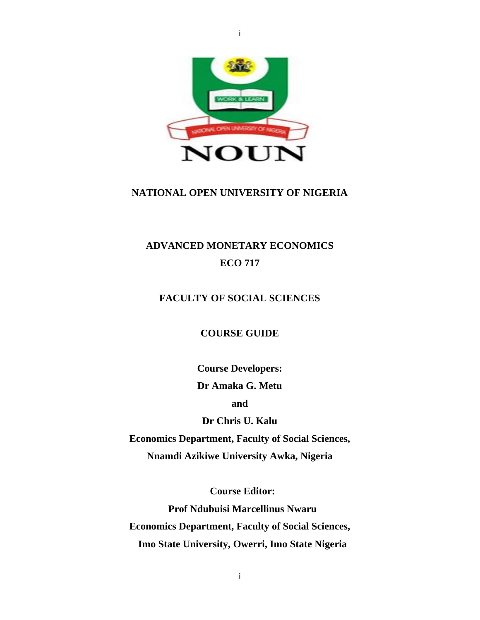

## **NATIONAL OPEN UNIVERSITY OF NIGERIA**

# **ADVANCED MONETARY ECONOMICS ECO 717**

# **FACULTY OF SOCIAL SCIENCES**

**COURSE GUIDE**

**Course Developers: Dr Amaka G. Metu**

**and**

**Dr Chris U. Kalu**

**Economics Department, Faculty of Social Sciences, Nnamdi Azikiwe University Awka, Nigeria**

**Course Editor: Prof Ndubuisi Marcellinus Nwaru Economics Department, Faculty of Social Sciences, Imo State University, Owerri, Imo State Nigeria**

i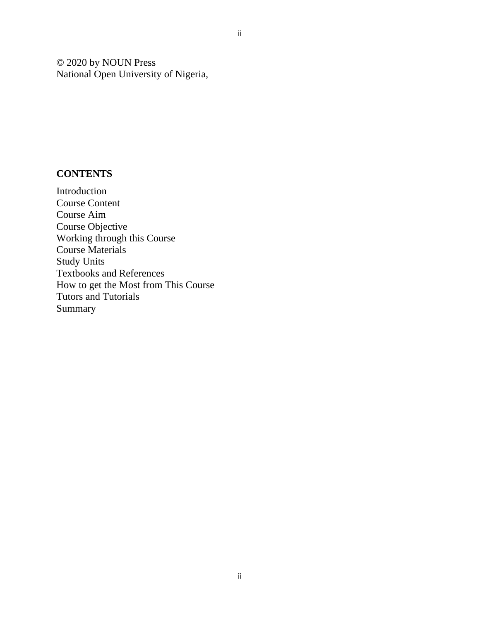© 2020 by NOUN Press National Open University of Nigeria,

# **CONTENTS**

Introduction Course Content Course Aim Course Objective Working through this Course Course Materials Study Units Textbooks and References How to get the Most from This Course Tutors and Tutorials Summary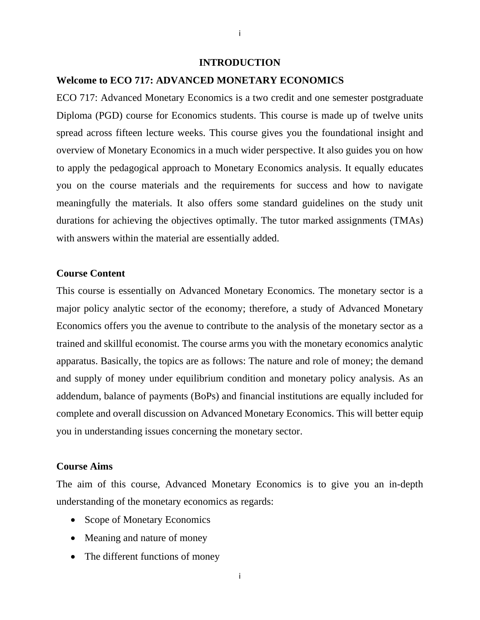#### **INTRODUCTION**

### **Welcome to ECO 717: ADVANCED MONETARY ECONOMICS**

ECO 717: Advanced Monetary Economics is a two credit and one semester postgraduate Diploma (PGD) course for Economics students. This course is made up of twelve units spread across fifteen lecture weeks. This course gives you the foundational insight and overview of Monetary Economics in a much wider perspective. It also guides you on how to apply the pedagogical approach to Monetary Economics analysis. It equally educates you on the course materials and the requirements for success and how to navigate meaningfully the materials. It also offers some standard guidelines on the study unit durations for achieving the objectives optimally. The tutor marked assignments (TMAs) with answers within the material are essentially added.

### **Course Content**

This course is essentially on Advanced Monetary Economics. The monetary sector is a major policy analytic sector of the economy; therefore, a study of Advanced Monetary Economics offers you the avenue to contribute to the analysis of the monetary sector as a trained and skillful economist. The course arms you with the monetary economics analytic apparatus. Basically, the topics are as follows: The nature and role of money; the demand and supply of money under equilibrium condition and monetary policy analysis. As an addendum, balance of payments (BoPs) and financial institutions are equally included for complete and overall discussion on Advanced Monetary Economics. This will better equip you in understanding issues concerning the monetary sector.

#### **Course Aims**

The aim of this course, Advanced Monetary Economics is to give you an in-depth understanding of the monetary economics as regards:

- Scope of Monetary Economics
- Meaning and nature of money
- The different functions of money

i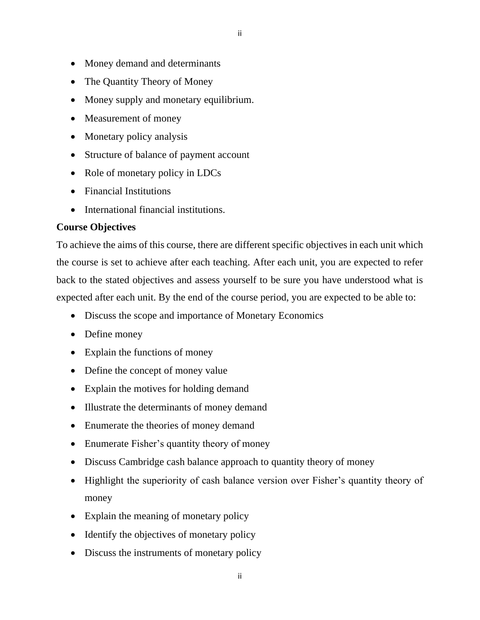- Money demand and determinants
- The Quantity Theory of Money
- Money supply and monetary equilibrium.
- Measurement of money
- Monetary policy analysis
- Structure of balance of payment account
- Role of monetary policy in LDCs
- Financial Institutions
- International financial institutions.

# **Course Objectives**

To achieve the aims of this course, there are different specific objectives in each unit which the course is set to achieve after each teaching. After each unit, you are expected to refer back to the stated objectives and assess yourself to be sure you have understood what is expected after each unit. By the end of the course period, you are expected to be able to:

- Discuss the scope and importance of Monetary Economics
- Define money
- Explain the functions of money
- Define the concept of money value
- Explain the motives for holding demand
- Illustrate the determinants of money demand
- Enumerate the theories of money demand
- Enumerate Fisher's quantity theory of money
- Discuss Cambridge cash balance approach to quantity theory of money
- Highlight the superiority of cash balance version over Fisher's quantity theory of money
- Explain the meaning of monetary policy
- Identify the objectives of monetary policy
- Discuss the instruments of monetary policy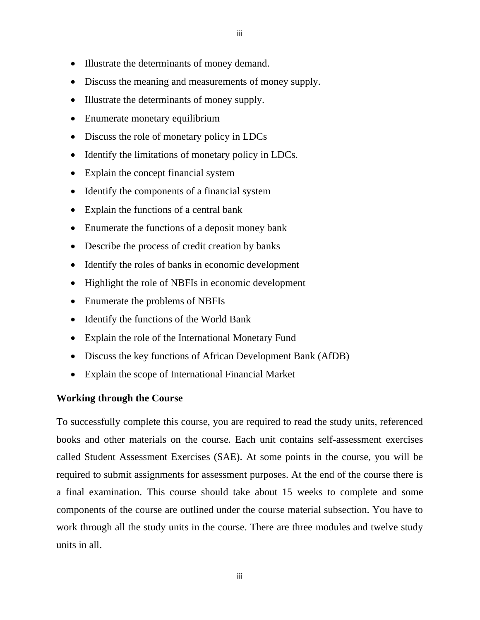- Illustrate the determinants of money demand.
- Discuss the meaning and measurements of money supply.
- Illustrate the determinants of money supply.
- Enumerate monetary equilibrium
- Discuss the role of monetary policy in LDCs
- Identify the limitations of monetary policy in LDCs.
- Explain the concept financial system
- Identify the components of a financial system
- Explain the functions of a central bank
- Enumerate the functions of a deposit money bank
- Describe the process of credit creation by banks
- Identify the roles of banks in economic development
- Highlight the role of NBFIs in economic development
- Enumerate the problems of NBFIs
- Identify the functions of the World Bank
- Explain the role of the International Monetary Fund
- Discuss the key functions of African Development Bank (AfDB)
- Explain the scope of International Financial Market

#### **Working through the Course**

To successfully complete this course, you are required to read the study units, referenced books and other materials on the course. Each unit contains self-assessment exercises called Student Assessment Exercises (SAE). At some points in the course, you will be required to submit assignments for assessment purposes. At the end of the course there is a final examination. This course should take about 15 weeks to complete and some components of the course are outlined under the course material subsection. You have to work through all the study units in the course. There are three modules and twelve study units in all.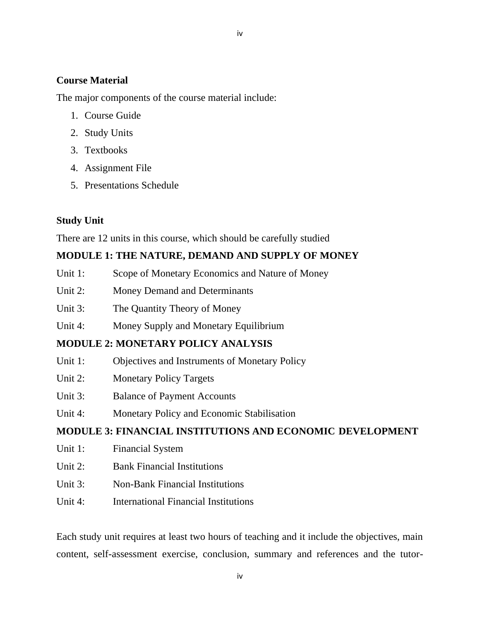# **Course Material**

The major components of the course material include:

- 1. Course Guide
- 2. Study Units
- 3. Textbooks
- 4. Assignment File
- 5. Presentations Schedule

# **Study Unit**

There are 12 units in this course, which should be carefully studied

# **MODULE 1: THE NATURE, DEMAND AND SUPPLY OF MONEY**

- Unit 1: Scope of Monetary Economics and Nature of Money
- Unit 2: Money Demand and Determinants
- Unit 3: The Quantity Theory of Money
- Unit 4: Money Supply and Monetary Equilibrium

# **MODULE 2: MONETARY POLICY ANALYSIS**

- Unit 1: Objectives and Instruments of Monetary Policy
- Unit 2: Monetary Policy Targets
- Unit 3: Balance of Payment Accounts
- Unit 4: Monetary Policy and Economic Stabilisation

# **MODULE 3: FINANCIAL INSTITUTIONS AND ECONOMIC DEVELOPMENT**

- Unit 1: Financial System
- Unit 2: Bank Financial Institutions
- Unit 3: Non-Bank Financial Institutions
- Unit 4: International Financial Institutions

Each study unit requires at least two hours of teaching and it include the objectives, main content, self-assessment exercise, conclusion, summary and references and the tutor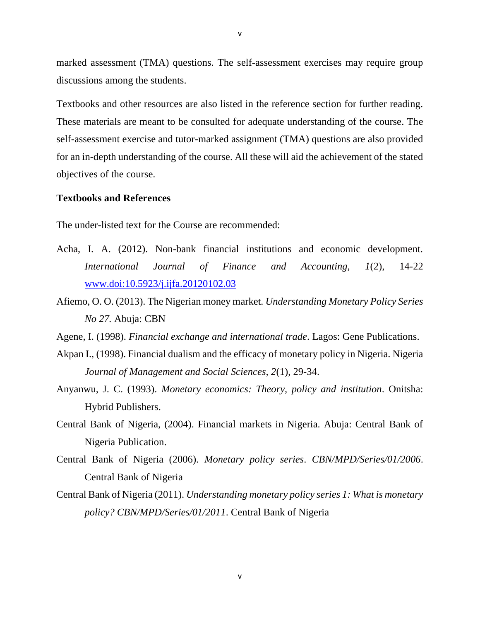marked assessment (TMA) questions. The self-assessment exercises may require group discussions among the students.

Textbooks and other resources are also listed in the reference section for further reading. These materials are meant to be consulted for adequate understanding of the course. The self-assessment exercise and tutor-marked assignment (TMA) questions are also provided for an in-depth understanding of the course. All these will aid the achievement of the stated objectives of the course.

### **Textbooks and References**

The under-listed text for the Course are recommended:

- Acha, I. A. (2012). Non-bank financial institutions and economic development. *International Journal of Finance and Accounting, 1*(2), 14-22 [www.doi:10.5923/j.ijfa.20120102.03](http://www.doi:10.5923/j.ijfa.20120102.03)
- Afiemo, O. O. (2013). The Nigerian money market*. Understanding Monetary Policy Series No 27.* Abuja: CBN
- Agene, I. (1998). *Financial exchange and international trade*. Lagos: Gene Publications.
- Akpan I., (1998). Financial dualism and the efficacy of monetary policy in Nigeria. Nigeria *Journal of Management and Social Sciences, 2*(1), 29-34.
- Anyanwu, J. C. (1993). *Monetary economics: Theory, policy and institution*. Onitsha: Hybrid Publishers.
- Central Bank of Nigeria, (2004). Financial markets in Nigeria. Abuja: Central Bank of Nigeria Publication.
- Central Bank of Nigeria (2006). *Monetary policy series*. *CBN/MPD/Series/01/2006*. Central Bank of Nigeria
- Central Bank of Nigeria (2011). *Understanding monetary policy series 1: What is monetary policy? CBN/MPD/Series/01/2011*. Central Bank of Nigeria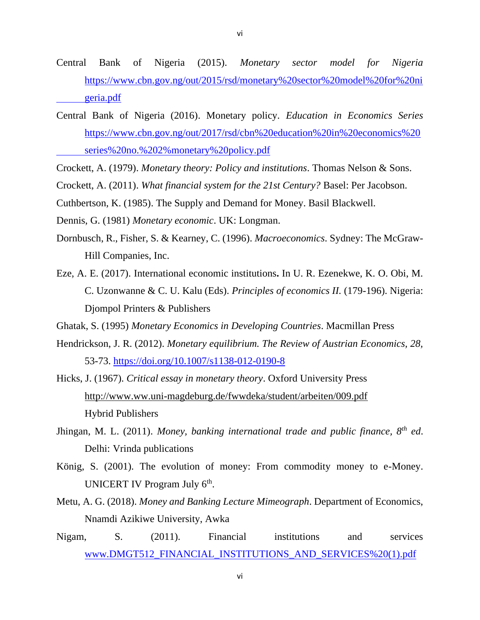- Central Bank of Nigeria (2015). *Monetary sector model for Nigeria* [https://www.cbn.gov.ng/out/2015/rsd/monetary%20sector%20model%20for%20ni](https://www.cbn.gov.ng/out/2015/rsd/monetary%20sector%20model%20for%20ni%09geria.pdf) [geria.pdf](https://www.cbn.gov.ng/out/2015/rsd/monetary%20sector%20model%20for%20ni%09geria.pdf)
- Central Bank of Nigeria (2016). Monetary policy. *Education in Economics Series*  [https://www.cbn.gov.ng/out/2017/rsd/cbn%20education%20in%20economics%20](https://www.cbn.gov.ng/out/2017/rsd/cbn%20education%20in%20economics%20%09series%20no.%202%25monetary%20policy.pdf) [series%20no.%202%monetary%20policy.pdf](https://www.cbn.gov.ng/out/2017/rsd/cbn%20education%20in%20economics%20%09series%20no.%202%25monetary%20policy.pdf)
- Crockett, A. (1979). *Monetary theory: Policy and institutions*. Thomas Nelson & Sons.
- Crockett, A. (2011). *What financial system for the 21st Century?* Basel: Per Jacobson.
- Cuthbertson, K. (1985). The Supply and Demand for Money. Basil Blackwell.
- Dennis, G. (1981) *Monetary economic*. UK: Longman.
- Dornbusch, R., Fisher, S. & Kearney, C. (1996). *Macroeconomics*. Sydney: The McGraw-Hill Companies, Inc.
- Eze, A. E. (2017). International economic institutions**.** In U. R. Ezenekwe, K. O. Obi, M. C. Uzonwanne & C. U. Kalu (Eds). *Principles of economics II.* (179-196). Nigeria: Djompol Printers & Publishers
- Ghatak, S. (1995) *Monetary Economics in Developing Countries*. Macmillan Press
- Hendrickson, J. R. (2012). *Monetary equilibrium. The Review of Austrian Economics, 28,* 53-73.<https://doi.org/10.1007/s1138-012-0190-8>
- Hicks, J. (1967). *Critical essay in monetary theory*. Oxford University Press <http://www.ww.uni-magdeburg.de/fwwdeka/student/arbeiten/009.pdf> Hybrid Publishers
- Jhingan, M. L. (2011). *Money, banking international trade and public finance, 8th ed*. Delhi: Vrinda publications
- König, S. (2001). The evolution of money: From commodity money to e-Money. UNICERT IV Program July 6<sup>th</sup>.
- Metu, A. G. (2018). *Money and Banking Lecture Mimeograph*. Department of Economics, Nnamdi Azikiwe University, Awka
- Nigam, S. (2011). Financial institutions and services www.DMGT512\_FINANCIAL\_INSTITUTIONS\_AND\_SERVICES%20(1).pdf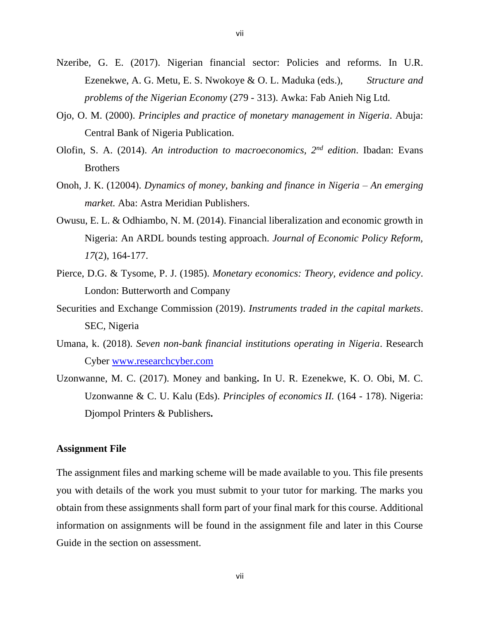- Nzeribe, G. E. (2017). Nigerian financial sector: Policies and reforms. In U.R. Ezenekwe, A. G. Metu, E. S. Nwokoye & O. L. Maduka (eds.), *Structure and problems of the Nigerian Economy* (279 - 313). Awka: Fab Anieh Nig Ltd.
- Ojo, O. M. (2000). *Principles and practice of monetary management in Nigeria*. Abuja: Central Bank of Nigeria Publication.
- Olofin, S. A. (2014). *An introduction to macroeconomics, 2nd edition*. Ibadan: Evans Brothers
- Onoh, J. K. (12004). *Dynamics of money, banking and finance in Nigeria – An emerging market.* Aba: Astra Meridian Publishers.
- Owusu, E. L. & Odhiambo, N. M. (2014). Financial liberalization and economic growth in Nigeria: An ARDL bounds testing approach. *Journal of Economic Policy Reform, 17*(2), 164-177.
- Pierce, D.G. & Tysome, P. J. (1985). *Monetary economics: Theory, evidence and policy*. London: Butterworth and Company
- Securities and Exchange Commission (2019). *Instruments traded in the capital markets*. SEC, Nigeria
- Umana, k. (2018). *Seven non-bank financial institutions operating in Nigeria*. Research Cyber [www.researchcyber.com](http://www.researchcyber.com/)
- Uzonwanne, M. C. (2017). Money and banking**.** In U. R. Ezenekwe, K. O. Obi, M. C. Uzonwanne & C. U. Kalu (Eds). *Principles of economics II.* (164 - 178). Nigeria: Djompol Printers & Publishers**.**

#### **Assignment File**

The assignment files and marking scheme will be made available to you. This file presents you with details of the work you must submit to your tutor for marking. The marks you obtain from these assignments shall form part of your final mark for this course. Additional information on assignments will be found in the assignment file and later in this Course Guide in the section on assessment.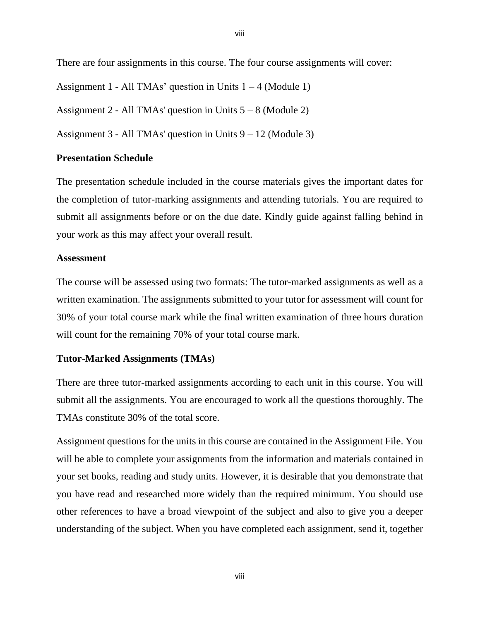There are four assignments in this course. The four course assignments will cover:

Assignment 1 - All TMAs' question in Units  $1 - 4$  (Module 1)

Assignment 2 - All TMAs' question in Units  $5 - 8$  (Module 2)

Assignment  $3 - All TMAs' question in Units  $9 - 12$  (Module 3)$ 

### **Presentation Schedule**

The presentation schedule included in the course materials gives the important dates for the completion of tutor-marking assignments and attending tutorials. You are required to submit all assignments before or on the due date. Kindly guide against falling behind in your work as this may affect your overall result.

### **Assessment**

The course will be assessed using two formats: The tutor-marked assignments as well as a written examination. The assignments submitted to your tutor for assessment will count for 30% of your total course mark while the final written examination of three hours duration will count for the remaining 70% of your total course mark.

### **Tutor-Marked Assignments (TMAs)**

There are three tutor-marked assignments according to each unit in this course. You will submit all the assignments. You are encouraged to work all the questions thoroughly. The TMAs constitute 30% of the total score.

Assignment questions for the units in this course are contained in the Assignment File. You will be able to complete your assignments from the information and materials contained in your set books, reading and study units. However, it is desirable that you demonstrate that you have read and researched more widely than the required minimum. You should use other references to have a broad viewpoint of the subject and also to give you a deeper understanding of the subject. When you have completed each assignment, send it, together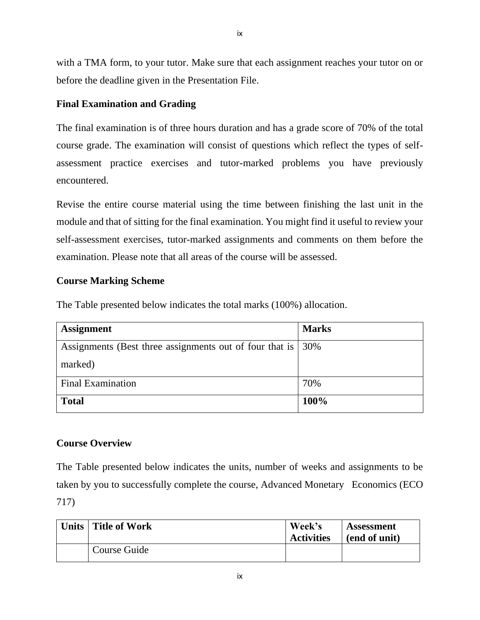with a TMA form, to your tutor. Make sure that each assignment reaches your tutor on or before the deadline given in the Presentation File.

# **Final Examination and Grading**

The final examination is of three hours duration and has a grade score of 70% of the total course grade. The examination will consist of questions which reflect the types of selfassessment practice exercises and tutor-marked problems you have previously encountered.

Revise the entire course material using the time between finishing the last unit in the module and that of sitting for the final examination. You might find it useful to review your self-assessment exercises, tutor-marked assignments and comments on them before the examination. Please note that all areas of the course will be assessed.

# **Course Marking Scheme**

The Table presented below indicates the total marks (100%) allocation.

| <b>Assignment</b>                                       | <b>Marks</b> |
|---------------------------------------------------------|--------------|
| Assignments (Best three assignments out of four that is | 30%          |
| marked)                                                 |              |
| <b>Final Examination</b>                                | 70%          |
| <b>Total</b>                                            | 100%         |

# **Course Overview**

The Table presented below indicates the units, number of weeks and assignments to be taken by you to successfully complete the course, Advanced Monetary Economics (ECO 717)

| Units   Title of Work | Week's<br><b>Activities</b> | Assessment<br>(end of unit) |
|-----------------------|-----------------------------|-----------------------------|
| Course Guide          |                             |                             |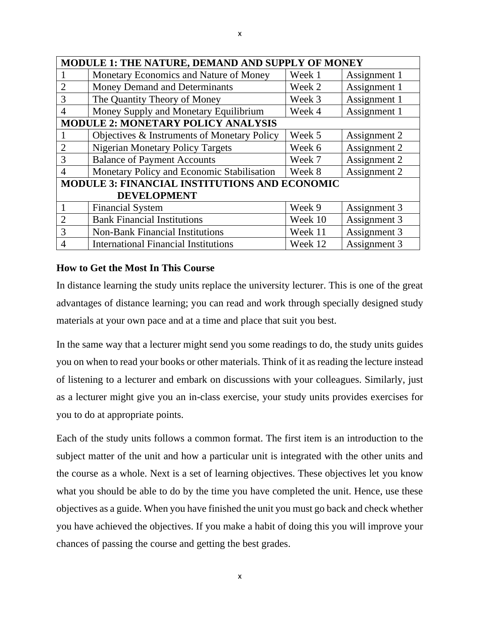| MODULE 1: THE NATURE, DEMAND AND SUPPLY OF MONEY     |                                             |         |              |  |  |
|------------------------------------------------------|---------------------------------------------|---------|--------------|--|--|
|                                                      | Monetary Economics and Nature of Money      | Week 1  | Assignment 1 |  |  |
| $\overline{2}$                                       | Money Demand and Determinants               | Week 2  | Assignment 1 |  |  |
| 3                                                    | The Quantity Theory of Money                | Week 3  | Assignment 1 |  |  |
| $\overline{4}$                                       | Money Supply and Monetary Equilibrium       | Week 4  | Assignment 1 |  |  |
| <b>MODULE 2: MONETARY POLICY ANALYSIS</b>            |                                             |         |              |  |  |
|                                                      | Objectives & Instruments of Monetary Policy | Week 5  | Assignment 2 |  |  |
| $\overline{2}$                                       | <b>Nigerian Monetary Policy Targets</b>     | Week 6  | Assignment 2 |  |  |
| 3                                                    | <b>Balance of Payment Accounts</b>          | Week 7  | Assignment 2 |  |  |
| $\overline{4}$                                       | Monetary Policy and Economic Stabilisation  | Week 8  | Assignment 2 |  |  |
| <b>MODULE 3: FINANCIAL INSTITUTIONS AND ECONOMIC</b> |                                             |         |              |  |  |
| <b>DEVELOPMENT</b>                                   |                                             |         |              |  |  |
|                                                      | <b>Financial System</b>                     | Week 9  | Assignment 3 |  |  |
| $\overline{2}$                                       | <b>Bank Financial Institutions</b>          | Week 10 | Assignment 3 |  |  |
| 3                                                    | <b>Non-Bank Financial Institutions</b>      | Week 11 | Assignment 3 |  |  |
| $\overline{4}$                                       | <b>International Financial Institutions</b> | Week 12 | Assignment 3 |  |  |

# **How to Get the Most In This Course**

In distance learning the study units replace the university lecturer. This is one of the great advantages of distance learning; you can read and work through specially designed study materials at your own pace and at a time and place that suit you best.

In the same way that a lecturer might send you some readings to do, the study units guides you on when to read your books or other materials. Think of it as reading the lecture instead of listening to a lecturer and embark on discussions with your colleagues. Similarly, just as a lecturer might give you an in-class exercise, your study units provides exercises for you to do at appropriate points.

Each of the study units follows a common format. The first item is an introduction to the subject matter of the unit and how a particular unit is integrated with the other units and the course as a whole. Next is a set of learning objectives. These objectives let you know what you should be able to do by the time you have completed the unit. Hence, use these objectives as a guide. When you have finished the unit you must go back and check whether you have achieved the objectives. If you make a habit of doing this you will improve your chances of passing the course and getting the best grades.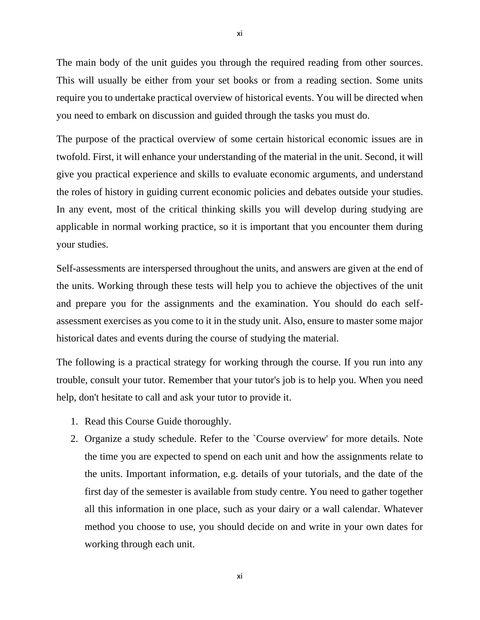The main body of the unit guides you through the required reading from other sources. This will usually be either from your set books or from a reading section. Some units require you to undertake practical overview of historical events. You will be directed when you need to embark on discussion and guided through the tasks you must do.

The purpose of the practical overview of some certain historical economic issues are in twofold. First, it will enhance your understanding of the material in the unit. Second, it will give you practical experience and skills to evaluate economic arguments, and understand the roles of history in guiding current economic policies and debates outside your studies. In any event, most of the critical thinking skills you will develop during studying are applicable in normal working practice, so it is important that you encounter them during your studies.

Self-assessments are interspersed throughout the units, and answers are given at the end of the units. Working through these tests will help you to achieve the objectives of the unit and prepare you for the assignments and the examination. You should do each selfassessment exercises as you come to it in the study unit. Also, ensure to master some major historical dates and events during the course of studying the material.

The following is a practical strategy for working through the course. If you run into any trouble, consult your tutor. Remember that your tutor's job is to help you. When you need help, don't hesitate to call and ask your tutor to provide it.

- 1. Read this Course Guide thoroughly.
- 2. Organize a study schedule. Refer to the `Course overview' for more details. Note the time you are expected to spend on each unit and how the assignments relate to the units. Important information, e.g. details of your tutorials, and the date of the first day of the semester is available from study centre. You need to gather together all this information in one place, such as your dairy or a wall calendar. Whatever method you choose to use, you should decide on and write in your own dates for working through each unit.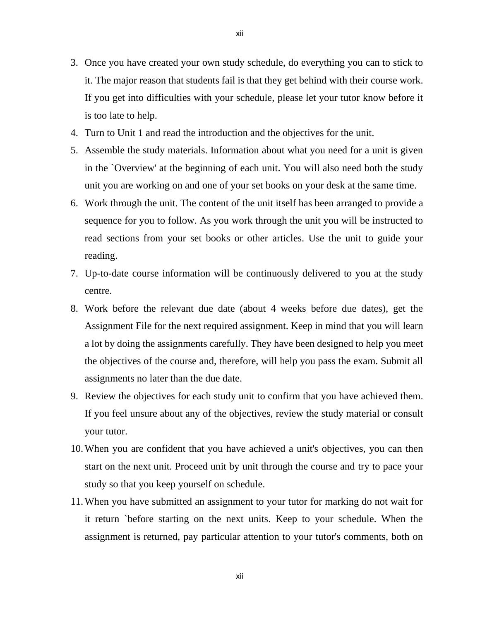- 3. Once you have created your own study schedule, do everything you can to stick to it. The major reason that students fail is that they get behind with their course work. If you get into difficulties with your schedule, please let your tutor know before it is too late to help.
- 4. Turn to Unit 1 and read the introduction and the objectives for the unit.
- 5. Assemble the study materials. Information about what you need for a unit is given in the `Overview' at the beginning of each unit. You will also need both the study unit you are working on and one of your set books on your desk at the same time.
- 6. Work through the unit. The content of the unit itself has been arranged to provide a sequence for you to follow. As you work through the unit you will be instructed to read sections from your set books or other articles. Use the unit to guide your reading.
- 7. Up-to-date course information will be continuously delivered to you at the study centre.
- 8. Work before the relevant due date (about 4 weeks before due dates), get the Assignment File for the next required assignment. Keep in mind that you will learn a lot by doing the assignments carefully. They have been designed to help you meet the objectives of the course and, therefore, will help you pass the exam. Submit all assignments no later than the due date.
- 9. Review the objectives for each study unit to confirm that you have achieved them. If you feel unsure about any of the objectives, review the study material or consult your tutor.
- 10.When you are confident that you have achieved a unit's objectives, you can then start on the next unit. Proceed unit by unit through the course and try to pace your study so that you keep yourself on schedule.
- 11.When you have submitted an assignment to your tutor for marking do not wait for it return `before starting on the next units. Keep to your schedule. When the assignment is returned, pay particular attention to your tutor's comments, both on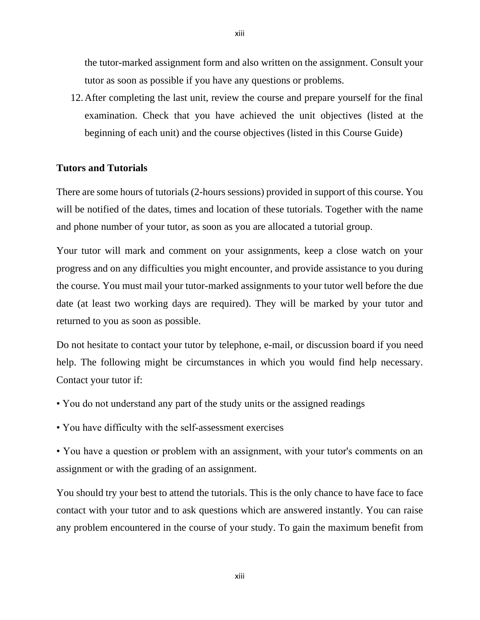the tutor-marked assignment form and also written on the assignment. Consult your tutor as soon as possible if you have any questions or problems.

12.After completing the last unit, review the course and prepare yourself for the final examination. Check that you have achieved the unit objectives (listed at the beginning of each unit) and the course objectives (listed in this Course Guide)

### **Tutors and Tutorials**

There are some hours of tutorials (2-hours sessions) provided in support of this course. You will be notified of the dates, times and location of these tutorials. Together with the name and phone number of your tutor, as soon as you are allocated a tutorial group.

Your tutor will mark and comment on your assignments, keep a close watch on your progress and on any difficulties you might encounter, and provide assistance to you during the course. You must mail your tutor-marked assignments to your tutor well before the due date (at least two working days are required). They will be marked by your tutor and returned to you as soon as possible.

Do not hesitate to contact your tutor by telephone, e-mail, or discussion board if you need help. The following might be circumstances in which you would find help necessary. Contact your tutor if:

- You do not understand any part of the study units or the assigned readings
- You have difficulty with the self-assessment exercises
- You have a question or problem with an assignment, with your tutor's comments on an assignment or with the grading of an assignment.

You should try your best to attend the tutorials. This is the only chance to have face to face contact with your tutor and to ask questions which are answered instantly. You can raise any problem encountered in the course of your study. To gain the maximum benefit from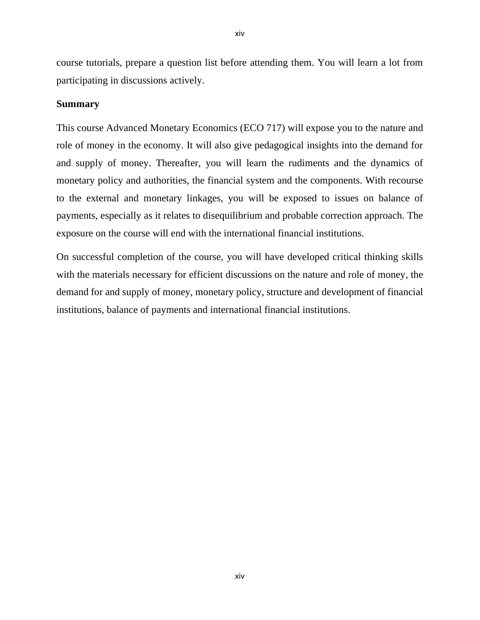course tutorials, prepare a question list before attending them. You will learn a lot from participating in discussions actively.

## **Summary**

This course Advanced Monetary Economics (ECO 717) will expose you to the nature and role of money in the economy. It will also give pedagogical insights into the demand for and supply of money. Thereafter, you will learn the rudiments and the dynamics of monetary policy and authorities, the financial system and the components. With recourse to the external and monetary linkages, you will be exposed to issues on balance of payments, especially as it relates to disequilibrium and probable correction approach. The exposure on the course will end with the international financial institutions.

On successful completion of the course, you will have developed critical thinking skills with the materials necessary for efficient discussions on the nature and role of money, the demand for and supply of money, monetary policy, structure and development of financial institutions, balance of payments and international financial institutions.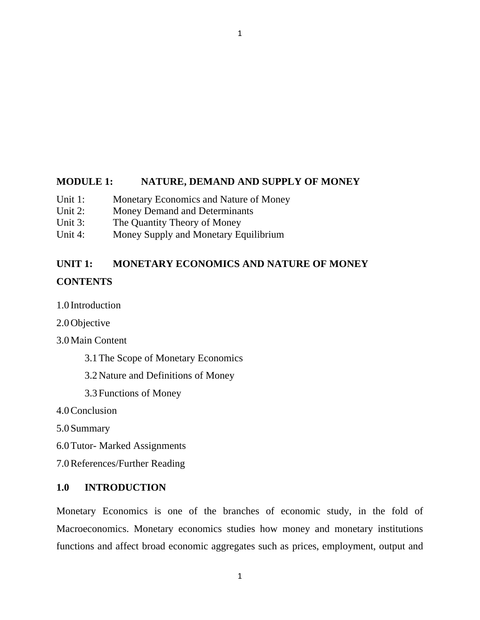## **MODULE 1: NATURE, DEMAND AND SUPPLY OF MONEY**

1

- Unit 1: Monetary Economics and Nature of Money
- Unit 2: Money Demand and Determinants
- Unit 3: The Quantity Theory of Money
- Unit 4: Money Supply and Monetary Equilibrium

# **UNIT 1: MONETARY ECONOMICS AND NATURE OF MONEY CONTENTS**

1.0 Introduction

2.0Objective

3.0Main Content

3.1The Scope of Monetary Economics

3.2Nature and Definitions of Money

3.3Functions of Money

4.0Conclusion

5.0Summary

6.0Tutor- Marked Assignments

7.0References/Further Reading

# **1.0 INTRODUCTION**

Monetary Economics is one of the branches of economic study, in the fold of Macroeconomics. Monetary economics studies how money and monetary institutions functions and affect broad economic aggregates such as prices, employment, output and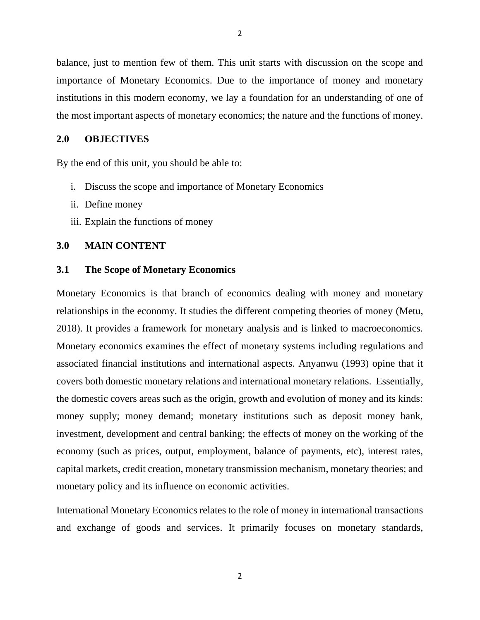balance, just to mention few of them. This unit starts with discussion on the scope and importance of Monetary Economics. Due to the importance of money and monetary institutions in this modern economy, we lay a foundation for an understanding of one of the most important aspects of monetary economics; the nature and the functions of money.

### **2.0 OBJECTIVES**

By the end of this unit, you should be able to:

- i. Discuss the scope and importance of Monetary Economics
- ii. Define money
- iii. Explain the functions of money

#### **3.0 MAIN CONTENT**

#### **3.1 The Scope of Monetary Economics**

Monetary Economics is that branch of economics dealing with money and monetary relationships in the economy. It studies the different competing theories of money (Metu, 2018). It provides a framework for monetary analysis and is linked to macroeconomics. Monetary economics examines the effect of monetary systems including regulations and associated financial institutions and international aspects. Anyanwu (1993) opine that it covers both domestic monetary relations and international monetary relations. Essentially, the domestic covers areas such as the origin, growth and evolution of money and its kinds: money supply; money demand; monetary institutions such as deposit money bank, investment, development and central banking; the effects of money on the working of the economy (such as prices, output, employment, balance of payments, etc), interest rates, capital markets, credit creation, monetary transmission mechanism, monetary theories; and monetary policy and its influence on economic activities.

International Monetary Economics relates to the role of money in international transactions and exchange of goods and services. It primarily focuses on monetary standards,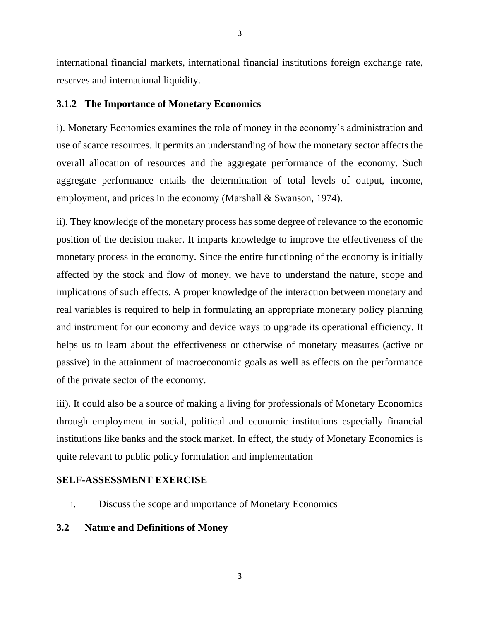international financial markets, international financial institutions foreign exchange rate, reserves and international liquidity.

### **3.1.2 The Importance of Monetary Economics**

i). Monetary Economics examines the role of money in the economy's administration and use of scarce resources. It permits an understanding of how the monetary sector affects the overall allocation of resources and the aggregate performance of the economy. Such aggregate performance entails the determination of total levels of output, income, employment, and prices in the economy (Marshall & Swanson, 1974).

ii). They knowledge of the monetary process has some degree of relevance to the economic position of the decision maker. It imparts knowledge to improve the effectiveness of the monetary process in the economy. Since the entire functioning of the economy is initially affected by the stock and flow of money, we have to understand the nature, scope and implications of such effects. A proper knowledge of the interaction between monetary and real variables is required to help in formulating an appropriate monetary policy planning and instrument for our economy and device ways to upgrade its operational efficiency. It helps us to learn about the effectiveness or otherwise of monetary measures (active or passive) in the attainment of macroeconomic goals as well as effects on the performance of the private sector of the economy.

iii). It could also be a source of making a living for professionals of Monetary Economics through employment in social, political and economic institutions especially financial institutions like banks and the stock market. In effect, the study of Monetary Economics is quite relevant to public policy formulation and implementation

### **SELF-ASSESSMENT EXERCISE**

i. Discuss the scope and importance of Monetary Economics

# **3.2 Nature and Definitions of Money**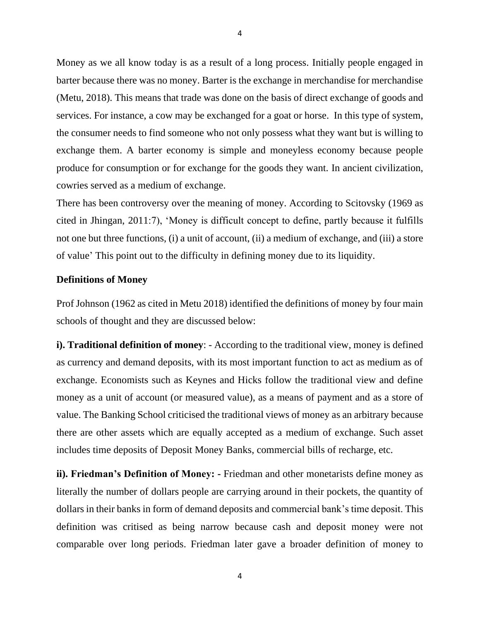Money as we all know today is as a result of a long process. Initially people engaged in barter because there was no money. Barter is the exchange in merchandise for merchandise (Metu, 2018). This means that trade was done on the basis of direct exchange of goods and services. For instance, a cow may be exchanged for a goat or horse. In this type of system, the consumer needs to find someone who not only possess what they want but is willing to exchange them. A barter economy is simple and moneyless economy because people produce for consumption or for exchange for the goods they want. In ancient civilization, cowries served as a medium of exchange.

There has been controversy over the meaning of money. According to Scitovsky (1969 as cited in Jhingan, 2011:7), 'Money is difficult concept to define, partly because it fulfills not one but three functions, (i) a unit of account, (ii) a medium of exchange, and (iii) a store of value' This point out to the difficulty in defining money due to its liquidity.

#### **Definitions of Money**

Prof Johnson (1962 as cited in Metu 2018) identified the definitions of money by four main schools of thought and they are discussed below:

**i). Traditional definition of money**: - According to the traditional view, money is defined as currency and demand deposits, with its most important function to act as medium as of exchange. Economists such as Keynes and Hicks follow the traditional view and define money as a unit of account (or measured value), as a means of payment and as a store of value. The Banking School criticised the traditional views of money as an arbitrary because there are other assets which are equally accepted as a medium of exchange. Such asset includes time deposits of Deposit Money Banks, commercial bills of recharge, etc.

**ii). Friedman's Definition of Money: -** Friedman and other monetarists define money as literally the number of dollars people are carrying around in their pockets, the quantity of dollars in their banks in form of demand deposits and commercial bank's time deposit. This definition was critised as being narrow because cash and deposit money were not comparable over long periods. Friedman later gave a broader definition of money to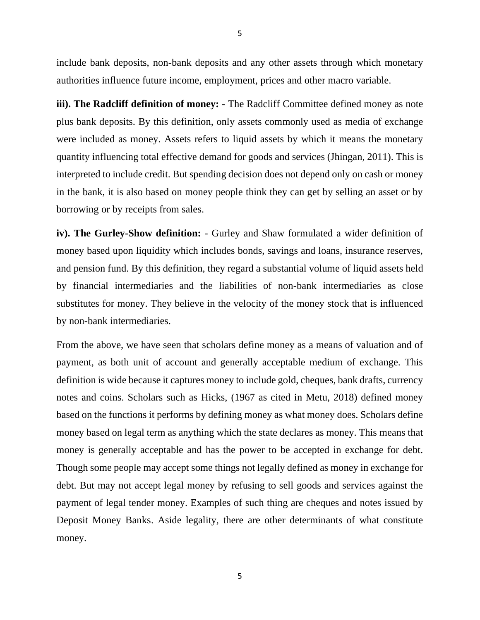include bank deposits, non-bank deposits and any other assets through which monetary authorities influence future income, employment, prices and other macro variable.

**iii). The Radcliff definition of money:** - The Radcliff Committee defined money as note plus bank deposits. By this definition, only assets commonly used as media of exchange were included as money. Assets refers to liquid assets by which it means the monetary quantity influencing total effective demand for goods and services (Jhingan, 2011). This is interpreted to include credit. But spending decision does not depend only on cash or money in the bank, it is also based on money people think they can get by selling an asset or by borrowing or by receipts from sales.

**iv). The Gurley-Show definition:** - Gurley and Shaw formulated a wider definition of money based upon liquidity which includes bonds, savings and loans, insurance reserves, and pension fund. By this definition, they regard a substantial volume of liquid assets held by financial intermediaries and the liabilities of non-bank intermediaries as close substitutes for money. They believe in the velocity of the money stock that is influenced by non-bank intermediaries.

From the above, we have seen that scholars define money as a means of valuation and of payment, as both unit of account and generally acceptable medium of exchange. This definition is wide because it captures money to include gold, cheques, bank drafts, currency notes and coins. Scholars such as Hicks, (1967 as cited in Metu, 2018) defined money based on the functions it performs by defining money as what money does. Scholars define money based on legal term as anything which the state declares as money. This means that money is generally acceptable and has the power to be accepted in exchange for debt. Though some people may accept some things not legally defined as money in exchange for debt. But may not accept legal money by refusing to sell goods and services against the payment of legal tender money. Examples of such thing are cheques and notes issued by Deposit Money Banks. Aside legality, there are other determinants of what constitute money.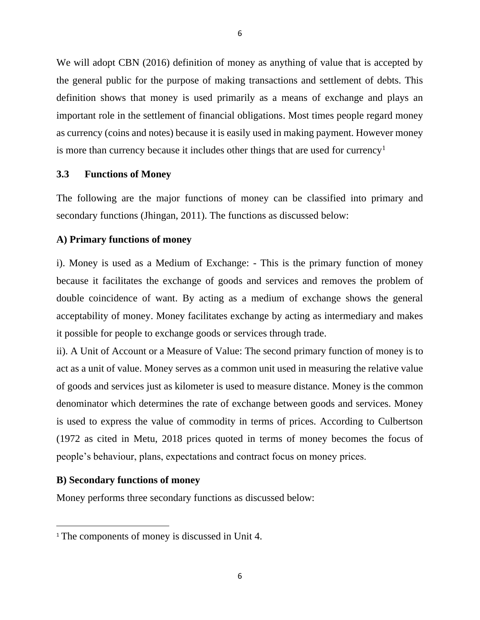We will adopt CBN (2016) definition of money as anything of value that is accepted by the general public for the purpose of making transactions and settlement of debts. This definition shows that money is used primarily as a means of exchange and plays an important role in the settlement of financial obligations. Most times people regard money as currency (coins and notes) because it is easily used in making payment. However money is more than currency because it includes other things that are used for currency<sup>1</sup>

#### **3.3 Functions of Money**

The following are the major functions of money can be classified into primary and secondary functions (Jhingan, 2011). The functions as discussed below:

#### **A) Primary functions of money**

i). Money is used as a Medium of Exchange: - This is the primary function of money because it facilitates the exchange of goods and services and removes the problem of double coincidence of want. By acting as a medium of exchange shows the general acceptability of money. Money facilitates exchange by acting as intermediary and makes it possible for people to exchange goods or services through trade.

ii). A Unit of Account or a Measure of Value: The second primary function of money is to act as a unit of value. Money serves as a common unit used in measuring the relative value of goods and services just as kilometer is used to measure distance. Money is the common denominator which determines the rate of exchange between goods and services. Money is used to express the value of commodity in terms of prices. According to Culbertson (1972 as cited in Metu, 2018 prices quoted in terms of money becomes the focus of people's behaviour, plans, expectations and contract focus on money prices.

#### **B) Secondary functions of money**

Money performs three secondary functions as discussed below:

<sup>&</sup>lt;sup>1</sup> The components of money is discussed in Unit 4.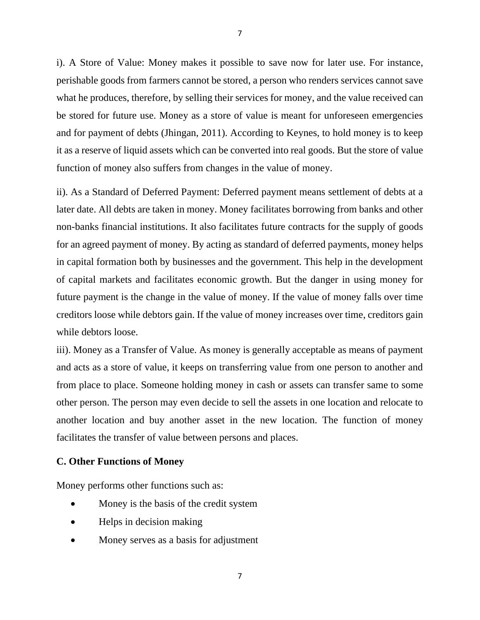i). A Store of Value: Money makes it possible to save now for later use. For instance, perishable goods from farmers cannot be stored, a person who renders services cannot save what he produces, therefore, by selling their services for money, and the value received can be stored for future use. Money as a store of value is meant for unforeseen emergencies and for payment of debts (Jhingan, 2011). According to Keynes, to hold money is to keep it as a reserve of liquid assets which can be converted into real goods. But the store of value function of money also suffers from changes in the value of money.

ii). As a Standard of Deferred Payment: Deferred payment means settlement of debts at a later date. All debts are taken in money. Money facilitates borrowing from banks and other non-banks financial institutions. It also facilitates future contracts for the supply of goods for an agreed payment of money. By acting as standard of deferred payments, money helps in capital formation both by businesses and the government. This help in the development of capital markets and facilitates economic growth. But the danger in using money for future payment is the change in the value of money. If the value of money falls over time creditors loose while debtors gain. If the value of money increases over time, creditors gain while debtors loose.

iii). Money as a Transfer of Value. As money is generally acceptable as means of payment and acts as a store of value, it keeps on transferring value from one person to another and from place to place. Someone holding money in cash or assets can transfer same to some other person. The person may even decide to sell the assets in one location and relocate to another location and buy another asset in the new location. The function of money facilitates the transfer of value between persons and places.

### **C. Other Functions of Money**

Money performs other functions such as:

- Money is the basis of the credit system
- Helps in decision making
- Money serves as a basis for adjustment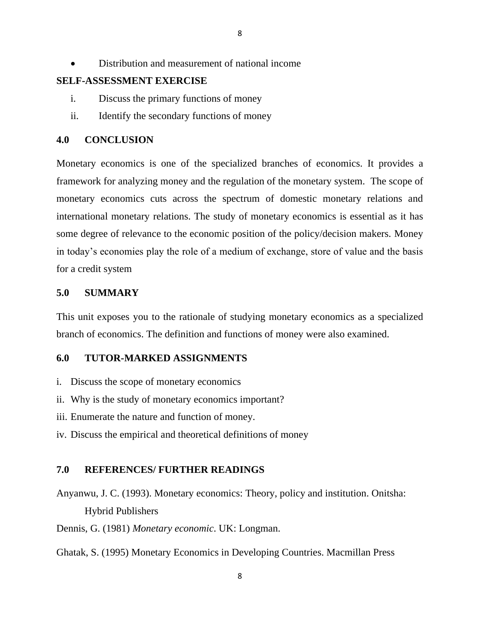• Distribution and measurement of national income

### **SELF-ASSESSMENT EXERCISE**

- i. Discuss the primary functions of money
- ii. Identify the secondary functions of money

## **4.0 CONCLUSION**

Monetary economics is one of the specialized branches of economics. It provides a framework for analyzing money and the regulation of the monetary system. The scope of monetary economics cuts across the spectrum of domestic monetary relations and international monetary relations. The study of monetary economics is essential as it has some degree of relevance to the economic position of the policy/decision makers. Money in today's economies play the role of a medium of exchange, store of value and the basis for a credit system

#### **5.0 SUMMARY**

This unit exposes you to the rationale of studying monetary economics as a specialized branch of economics. The definition and functions of money were also examined.

#### **6.0 TUTOR-MARKED ASSIGNMENTS**

- i. Discuss the scope of monetary economics
- ii. Why is the study of monetary economics important?
- iii. Enumerate the nature and function of money.
- iv. Discuss the empirical and theoretical definitions of money

#### **7.0 REFERENCES/ FURTHER READINGS**

- Anyanwu, J. C. (1993). Monetary economics: Theory, policy and institution. Onitsha: Hybrid Publishers
- Dennis, G. (1981) *Monetary economic*. UK: Longman.
- Ghatak, S. (1995) Monetary Economics in Developing Countries. Macmillan Press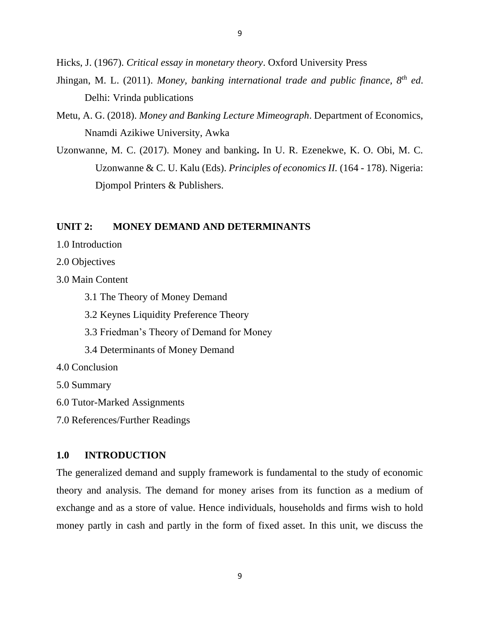Hicks, J. (1967). *Critical essay in monetary theory*. Oxford University Press

- Jhingan, M. L. (2011). *Money, banking international trade and public finance, 8th ed*. Delhi: Vrinda publications
- Metu, A. G. (2018). *Money and Banking Lecture Mimeograph*. Department of Economics, Nnamdi Azikiwe University, Awka
- Uzonwanne, M. C. (2017). Money and banking**.** In U. R. Ezenekwe, K. O. Obi, M. C. Uzonwanne & C. U. Kalu (Eds). *Principles of economics II.* (164 - 178). Nigeria: Djompol Printers & Publishers.

### **UNIT 2: MONEY DEMAND AND DETERMINANTS**

- 1.0 Introduction
- 2.0 Objectives
- 3.0 Main Content
	- 3.1 The Theory of Money Demand
	- 3.2 Keynes Liquidity Preference Theory
	- 3.3 Friedman's Theory of Demand for Money
	- 3.4 Determinants of Money Demand
- 4.0 Conclusion
- 5.0 Summary
- 6.0 Tutor-Marked Assignments
- 7.0 References/Further Readings

### **1.0 INTRODUCTION**

The generalized demand and supply framework is fundamental to the study of economic theory and analysis. The demand for money arises from its function as a medium of exchange and as a store of value. Hence individuals, households and firms wish to hold money partly in cash and partly in the form of fixed asset. In this unit, we discuss the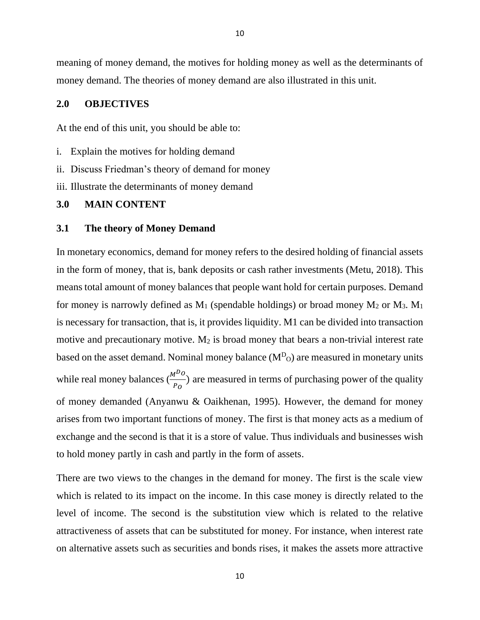meaning of money demand, the motives for holding money as well as the determinants of money demand. The theories of money demand are also illustrated in this unit.

#### **2.0 OBJECTIVES**

At the end of this unit, you should be able to:

- i. Explain the motives for holding demand
- ii. Discuss Friedman's theory of demand for money

iii. Illustrate the determinants of money demand

#### **3.0 MAIN CONTENT**

#### **3.1 The theory of Money Demand**

In monetary economics, demand for money refers to the desired holding of financial assets in the form of money, that is, bank deposits or cash rather investments (Metu, 2018). This means total amount of money balances that people want hold for certain purposes. Demand for money is narrowly defined as  $M_1$  (spendable holdings) or broad money  $M_2$  or  $M_3$ .  $M_1$ is necessary for transaction, that is, it provides liquidity. M1 can be divided into transaction motive and precautionary motive.  $M_2$  is broad money that bears a non-trivial interest rate based on the asset demand. Nominal money balance  $(M^D)$  are measured in monetary units while real money balances  $\left(\frac{M^{D}o}{P_{O}}\right)$  are measured in terms of purchasing power of the quality of money demanded (Anyanwu & Oaikhenan, 1995). However, the demand for money arises from two important functions of money. The first is that money acts as a medium of exchange and the second is that it is a store of value. Thus individuals and businesses wish to hold money partly in cash and partly in the form of assets.

There are two views to the changes in the demand for money. The first is the scale view which is related to its impact on the income. In this case money is directly related to the level of income. The second is the substitution view which is related to the relative attractiveness of assets that can be substituted for money. For instance, when interest rate on alternative assets such as securities and bonds rises, it makes the assets more attractive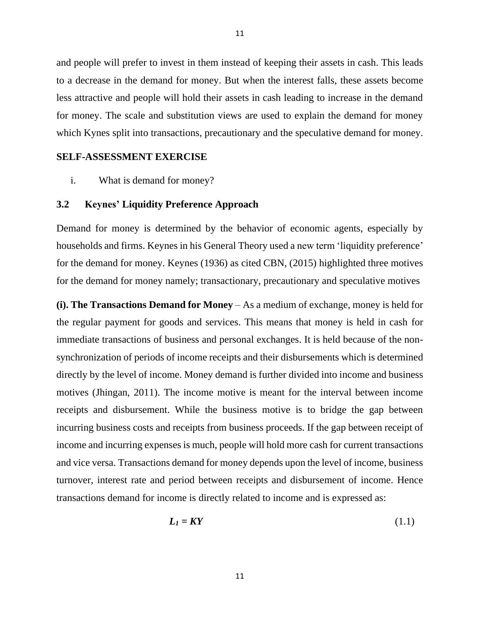and people will prefer to invest in them instead of keeping their assets in cash. This leads to a decrease in the demand for money. But when the interest falls, these assets become less attractive and people will hold their assets in cash leading to increase in the demand for money. The scale and substitution views are used to explain the demand for money which Kynes split into transactions, precautionary and the speculative demand for money.

11

#### **SELF-ASSESSMENT EXERCISE**

i. What is demand for money?

### **3.2 Keynes' Liquidity Preference Approach**

Demand for money is determined by the behavior of economic agents, especially by households and firms. Keynes in his General Theory used a new term 'liquidity preference' for the demand for money. Keynes (1936) as cited CBN, (2015) highlighted three motives for the demand for money namely; transactionary, precautionary and speculative motives

**(i). The Transactions Demand for Money** – As a medium of exchange, money is held for the regular payment for goods and services. This means that money is held in cash for immediate transactions of business and personal exchanges. It is held because of the nonsynchronization of periods of income receipts and their disbursements which is determined directly by the level of income. Money demand is further divided into income and business motives (Jhingan, 2011). The income motive is meant for the interval between income receipts and disbursement. While the business motive is to bridge the gap between incurring business costs and receipts from business proceeds. If the gap between receipt of income and incurring expenses is much, people will hold more cash for current transactions and vice versa. Transactions demand for money depends upon the level of income, business turnover, interest rate and period between receipts and disbursement of income. Hence transactions demand for income is directly related to income and is expressed as:

$$
L_1 = KY \tag{1.1}
$$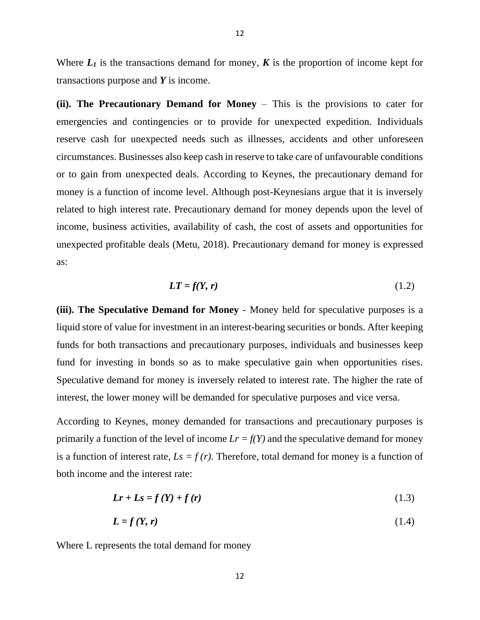Where  $L_1$  is the transactions demand for money,  $K$  is the proportion of income kept for transactions purpose and *Y* is income.

12

**(ii). The Precautionary Demand for Money** – This is the provisions to cater for emergencies and contingencies or to provide for unexpected expedition. Individuals reserve cash for unexpected needs such as illnesses, accidents and other unforeseen circumstances. Businesses also keep cash in reserve to take care of unfavourable conditions or to gain from unexpected deals. According to Keynes, the precautionary demand for money is a function of income level. Although post-Keynesians argue that it is inversely related to high interest rate. Precautionary demand for money depends upon the level of income, business activities, availability of cash, the cost of assets and opportunities for unexpected profitable deals (Metu, 2018). Precautionary demand for money is expressed as:

$$
LT = f(Y, r) \tag{1.2}
$$

**(iii). The Speculative Demand for Money** - Money held for speculative purposes is a liquid store of value for investment in an interest-bearing securities or bonds. After keeping funds for both transactions and precautionary purposes, individuals and businesses keep fund for investing in bonds so as to make speculative gain when opportunities rises. Speculative demand for money is inversely related to interest rate. The higher the rate of interest, the lower money will be demanded for speculative purposes and vice versa.

According to Keynes, money demanded for transactions and precautionary purposes is primarily a function of the level of income  $Lr = f(Y)$  and the speculative demand for money is a function of interest rate,  $Ls = f(r)$ . Therefore, total demand for money is a function of both income and the interest rate:

$$
Lr + Ls = f(Y) + f(r) \tag{1.3}
$$

$$
L = f(Y, r) \tag{1.4}
$$

Where L represents the total demand for money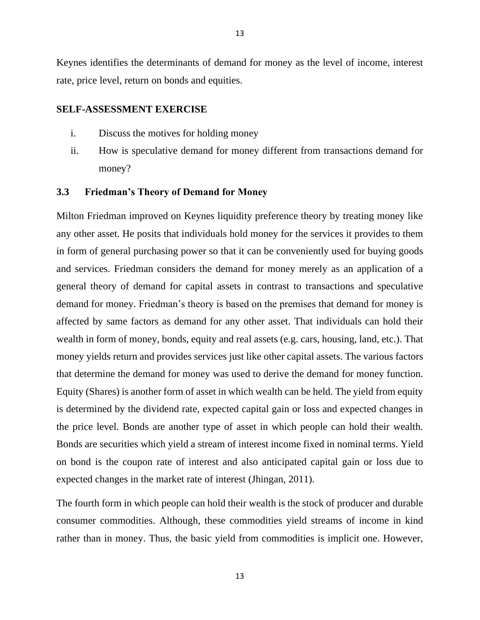Keynes identifies the determinants of demand for money as the level of income, interest rate, price level, return on bonds and equities.

### **SELF-ASSESSMENT EXERCISE**

- i. Discuss the motives for holding money
- ii. How is speculative demand for money different from transactions demand for money?

#### **3.3 Friedman's Theory of Demand for Money**

Milton Friedman improved on Keynes liquidity preference theory by treating money like any other asset. He posits that individuals hold money for the services it provides to them in form of general purchasing power so that it can be conveniently used for buying goods and services. Friedman considers the demand for money merely as an application of a general theory of demand for capital assets in contrast to transactions and speculative demand for money. Friedman's theory is based on the premises that demand for money is affected by same factors as demand for any other asset. That individuals can hold their wealth in form of money, bonds, equity and real assets (e.g. cars, housing, land, etc.). That money yields return and provides services just like other capital assets. The various factors that determine the demand for money was used to derive the demand for money function. Equity (Shares) is another form of asset in which wealth can be held. The yield from equity is determined by the dividend rate, expected capital gain or loss and expected changes in the price level. Bonds are another type of asset in which people can hold their wealth. Bonds are securities which yield a stream of interest income fixed in nominal terms. Yield on bond is the coupon rate of interest and also anticipated capital gain or loss due to expected changes in the market rate of interest (Jhingan, 2011).

The fourth form in which people can hold their wealth is the stock of producer and durable consumer commodities. Although, these commodities yield streams of income in kind rather than in money. Thus, the basic yield from commodities is implicit one. However,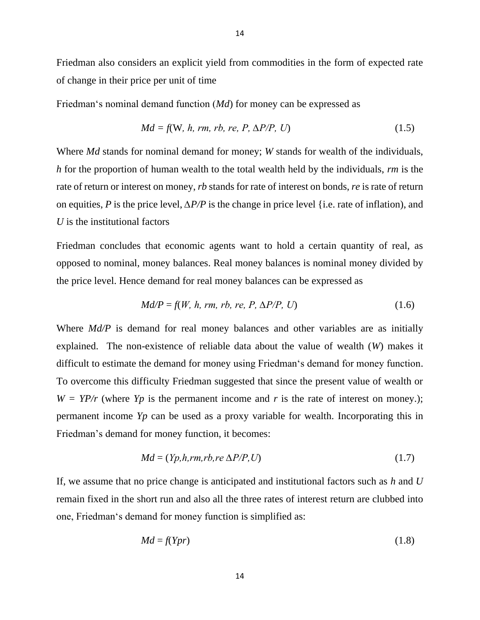Friedman also considers an explicit yield from commodities in the form of expected rate of change in their price per unit of time

14

Friedman's nominal demand function (*Md*) for money can be expressed as

$$
Md = f(W, h, rm, rb, re, P, \Delta P/P, U)
$$
\n(1.5)

Where *Md* stands for nominal demand for money; *W* stands for wealth of the individuals, *h* for the proportion of human wealth to the total wealth held by the individuals, *rm* is the rate of return or interest on money, *rb* stands for rate of interest on bonds, *re* is rate of return on equities, *P* is the price level, *∆P/P* is the change in price level {i.e. rate of inflation), and *U* is the institutional factors

Friedman concludes that economic agents want to hold a certain quantity of real, as opposed to nominal, money balances. Real money balances is nominal money divided by the price level. Hence demand for real money balances can be expressed as

$$
Md/P = f(W, h, rm, rb, re, P, \Delta P/P, U)
$$
\n(1.6)

Where *Md/P* is demand for real money balances and other variables are as initially explained. The non-existence of reliable data about the value of wealth (*W*) makes it difficult to estimate the demand for money using Friedman's demand for money function. To overcome this difficulty Friedman suggested that since the present value of wealth or  $W = YP/r$  (where  $Yp$  is the permanent income and *r* is the rate of interest on money.); permanent income *Yp* can be used as a proxy variable for wealth. Incorporating this in Friedman's demand for money function, it becomes:

$$
Md = (Yp, h, rm, rb, re \Delta P/P, U)
$$
\n
$$
(1.7)
$$

If, we assume that no price change is anticipated and institutional factors such as *h* and *U* remain fixed in the short run and also all the three rates of interest return are clubbed into one, Friedman's demand for money function is simplified as:

$$
Md = f(Ypr) \tag{1.8}
$$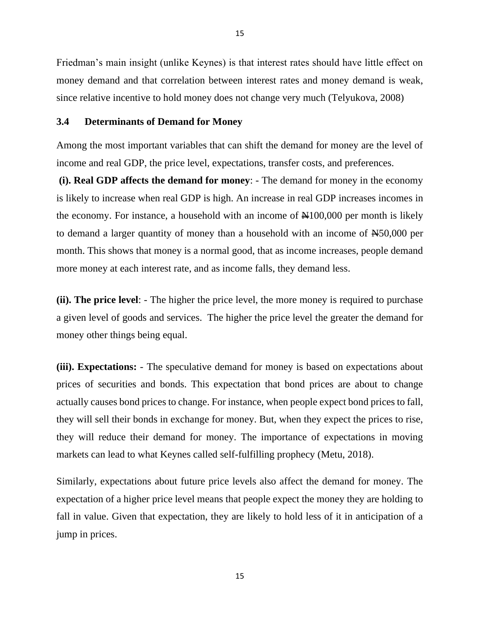Friedman's main insight (unlike Keynes) is that interest rates should have little effect on money demand and that correlation between interest rates and money demand is weak, since relative incentive to hold money does not change very much (Telyukova, 2008)

### **3.4 Determinants of Demand for Money**

Among the most important variables that can shift the demand for money are the level of income and real GDP, the price level, expectations, transfer costs, and preferences.

**(i). Real GDP affects the demand for money**: - The demand for money in the economy is likely to increase when real GDP is high. An increase in real GDP increases incomes in the economy. For instance, a household with an income of  $\mathbb{N}100,000$  per month is likely to demand a larger quantity of money than a household with an income of N50,000 per month. This shows that money is a normal good, that as income increases, people demand more money at each interest rate, and as income falls, they demand less.

**(ii). The price level**: - The higher the price level, the more money is required to purchase a given level of goods and services. The higher the price level the greater the demand for money other things being equal.

**(iii). Expectations:** - The speculative demand for money is based on expectations about prices of securities and bonds. This expectation that bond prices are about to change actually causes bond prices to change. For instance, when people expect bond prices to fall, they will sell their bonds in exchange for money. But, when they expect the prices to rise, they will reduce their demand for money. The importance of expectations in moving markets can lead to what Keynes called self-fulfilling prophecy (Metu, 2018).

Similarly, expectations about future price levels also affect the demand for money. The expectation of a higher price level means that people expect the money they are holding to fall in value. Given that expectation, they are likely to hold less of it in anticipation of a jump in prices.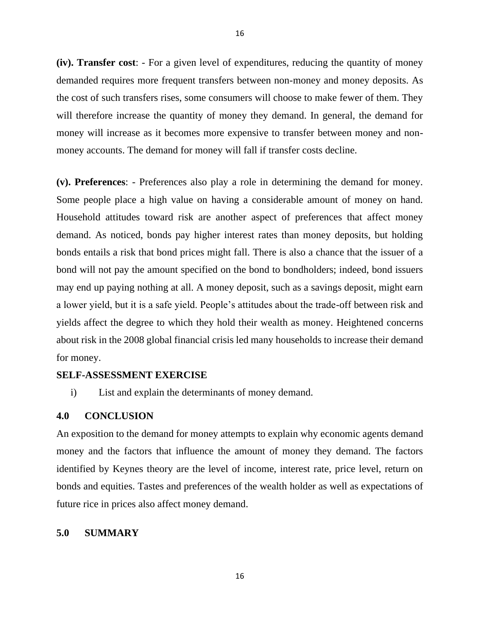**(iv). Transfer cost**: - For a given level of expenditures, reducing the quantity of money demanded requires more frequent transfers between non-money and money deposits. As the cost of such transfers rises, some consumers will choose to make fewer of them. They will therefore increase the quantity of money they demand. In general, the demand for money will increase as it becomes more expensive to transfer between money and nonmoney accounts. The demand for money will fall if transfer costs decline.

**(v). Preferences**: - Preferences also play a role in determining the demand for money. Some people place a high value on having a considerable amount of money on hand. Household attitudes toward risk are another aspect of preferences that affect money demand. As noticed, bonds pay higher interest rates than money deposits, but holding bonds entails a risk that bond prices might fall. There is also a chance that the issuer of a bond will not pay the amount specified on the bond to bondholders; indeed, bond issuers may end up paying nothing at all. A money deposit, such as a savings deposit, might earn a lower yield, but it is a safe yield. People's attitudes about the trade-off between risk and yields affect the degree to which they hold their wealth as money. Heightened concerns about risk in the 2008 global financial crisis led many households to increase their demand for money.

### **SELF-ASSESSMENT EXERCISE**

i) List and explain the determinants of money demand.

#### **4.0 CONCLUSION**

An exposition to the demand for money attempts to explain why economic agents demand money and the factors that influence the amount of money they demand. The factors identified by Keynes theory are the level of income, interest rate, price level, return on bonds and equities. Tastes and preferences of the wealth holder as well as expectations of future rice in prices also affect money demand.

# **5.0 SUMMARY**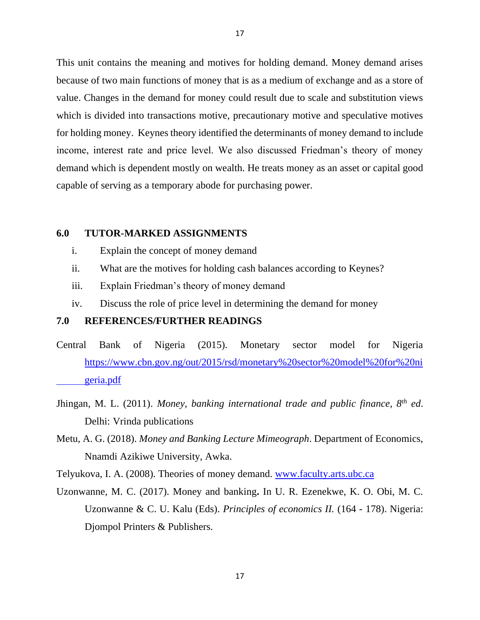This unit contains the meaning and motives for holding demand. Money demand arises because of two main functions of money that is as a medium of exchange and as a store of value. Changes in the demand for money could result due to scale and substitution views which is divided into transactions motive, precautionary motive and speculative motives for holding money. Keynes theory identified the determinants of money demand to include income, interest rate and price level. We also discussed Friedman's theory of money demand which is dependent mostly on wealth. He treats money as an asset or capital good capable of serving as a temporary abode for purchasing power.

### **6.0 TUTOR-MARKED ASSIGNMENTS**

- i. Explain the concept of money demand
- ii. What are the motives for holding cash balances according to Keynes?
- iii. Explain Friedman's theory of money demand
- iv. Discuss the role of price level in determining the demand for money

### **7.0 REFERENCES/FURTHER READINGS**

- Central Bank of Nigeria (2015). Monetary sector model for Nigeria [https://www.cbn.gov.ng/out/2015/rsd/monetary%20sector%20model%20for%20ni](https://www.cbn.gov.ng/out/2015/rsd/monetary%20sector%20model%20for%20ni%09geria.pdf) [geria.pdf](https://www.cbn.gov.ng/out/2015/rsd/monetary%20sector%20model%20for%20ni%09geria.pdf)
- Jhingan, M. L. (2011). *Money, banking international trade and public finance, 8th ed*. Delhi: Vrinda publications
- Metu, A. G. (2018). *Money and Banking Lecture Mimeograph*. Department of Economics, Nnamdi Azikiwe University, Awka.
- Telyukova, I. A. (2008). Theories of money demand. [www.faculty.arts.ubc.ca](http://www.faculty.arts.ubc.ca/)
- Uzonwanne, M. C. (2017). Money and banking**.** In U. R. Ezenekwe, K. O. Obi, M. C. Uzonwanne & C. U. Kalu (Eds). *Principles of economics II.* (164 - 178). Nigeria: Djompol Printers & Publishers.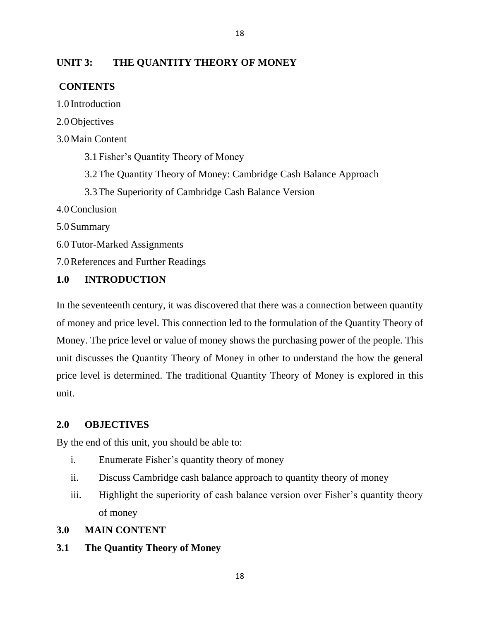# **UNIT 3: THE QUANTITY THEORY OF MONEY**

# **CONTENTS**

1.0 Introduction

2.0Objectives

# 3.0Main Content

3.1Fisher's Quantity Theory of Money

3.2The Quantity Theory of Money: Cambridge Cash Balance Approach

18

3.3The Superiority of Cambridge Cash Balance Version

4.0Conclusion

5.0Summary

6.0Tutor-Marked Assignments

7.0References and Further Readings

# **1.0 INTRODUCTION**

In the seventeenth century, it was discovered that there was a connection between quantity of money and price level. This connection led to the formulation of the Quantity Theory of Money. The price level or value of money shows the purchasing power of the people. This unit discusses the Quantity Theory of Money in other to understand the how the general price level is determined. The traditional Quantity Theory of Money is explored in this unit.

# **2.0 OBJECTIVES**

By the end of this unit, you should be able to:

- i. Enumerate Fisher's quantity theory of money
- ii. Discuss Cambridge cash balance approach to quantity theory of money
- iii. Highlight the superiority of cash balance version over Fisher's quantity theory of money

# **3.0 MAIN CONTENT**

# **3.1 The Quantity Theory of Money**

18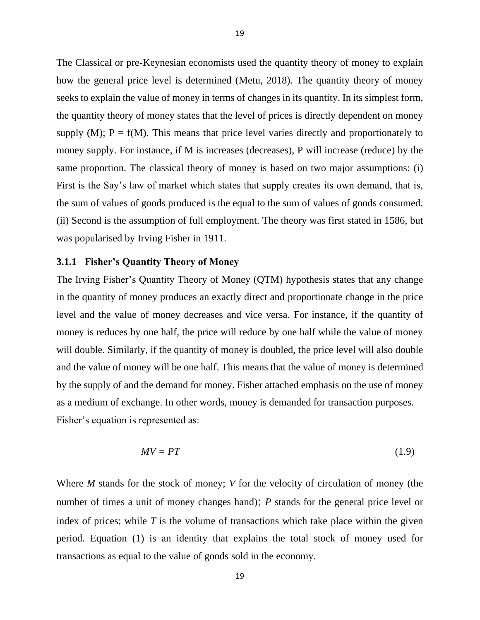The Classical or pre-Keynesian economists used the quantity theory of money to explain how the general price level is determined (Metu, 2018). The quantity theory of money seeks to explain the value of money in terms of changes in its quantity. In its simplest form, the quantity theory of money states that the level of prices is directly dependent on money supply  $(M)$ ;  $P = f(M)$ . This means that price level varies directly and proportionately to money supply. For instance, if M is increases (decreases), P will increase (reduce) by the same proportion. The classical theory of money is based on two major assumptions: (i) First is the Say's law of market which states that supply creates its own demand, that is, the sum of values of goods produced is the equal to the sum of values of goods consumed. (ii) Second is the assumption of full employment. The theory was first stated in 1586, but was popularised by Irving Fisher in 1911.

#### **3.1.1 Fisher's Quantity Theory of Money**

The Irving Fisher's Quantity Theory of Money (QTM) hypothesis states that any change in the quantity of money produces an exactly direct and proportionate change in the price level and the value of money decreases and vice versa. For instance, if the quantity of money is reduces by one half, the price will reduce by one half while the value of money will double. Similarly, if the quantity of money is doubled, the price level will also double and the value of money will be one half. This means that the value of money is determined by the supply of and the demand for money. Fisher attached emphasis on the use of money as a medium of exchange. In other words, money is demanded for transaction purposes. Fisher's equation is represented as:

$$
MV = PT \tag{1.9}
$$

Where *M* stands for the stock of money; *V* for the velocity of circulation of money (the number of times a unit of money changes hand); *P* stands for the general price level or index of prices; while *T* is the volume of transactions which take place within the given period. Equation (1) is an identity that explains the total stock of money used for transactions as equal to the value of goods sold in the economy.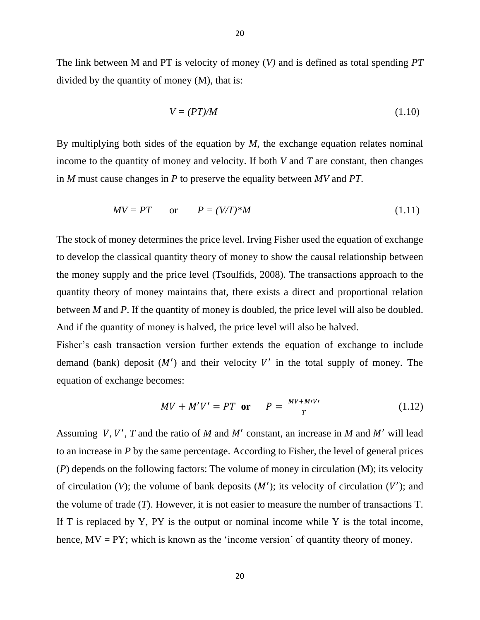The link between M and PT is velocity of money (*V)* and is defined as total spending *PT*  divided by the quantity of money (M), that is:

$$
V = (PT)/M \tag{1.10}
$$

By multiplying both sides of the equation by *M*, the exchange equation relates nominal income to the quantity of money and velocity. If both *V* and *T* are constant, then changes in *M* must cause changes in *P* to preserve the equality between *MV* and *PT*.

$$
MV = PT \qquad \text{or} \qquad P = (V/T)^*M \tag{1.11}
$$

The stock of money determines the price level. Irving Fisher used the equation of exchange to develop the classical quantity theory of money to show the causal relationship between the money supply and the price level (Tsoulfids, 2008). The transactions approach to the quantity theory of money maintains that, there exists a direct and proportional relation between *M* and *P*. If the quantity of money is doubled, the price level will also be doubled. And if the quantity of money is halved, the price level will also be halved.

Fisher's cash transaction version further extends the equation of exchange to include demand (bank) deposit  $(M')$  and their velocity V' in the total supply of money. The equation of exchange becomes:

$$
MV + M'V' = PT \quad \text{or} \quad P = \frac{MV + M'V'}{T} \tag{1.12}
$$

Assuming V, V', T and the ratio of M and M' constant, an increase in M and M' will lead to an increase in *P* by the same percentage. According to Fisher, the level of general prices (*P*) depends on the following factors: The volume of money in circulation (M); its velocity of circulation (V); the volume of bank deposits  $(M')$ ; its velocity of circulation (V'); and the volume of trade (*T*). However, it is not easier to measure the number of transactions T. If  $T$  is replaced by  $Y$ ,  $PY$  is the output or nominal income while  $Y$  is the total income, hence,  $MV = PY$ ; which is known as the 'income version' of quantity theory of money.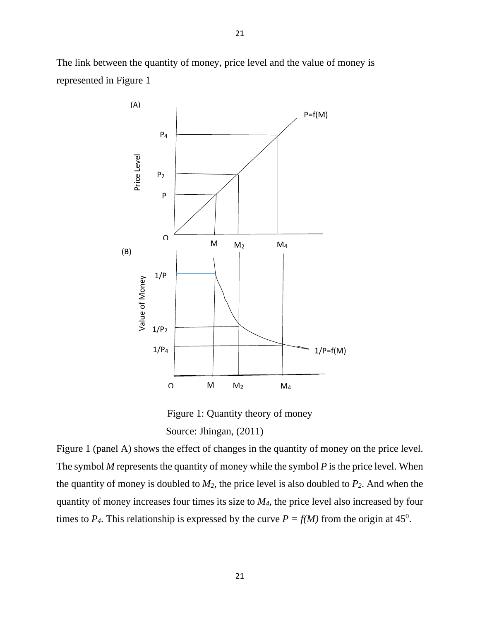The link between the quantity of money, price level and the value of money is represented in Figure 1



Figure 1: Quantity theory of money Source: Jhingan, (2011)

Figure 1 (panel A) shows the effect of changes in the quantity of money on the price level. The symbol *M* represents the quantity of money while the symbol *P* is the price level. When the quantity of money is doubled to *M2*, the price level is also doubled to *P2*. And when the quantity of money increases four times its size to *M4,* the price level also increased by four times to  $P_4$ . This relationship is expressed by the curve  $P = f(M)$  from the origin at 45<sup>0</sup>.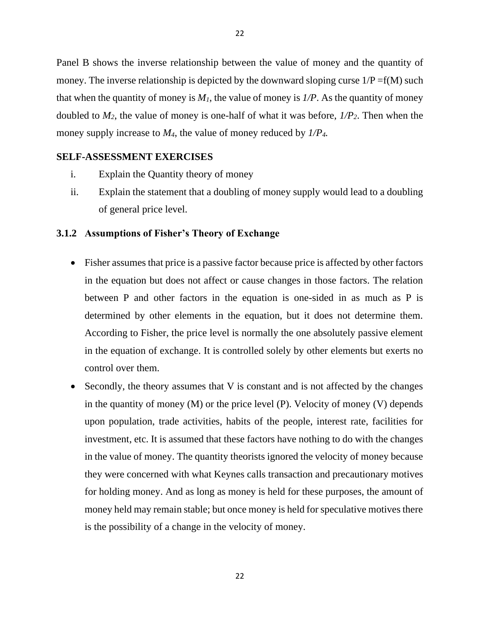Panel B shows the inverse relationship between the value of money and the quantity of money. The inverse relationship is depicted by the downward sloping curse  $1/P = f(M)$  such that when the quantity of money is  $M<sub>1</sub>$ , the value of money is  $1/P$ . As the quantity of money doubled to *M2*, the value of money is one-half of what it was before, *1/P2*. Then when the money supply increase to *M4*, the value of money reduced by *1/P4.*

# **SELF-ASSESSMENT EXERCISES**

- i. Explain the Quantity theory of money
- ii. Explain the statement that a doubling of money supply would lead to a doubling of general price level.

### **3.1.2 Assumptions of Fisher's Theory of Exchange**

- Fisher assumes that price is a passive factor because price is affected by other factors in the equation but does not affect or cause changes in those factors. The relation between P and other factors in the equation is one-sided in as much as P is determined by other elements in the equation, but it does not determine them. According to Fisher, the price level is normally the one absolutely passive element in the equation of exchange. It is controlled solely by other elements but exerts no control over them.
- Secondly, the theory assumes that V is constant and is not affected by the changes in the quantity of money (M) or the price level (P). Velocity of money (V) depends upon population, trade activities, habits of the people, interest rate, facilities for investment, etc. It is assumed that these factors have nothing to do with the changes in the value of money. The quantity theorists ignored the velocity of money because they were concerned with what Keynes calls transaction and precautionary motives for holding money. And as long as money is held for these purposes, the amount of money held may remain stable; but once money is held for speculative motives there is the possibility of a change in the velocity of money.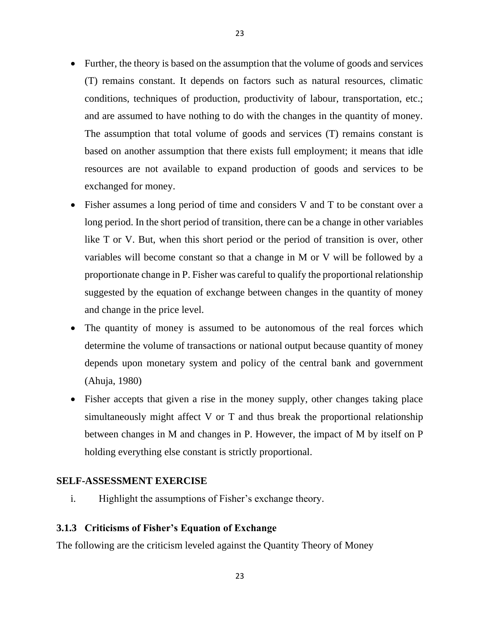- Further, the theory is based on the assumption that the volume of goods and services (T) remains constant. It depends on factors such as natural resources, climatic conditions, techniques of production, productivity of labour, transportation, etc.; and are assumed to have nothing to do with the changes in the quantity of money. The assumption that total volume of goods and services (T) remains constant is based on another assumption that there exists full employment; it means that idle resources are not available to expand production of goods and services to be exchanged for money.
- Fisher assumes a long period of time and considers V and T to be constant over a long period. In the short period of transition, there can be a change in other variables like T or V. But, when this short period or the period of transition is over, other variables will become constant so that a change in M or V will be followed by a proportionate change in P. Fisher was careful to qualify the proportional relationship suggested by the equation of exchange between changes in the quantity of money and change in the price level.
- The quantity of money is assumed to be autonomous of the real forces which determine the volume of transactions or national output because quantity of money depends upon monetary system and policy of the central bank and government (Ahuja, 1980)
- Fisher accepts that given a rise in the money supply, other changes taking place simultaneously might affect V or T and thus break the proportional relationship between changes in M and changes in P. However, the impact of M by itself on P holding everything else constant is strictly proportional.

# **SELF-ASSESSMENT EXERCISE**

i. Highlight the assumptions of Fisher's exchange theory.

# **3.1.3 Criticisms of Fisher's Equation of Exchange**

The following are the criticism leveled against the Quantity Theory of Money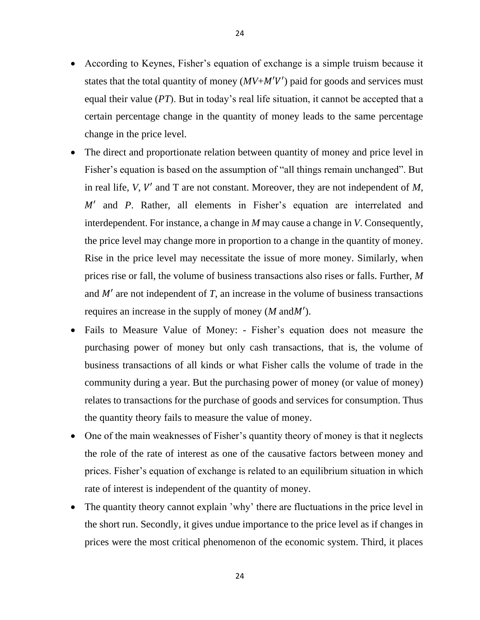24

- According to Keynes, Fisher's equation of exchange is a simple truism because it states that the total quantity of money  $(MV+M'V')$  paid for goods and services must equal their value (*PT*). But in today's real life situation, it cannot be accepted that a certain percentage change in the quantity of money leads to the same percentage change in the price level.
- The direct and proportionate relation between quantity of money and price level in Fisher's equation is based on the assumption of "all things remain unchanged". But in real life,  $V$ ,  $V'$  and  $T$  are not constant. Moreover, they are not independent of  $M$ , M' and P. Rather, all elements in Fisher's equation are interrelated and interdependent. For instance, a change in *M* may cause a change in *V*. Consequently, the price level may change more in proportion to a change in the quantity of money. Rise in the price level may necessitate the issue of more money. Similarly, when prices rise or fall, the volume of business transactions also rises or falls. Further, *M*  and  $M'$  are not independent of  $T$ , an increase in the volume of business transactions requires an increase in the supply of money  $(M \text{ and } M')$ .
- Fails to Measure Value of Money: Fisher's equation does not measure the purchasing power of money but only cash transactions, that is, the volume of business transactions of all kinds or what Fisher calls the volume of trade in the community during a year. But the purchasing power of money (or value of money) relates to transactions for the purchase of goods and services for consumption. Thus the quantity theory fails to measure the value of money.
- One of the main weaknesses of Fisher's quantity theory of money is that it neglects the role of the rate of interest as one of the causative factors between money and prices. Fisher's equation of exchange is related to an equilibrium situation in which rate of interest is independent of the quantity of money.
- The quantity theory cannot explain 'why' there are fluctuations in the price level in the short run. Secondly, it gives undue importance to the price level as if changes in prices were the most critical phenomenon of the economic system. Third, it places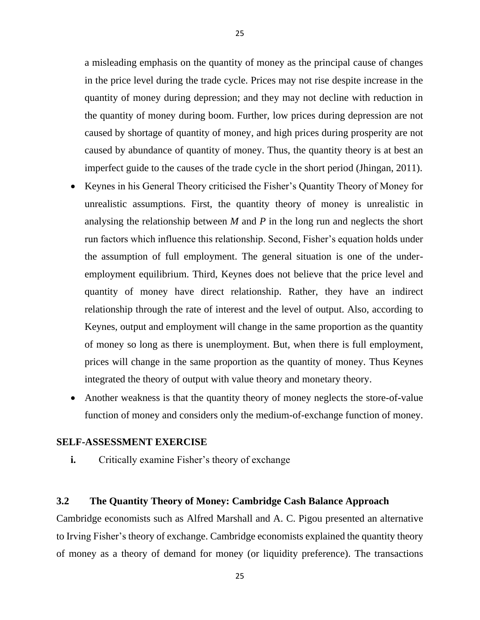a misleading emphasis on the quantity of money as the principal cause of changes in the price level during the trade cycle. Prices may not rise despite increase in the quantity of money during depression; and they may not decline with reduction in the quantity of money during boom. Further, low prices during depression are not caused by shortage of quantity of money, and high prices during prosperity are not caused by abundance of quantity of money. Thus, the quantity theory is at best an imperfect guide to the causes of the trade cycle in the short period (Jhingan, 2011).

- Keynes in his General Theory criticised the Fisher's Quantity Theory of Money for unrealistic assumptions. First, the quantity theory of money is unrealistic in analysing the relationship between *M* and *P* in the long run and neglects the short run factors which influence this relationship. Second, Fisher's equation holds under the assumption of full employment. The general situation is one of the underemployment equilibrium. Third, Keynes does not believe that the price level and quantity of money have direct relationship. Rather, they have an indirect relationship through the rate of interest and the level of output. Also, according to Keynes, output and employment will change in the same proportion as the quantity of money so long as there is unemployment. But, when there is full employment, prices will change in the same proportion as the quantity of money. Thus Keynes integrated the theory of output with value theory and monetary theory.
- Another weakness is that the quantity theory of money neglects the store-of-value function of money and considers only the medium-of-exchange function of money.

### **SELF-ASSESSMENT EXERCISE**

**i.** Critically examine Fisher's theory of exchange

# **3.2 The Quantity Theory of Money: Cambridge Cash Balance Approach**

Cambridge economists such as Alfred Marshall and A. C. Pigou presented an alternative to Irving Fisher's theory of exchange. Cambridge economists explained the quantity theory of money as a theory of demand for money (or liquidity preference). The transactions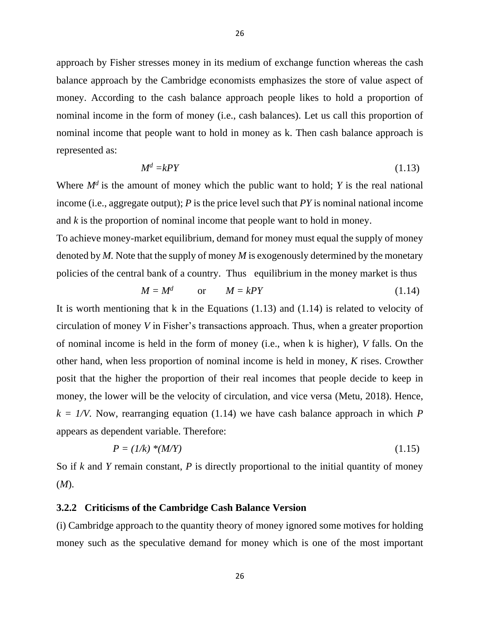approach by Fisher stresses money in its medium of exchange function whereas the cash balance approach by the Cambridge economists emphasizes the store of value aspect of money. According to the cash balance approach people likes to hold a proportion of nominal income in the form of money (i.e., cash balances). Let us call this proportion of nominal income that people want to hold in money as k. Then cash balance approach is represented as:

$$
M^d = kPY \tag{1.13}
$$

Where  $M^d$  is the amount of money which the public want to hold; *Y* is the real national income (i.e., aggregate output); *P* is the price level such that *PY* is nominal national income and *k* is the proportion of nominal income that people want to hold in money.

To achieve money-market equilibrium, demand for money must equal the supply of money denoted by *M.* Note that the supply of money *M* is exogenously determined by the monetary policies of the central bank of a country. Thus equilibrium in the money market is thus

$$
M = M^d \qquad \text{or} \qquad M = kPY \tag{1.14}
$$

It is worth mentioning that k in the Equations (1.13) and (1.14) is related to velocity of circulation of money *V* in Fisher's transactions approach. Thus, when a greater proportion of nominal income is held in the form of money (i.e., when k is higher), *V* falls. On the other hand, when less proportion of nominal income is held in money, *K* rises. Crowther posit that the higher the proportion of their real incomes that people decide to keep in money, the lower will be the velocity of circulation, and vice versa (Metu, 2018). Hence,  $k = 1/N$ . Now, rearranging equation (1.14) we have cash balance approach in which *P* appears as dependent variable. Therefore:

$$
P = (1/k) * (M/Y) \tag{1.15}
$$

So if *k* and *Y* remain constant, *P* is directly proportional to the initial quantity of money (*M*).

### **3.2.2 Criticisms of the Cambridge Cash Balance Version**

(i) Cambridge approach to the quantity theory of money ignored some motives for holding money such as the speculative demand for money which is one of the most important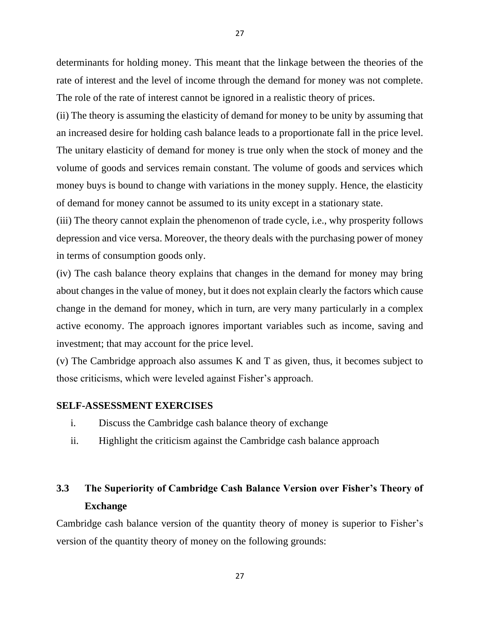determinants for holding money. This meant that the linkage between the theories of the rate of interest and the level of income through the demand for money was not complete. The role of the rate of interest cannot be ignored in a realistic theory of prices.

(ii) The theory is assuming the elasticity of demand for money to be unity by assuming that an increased desire for holding cash balance leads to a proportionate fall in the price level. The unitary elasticity of demand for money is true only when the stock of money and the volume of goods and services remain constant. The volume of goods and services which money buys is bound to change with variations in the money supply. Hence, the elasticity of demand for money cannot be assumed to its unity except in a stationary state.

(iii) The theory cannot explain the phenomenon of trade cycle, i.e., why prosperity follows depression and vice versa. Moreover, the theory deals with the purchasing power of money in terms of consumption goods only.

(iv) The cash balance theory explains that changes in the demand for money may bring about changes in the value of money, but it does not explain clearly the factors which cause change in the demand for money, which in turn, are very many particularly in a complex active economy. The approach ignores important variables such as income, saving and investment; that may account for the price level.

(v) The Cambridge approach also assumes K and T as given, thus, it becomes subject to those criticisms, which were leveled against Fisher's approach.

# **SELF-ASSESSMENT EXERCISES**

- i. Discuss the Cambridge cash balance theory of exchange
- ii. Highlight the criticism against the Cambridge cash balance approach

# **3.3 The Superiority of Cambridge Cash Balance Version over Fisher's Theory of Exchange**

Cambridge cash balance version of the quantity theory of money is superior to Fisher's version of the quantity theory of money on the following grounds: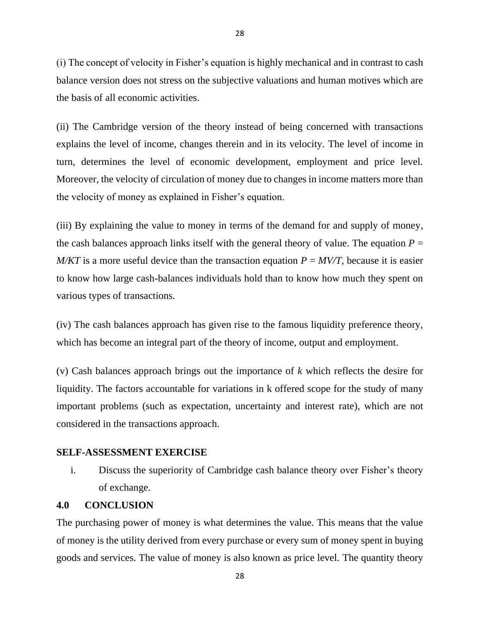(i) The concept of velocity in Fisher's equation is highly mechanical and in contrast to cash balance version does not stress on the subjective valuations and human motives which are the basis of all economic activities.

(ii) The Cambridge version of the theory instead of being concerned with transactions explains the level of income, changes therein and in its velocity. The level of income in turn, determines the level of economic development, employment and price level. Moreover, the velocity of circulation of money due to changes in income matters more than the velocity of money as explained in Fisher's equation.

(iii) By explaining the value to money in terms of the demand for and supply of money, the cash balances approach links itself with the general theory of value. The equation  $P =$ *M/KT* is a more useful device than the transaction equation  $P = MV/T$ , because it is easier to know how large cash-balances individuals hold than to know how much they spent on various types of transactions.

(iv) The cash balances approach has given rise to the famous liquidity preference theory, which has become an integral part of the theory of income, output and employment.

(v) Cash balances approach brings out the importance of *k* which reflects the desire for liquidity. The factors accountable for variations in k offered scope for the study of many important problems (such as expectation, uncertainty and interest rate), which are not considered in the transactions approach.

# **SELF-ASSESSMENT EXERCISE**

i. Discuss the superiority of Cambridge cash balance theory over Fisher's theory of exchange.

### **4.0 CONCLUSION**

The purchasing power of money is what determines the value. This means that the value of money is the utility derived from every purchase or every sum of money spent in buying goods and services. The value of money is also known as price level. The quantity theory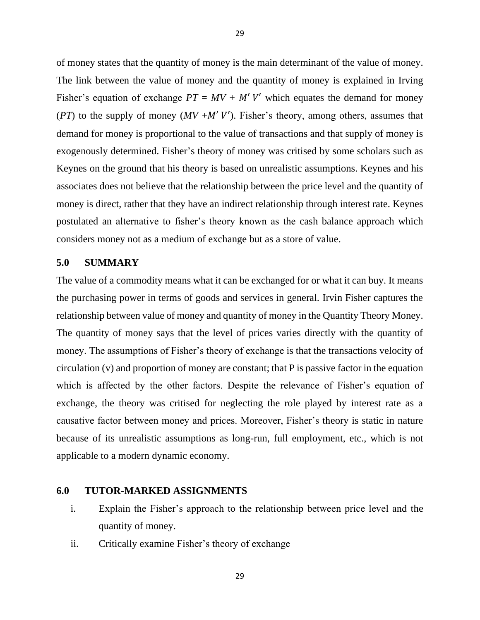of money states that the quantity of money is the main determinant of the value of money. The link between the value of money and the quantity of money is explained in Irving Fisher's equation of exchange  $PT = MV + M'V'$  which equates the demand for money (*PT*) to the supply of money ( $MV + M' V'$ ). Fisher's theory, among others, assumes that demand for money is proportional to the value of transactions and that supply of money is exogenously determined. Fisher's theory of money was critised by some scholars such as Keynes on the ground that his theory is based on unrealistic assumptions. Keynes and his associates does not believe that the relationship between the price level and the quantity of money is direct, rather that they have an indirect relationship through interest rate. Keynes postulated an alternative to fisher's theory known as the cash balance approach which considers money not as a medium of exchange but as a store of value.

### **5.0 SUMMARY**

The value of a commodity means what it can be exchanged for or what it can buy. It means the purchasing power in terms of goods and services in general. Irvin Fisher captures the relationship between value of money and quantity of money in the Quantity Theory Money. The quantity of money says that the level of prices varies directly with the quantity of money. The assumptions of Fisher's theory of exchange is that the transactions velocity of circulation (v) and proportion of money are constant; that P is passive factor in the equation which is affected by the other factors. Despite the relevance of Fisher's equation of exchange, the theory was critised for neglecting the role played by interest rate as a causative factor between money and prices. Moreover, Fisher's theory is static in nature because of its unrealistic assumptions as long-run, full employment, etc., which is not applicable to a modern dynamic economy.

# **6.0 TUTOR-MARKED ASSIGNMENTS**

- i. Explain the Fisher's approach to the relationship between price level and the quantity of money.
- ii. Critically examine Fisher's theory of exchange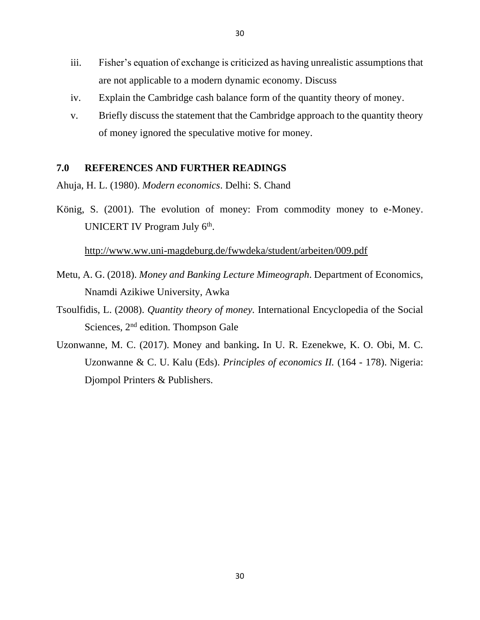- iii. Fisher's equation of exchange is criticized as having unrealistic assumptions that are not applicable to a modern dynamic economy. Discuss
- iv. Explain the Cambridge cash balance form of the quantity theory of money.
- v. Briefly discuss the statement that the Cambridge approach to the quantity theory of money ignored the speculative motive for money.

# **7.0 REFERENCES AND FURTHER READINGS**

Ahuja, H. L. (1980). *Modern economics*. Delhi: S. Chand

König, S. (2001). The evolution of money: From commodity money to e-Money. UNICERT IV Program July 6<sup>th</sup>.

### <http://www.ww.uni-magdeburg.de/fwwdeka/student/arbeiten/009.pdf>

- Metu, A. G. (2018). *Money and Banking Lecture Mimeograph*. Department of Economics, Nnamdi Azikiwe University, Awka
- Tsoulfidis, L. (2008). *Quantity theory of money.* International Encyclopedia of the Social Sciences, 2<sup>nd</sup> edition. Thompson Gale
- Uzonwanne, M. C. (2017). Money and banking**.** In U. R. Ezenekwe, K. O. Obi, M. C. Uzonwanne & C. U. Kalu (Eds). *Principles of economics II.* (164 - 178). Nigeria: Djompol Printers & Publishers.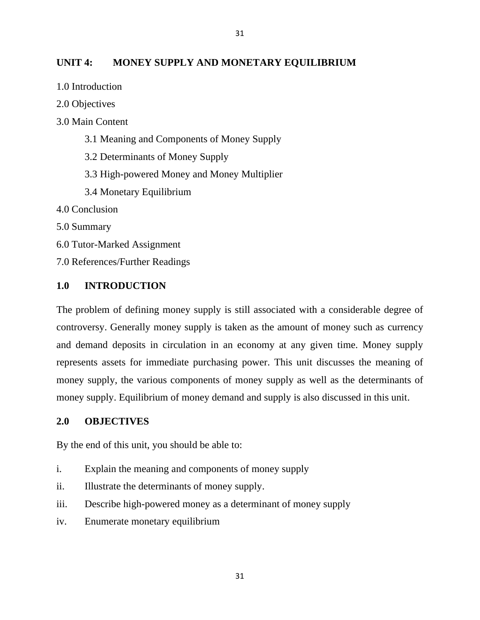# **UNIT 4: MONEY SUPPLY AND MONETARY EQUILIBRIUM**

31

- 1.0 Introduction
- 2.0 Objectives
- 3.0 Main Content
	- 3.1 Meaning and Components of Money Supply
	- 3.2 Determinants of Money Supply
	- 3.3 High-powered Money and Money Multiplier
	- 3.4 Monetary Equilibrium
- 4.0 Conclusion
- 5.0 Summary
- 6.0 Tutor-Marked Assignment
- 7.0 References/Further Readings

# **1.0 INTRODUCTION**

The problem of defining money supply is still associated with a considerable degree of controversy. Generally money supply is taken as the amount of money such as currency and demand deposits in circulation in an economy at any given time. Money supply represents assets for immediate purchasing power. This unit discusses the meaning of money supply, the various components of money supply as well as the determinants of money supply. Equilibrium of money demand and supply is also discussed in this unit.

### **2.0 OBJECTIVES**

By the end of this unit, you should be able to:

- i. Explain the meaning and components of money supply
- ii. Illustrate the determinants of money supply.
- iii. Describe high-powered money as a determinant of money supply
- iv. Enumerate monetary equilibrium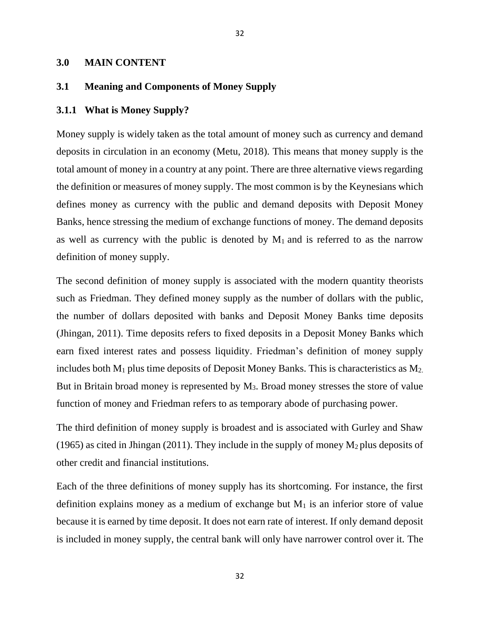#### **3.0 MAIN CONTENT**

# **3.1 Meaning and Components of Money Supply**

#### **3.1.1 What is Money Supply?**

Money supply is widely taken as the total amount of money such as currency and demand deposits in circulation in an economy (Metu, 2018). This means that money supply is the total amount of money in a country at any point. There are three alternative views regarding the definition or measures of money supply. The most common is by the Keynesians which defines money as currency with the public and demand deposits with Deposit Money Banks, hence stressing the medium of exchange functions of money. The demand deposits as well as currency with the public is denoted by  $M_1$  and is referred to as the narrow definition of money supply.

32

The second definition of money supply is associated with the modern quantity theorists such as Friedman. They defined money supply as the number of dollars with the public, the number of dollars deposited with banks and Deposit Money Banks time deposits (Jhingan, 2011). Time deposits refers to fixed deposits in a Deposit Money Banks which earn fixed interest rates and possess liquidity. Friedman's definition of money supply includes both  $M_1$  plus time deposits of Deposit Money Banks. This is characteristics as  $M_2$ . But in Britain broad money is represented by M3. Broad money stresses the store of value function of money and Friedman refers to as temporary abode of purchasing power.

The third definition of money supply is broadest and is associated with Gurley and Shaw (1965) as cited in Jhingan (2011). They include in the supply of money  $M_2$  plus deposits of other credit and financial institutions.

Each of the three definitions of money supply has its shortcoming. For instance, the first definition explains money as a medium of exchange but  $M_1$  is an inferior store of value because it is earned by time deposit. It does not earn rate of interest. If only demand deposit is included in money supply, the central bank will only have narrower control over it. The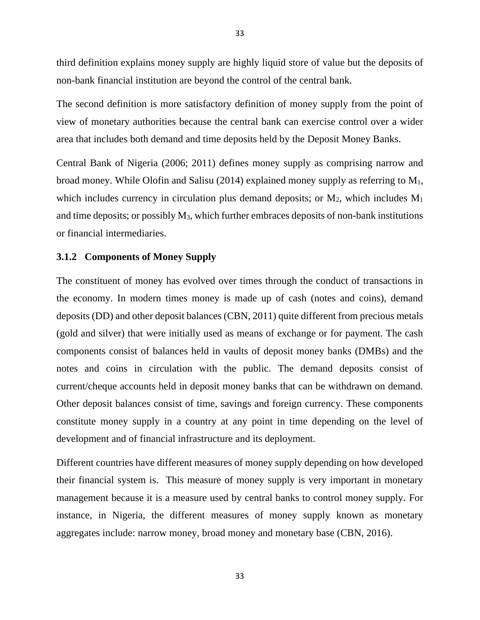third definition explains money supply are highly liquid store of value but the deposits of non-bank financial institution are beyond the control of the central bank.

The second definition is more satisfactory definition of money supply from the point of view of monetary authorities because the central bank can exercise control over a wider area that includes both demand and time deposits held by the Deposit Money Banks.

Central Bank of Nigeria (2006; 2011) defines money supply as comprising narrow and broad money. While Olofin and Salisu (2014) explained money supply as referring to M1, which includes currency in circulation plus demand deposits; or  $M_2$ , which includes  $M_1$ and time deposits; or possibly M3, which further embraces deposits of non-bank institutions or financial intermediaries.

### **3.1.2 Components of Money Supply**

The constituent of money has evolved over times through the conduct of transactions in the economy. In modern times money is made up of cash (notes and coins), demand deposits (DD) and other deposit balances (CBN, 2011) quite different from precious metals (gold and silver) that were initially used as means of exchange or for payment. The cash components consist of balances held in vaults of deposit money banks (DMBs) and the notes and coins in circulation with the public. The demand deposits consist of current/cheque accounts held in deposit money banks that can be withdrawn on demand. Other deposit balances consist of time, savings and foreign currency. These components constitute money supply in a country at any point in time depending on the level of development and of financial infrastructure and its deployment.

Different countries have different measures of money supply depending on how developed their financial system is. This measure of money supply is very important in monetary management because it is a measure used by central banks to control money supply. For instance, in Nigeria, the different measures of money supply known as monetary aggregates include: narrow money, broad money and monetary base (CBN, 2016).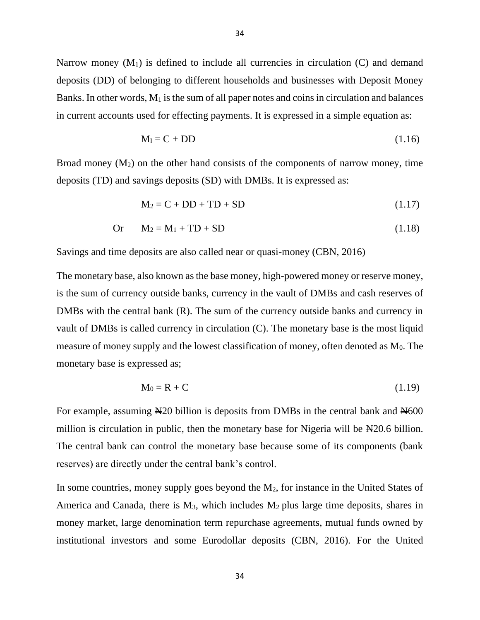Narrow money  $(M_1)$  is defined to include all currencies in circulation  $(C)$  and demand deposits (DD) of belonging to different households and businesses with Deposit Money Banks. In other words,  $M_1$  is the sum of all paper notes and coins in circulation and balances in current accounts used for effecting payments. It is expressed in a simple equation as:

$$
M_{I} = C + DD \tag{1.16}
$$

Broad money  $(M_2)$  on the other hand consists of the components of narrow money, time deposits (TD) and savings deposits (SD) with DMBs. It is expressed as:

$$
M_2 = C + DD + TD + SD \tag{1.17}
$$

$$
Or \t M2 = M1 + TD + SD \t(1.18)
$$

Savings and time deposits are also called near or quasi-money (CBN, 2016)

The monetary base, also known as the base money, high-powered money or reserve money, is the sum of currency outside banks, currency in the vault of DMBs and cash reserves of DMBs with the central bank (R). The sum of the currency outside banks and currency in vault of DMBs is called currency in circulation (C). The monetary base is the most liquid measure of money supply and the lowest classification of money, often denoted as  $M_0$ . The monetary base is expressed as;

$$
M_0 = R + C \tag{1.19}
$$

For example, assuming N<sub>20</sub> billion is deposits from DMBs in the central bank and N<sub>600</sub> million is circulation in public, then the monetary base for Nigeria will be No. 6 billion. The central bank can control the monetary base because some of its components (bank reserves) are directly under the central bank's control.

In some countries, money supply goes beyond the  $M_2$ , for instance in the United States of America and Canada, there is  $M_3$ , which includes  $M_2$  plus large time deposits, shares in money market, large denomination term repurchase agreements, mutual funds owned by institutional investors and some Eurodollar deposits (CBN, 2016). For the United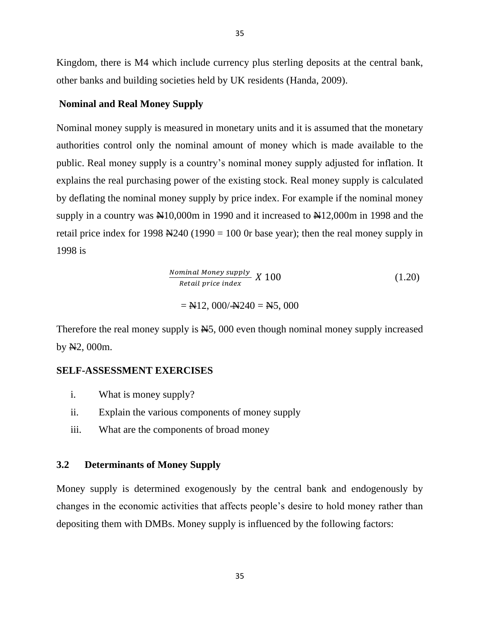Kingdom, there is M4 which include currency plus sterling deposits at the central bank, other banks and building societies held by UK residents (Handa, 2009).

# **Nominal and Real Money Supply**

Nominal money supply is measured in monetary units and it is assumed that the monetary authorities control only the nominal amount of money which is made available to the public. Real money supply is a country's nominal money supply adjusted for inflation. It explains the real purchasing power of the existing stock. Real money supply is calculated by deflating the nominal money supply by price index. For example if the nominal money supply in a country was  $\mathbb{N}10,000$ m in 1990 and it increased to  $\mathbb{N}12,000$ m in 1998 and the retail price index for 1998  $\frac{1998}{1990}$  = 100 0r base year); then the real money supply in 1998 is

Nominal Money supply  
\n*Retail price index*  
\n
$$
= \text{Al2, } 000/\text{Al240} = \text{Al5, } 000
$$
\n(1.20)

Therefore the real money supply is  $\mathbb{H}$ 5, 000 even though nominal money supply increased by  $N2$ , 000m.

# **SELF-ASSESSMENT EXERCISES**

- i. What is money supply?
- ii. Explain the various components of money supply
- iii. What are the components of broad money

### **3.2 Determinants of Money Supply**

Money supply is determined exogenously by the central bank and endogenously by changes in the economic activities that affects people's desire to hold money rather than depositing them with DMBs. Money supply is influenced by the following factors: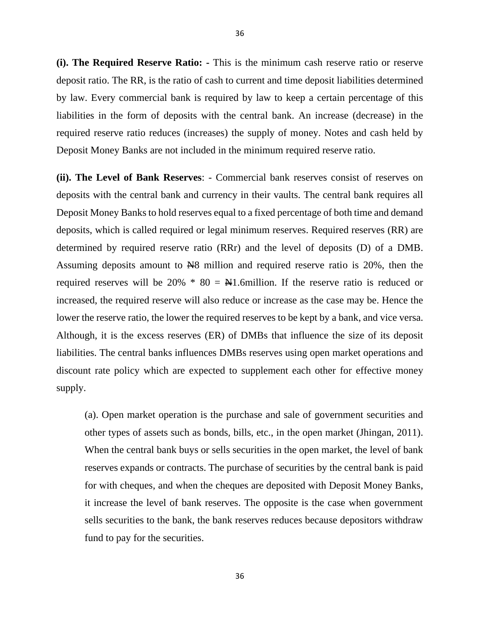**(i). The Required Reserve Ratio: -** This is the minimum cash reserve ratio or reserve deposit ratio. The RR, is the ratio of cash to current and time deposit liabilities determined by law. Every commercial bank is required by law to keep a certain percentage of this liabilities in the form of deposits with the central bank. An increase (decrease) in the required reserve ratio reduces (increases) the supply of money. Notes and cash held by Deposit Money Banks are not included in the minimum required reserve ratio.

**(ii). The Level of Bank Reserves**: - Commercial bank reserves consist of reserves on deposits with the central bank and currency in their vaults. The central bank requires all Deposit Money Banks to hold reserves equal to a fixed percentage of both time and demand deposits, which is called required or legal minimum reserves. Required reserves (RR) are determined by required reserve ratio (RRr) and the level of deposits (D) of a DMB. Assuming deposits amount to N8 million and required reserve ratio is 20%, then the required reserves will be 20%  $*$  80 =  $\text{\#}1$ .6million. If the reserve ratio is reduced or increased, the required reserve will also reduce or increase as the case may be. Hence the lower the reserve ratio, the lower the required reserves to be kept by a bank, and vice versa. Although, it is the excess reserves (ER) of DMBs that influence the size of its deposit liabilities. The central banks influences DMBs reserves using open market operations and discount rate policy which are expected to supplement each other for effective money supply.

(a). Open market operation is the purchase and sale of government securities and other types of assets such as bonds, bills, etc., in the open market (Jhingan, 2011). When the central bank buys or sells securities in the open market, the level of bank reserves expands or contracts. The purchase of securities by the central bank is paid for with cheques, and when the cheques are deposited with Deposit Money Banks, it increase the level of bank reserves. The opposite is the case when government sells securities to the bank, the bank reserves reduces because depositors withdraw fund to pay for the securities.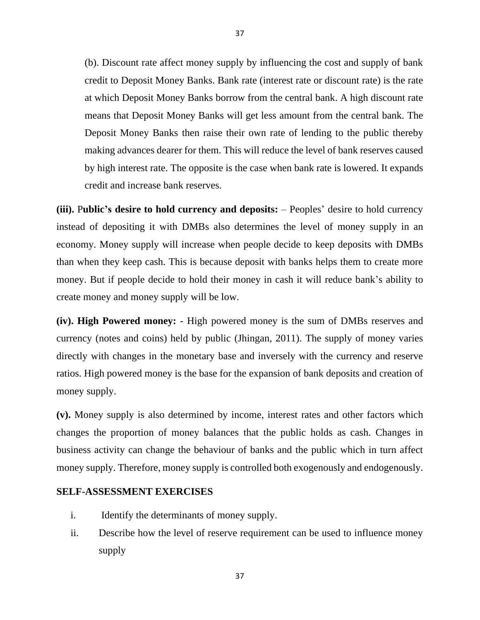(b). Discount rate affect money supply by influencing the cost and supply of bank credit to Deposit Money Banks. Bank rate (interest rate or discount rate) is the rate at which Deposit Money Banks borrow from the central bank. A high discount rate means that Deposit Money Banks will get less amount from the central bank. The Deposit Money Banks then raise their own rate of lending to the public thereby making advances dearer for them. This will reduce the level of bank reserves caused by high interest rate. The opposite is the case when bank rate is lowered. It expands credit and increase bank reserves.

**(iii).** P**ublic's desire to hold currency and deposits:** – Peoples' desire to hold currency instead of depositing it with DMBs also determines the level of money supply in an economy. Money supply will increase when people decide to keep deposits with DMBs than when they keep cash. This is because deposit with banks helps them to create more money. But if people decide to hold their money in cash it will reduce bank's ability to create money and money supply will be low.

**(iv). High Powered money:** - High powered money is the sum of DMBs reserves and currency (notes and coins) held by public (Jhingan, 2011). The supply of money varies directly with changes in the monetary base and inversely with the currency and reserve ratios. High powered money is the base for the expansion of bank deposits and creation of money supply.

**(v).** Money supply is also determined by income, interest rates and other factors which changes the proportion of money balances that the public holds as cash. Changes in business activity can change the behaviour of banks and the public which in turn affect money supply. Therefore, money supply is controlled both exogenously and endogenously.

### **SELF-ASSESSMENT EXERCISES**

- i. Identify the determinants of money supply.
- ii. Describe how the level of reserve requirement can be used to influence money supply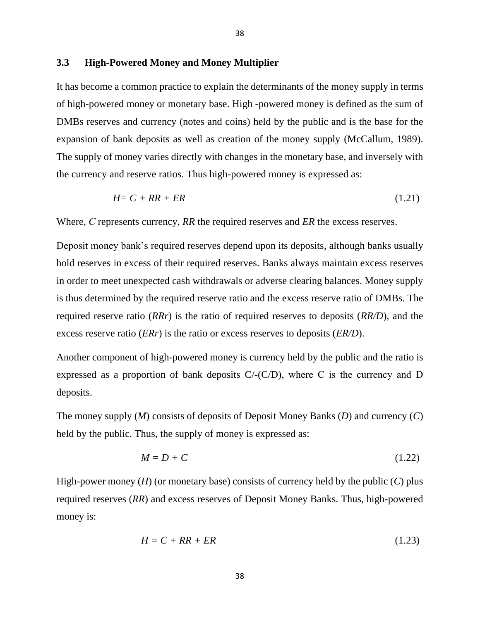### **3.3 High-Powered Money and Money Multiplier**

It has become a common practice to explain the determinants of the money supply in terms of high-powered money or monetary base. High -powered money is defined as the sum of DMBs reserves and currency (notes and coins) held by the public and is the base for the expansion of bank deposits as well as creation of the money supply (McCallum, 1989). The supply of money varies directly with changes in the monetary base, and inversely with the currency and reserve ratios. Thus high-powered money is expressed as:

38

$$
H = C + RR + ER \tag{1.21}
$$

Where, *С* represents currency, *RR* the required reserves and *ER* the excess reserves.

Deposit money bank's required reserves depend upon its deposits, although banks usually hold reserves in excess of their required reserves. Banks always maintain excess reserves in order to meet unexpected cash withdrawals or adverse clearing balances. Money supply is thus determined by the required reserve ratio and the excess reserve ratio of DMBs. The required reserve ratio (*RRr*) is the ratio of required reserves to deposits (*RR/D*), and the excess reserve ratio (*ERr*) is the ratio or excess reserves to deposits (*ER/D*).

Another component of high-powered money is currency held by the public and the ratio is expressed as a proportion of bank deposits  $C$ /- $(C/D)$ , where C is the currency and D deposits.

The money supply (*M*) consists of deposits of Deposit Money Banks (*D*) and currency (*C*) held by the public. Thus, the supply of money is expressed as:

$$
M = D + C \tag{1.22}
$$

High-power money (*H*) (or monetary base) consists of currency held by the public (*C*) plus required reserves (*RR*) and excess reserves of Deposit Money Banks. Thus, high-powered money is:

$$
H = C + RR + ER \tag{1.23}
$$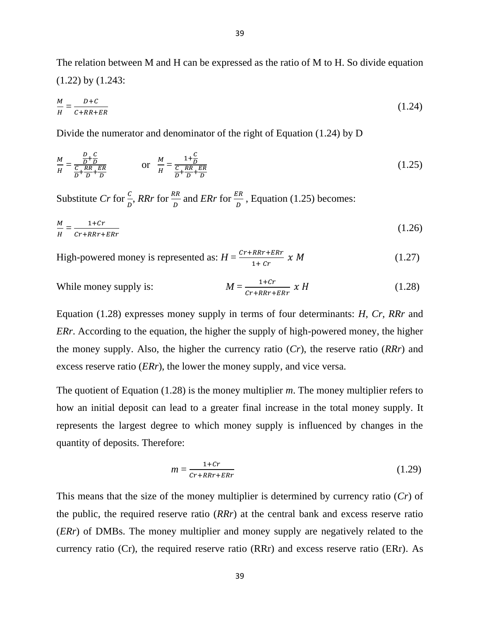The relation between M and H can be expressed as the ratio of M to H. So divide equation (1.22) by (1.243:

$$
\frac{M}{H} = \frac{D + C}{C + RR + ER} \tag{1.24}
$$

Divide the numerator and denominator of the right of Equation (1.24) by D

$$
\frac{M}{H} = \frac{\frac{D}{D} + \frac{C}{D}}{\frac{C}{D} + \frac{RR}{D} + \frac{ER}{D}}
$$
 or 
$$
\frac{M}{H} = \frac{1 + \frac{C}{D}}{\frac{C}{D} + \frac{RR}{D} + \frac{ER}{D}}
$$
 (1.25)

Substitute *Cr* for  $\frac{c}{D}$ , *RRr* for  $\frac{RR}{D}$  and *ERr* for  $\frac{ER}{D}$ , Equation (1.25) becomes:

$$
\frac{M}{H} = \frac{1+Cr}{Cr+RRr+ERr} \tag{1.26}
$$

High-powered money is represented as:  $H = \frac{Cr + RRT + ERT}{r}$  $1+Cr$ (1.27)

While money supply is: 
$$
M = \frac{1+Cr}{Cr+RRr+ERr} \times H
$$
 (1.28)

Equation (1.28) expresses money supply in terms of four determinants: *H, Cr, RRr* and *ERr.* According to the equation, the higher the supply of high-powered money, the higher the money supply. Also, the higher the currency ratio (*Cr*), the reserve ratio (*RRr*) and excess reserve ratio (*ERr*), the lower the money supply, and vice versa.

The quotient of Equation (1.28) is the money multiplier *m*. The money multiplier refers to how an initial deposit can lead to a greater final increase in the total money supply. It represents the largest degree to which money supply is influenced by changes in the quantity of deposits. Therefore:

$$
m = \frac{1+Cr}{Cr+RRr+ERr} \tag{1.29}
$$

This means that the size of the money multiplier is determined by currency ratio (*Cr*) of the public, the required reserve ratio (*RRr*) at the central bank and excess reserve ratio (*ERr*) of DMBs. The money multiplier and money supply are negatively related to the currency ratio (Cr), the required reserve ratio (RRr) and excess reserve ratio (ERr). As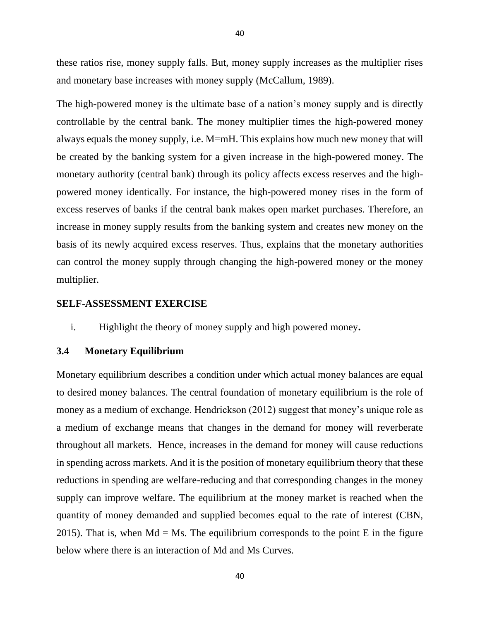these ratios rise, money supply falls. But, money supply increases as the multiplier rises and monetary base increases with money supply (McCallum, 1989).

The high-powered money is the ultimate base of a nation's money supply and is directly controllable by the central bank. The money multiplier times the high-powered money always equals the money supply, i.e. M=mH. This explains how much new money that will be created by the banking system for a given increase in the high-powered money. The monetary authority (central bank) through its policy affects excess reserves and the highpowered money identically. For instance, the high-powered money rises in the form of excess reserves of banks if the central bank makes open market purchases. Therefore, an increase in money supply results from the banking system and creates new money on the basis of its newly acquired excess reserves. Thus, explains that the monetary authorities can control the money supply through changing the high-powered money or the money multiplier.

### **SELF-ASSESSMENT EXERCISE**

i. Highlight the theory of money supply and high powered money**.**

### **3.4 Monetary Equilibrium**

Monetary equilibrium describes a condition under which actual money balances are equal to desired money balances. The central foundation of monetary equilibrium is the role of money as a medium of exchange. Hendrickson (2012) suggest that money's unique role as a medium of exchange means that changes in the demand for money will reverberate throughout all markets. Hence, increases in the demand for money will cause reductions in spending across markets. And it is the position of monetary equilibrium theory that these reductions in spending are welfare-reducing and that corresponding changes in the money supply can improve welfare. The equilibrium at the money market is reached when the quantity of money demanded and supplied becomes equal to the rate of interest (CBN, 2015). That is, when  $Md = Ms$ . The equilibrium corresponds to the point E in the figure below where there is an interaction of Md and Ms Curves.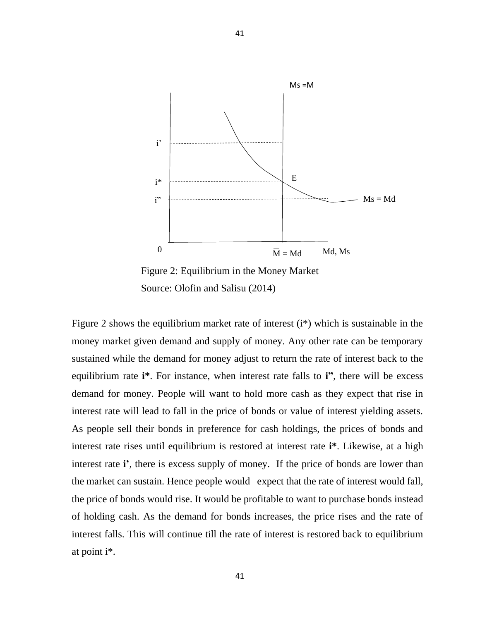

Figure 2: Equilibrium in the Money Market Source: Olofin and Salisu (2014)

41

Figure 2 shows the equilibrium market rate of interest (i\*) which is sustainable in the money market given demand and supply of money. Any other rate can be temporary sustained while the demand for money adjust to return the rate of interest back to the equilibrium rate **i\***. For instance, when interest rate falls to **i"**, there will be excess demand for money. People will want to hold more cash as they expect that rise in interest rate will lead to fall in the price of bonds or value of interest yielding assets. As people sell their bonds in preference for cash holdings, the prices of bonds and interest rate rises until equilibrium is restored at interest rate **i\***. Likewise, at a high interest rate **i'**, there is excess supply of money. If the price of bonds are lower than the market can sustain. Hence people would expect that the rate of interest would fall, the price of bonds would rise. It would be profitable to want to purchase bonds instead of holding cash. As the demand for bonds increases, the price rises and the rate of interest falls. This will continue till the rate of interest is restored back to equilibrium at point i\*.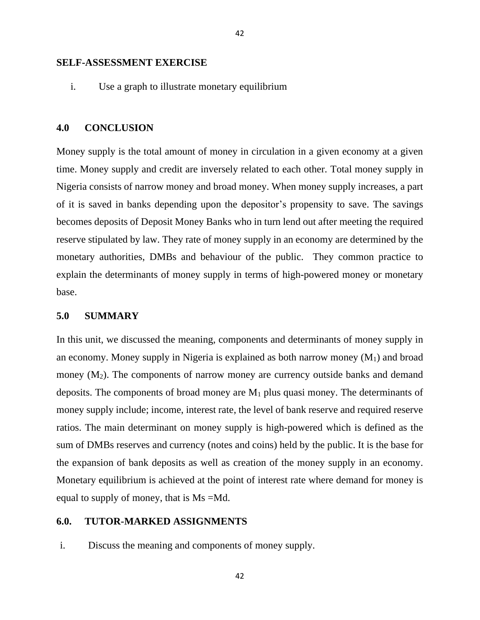#### **SELF-ASSESSMENT EXERCISE**

i. Use a graph to illustrate monetary equilibrium

#### **4.0 CONCLUSION**

Money supply is the total amount of money in circulation in a given economy at a given time. Money supply and credit are inversely related to each other. Total money supply in Nigeria consists of narrow money and broad money. When money supply increases, a part of it is saved in banks depending upon the depositor's propensity to save. The savings becomes deposits of Deposit Money Banks who in turn lend out after meeting the required reserve stipulated by law. They rate of money supply in an economy are determined by the monetary authorities, DMBs and behaviour of the public. They common practice to explain the determinants of money supply in terms of high-powered money or monetary base.

# **5.0 SUMMARY**

In this unit, we discussed the meaning, components and determinants of money supply in an economy. Money supply in Nigeria is explained as both narrow money  $(M_1)$  and broad money  $(M_2)$ . The components of narrow money are currency outside banks and demand deposits. The components of broad money are  $M_1$  plus quasi money. The determinants of money supply include; income, interest rate, the level of bank reserve and required reserve ratios. The main determinant on money supply is high-powered which is defined as the sum of DMBs reserves and currency (notes and coins) held by the public. It is the base for the expansion of bank deposits as well as creation of the money supply in an economy. Monetary equilibrium is achieved at the point of interest rate where demand for money is equal to supply of money, that is Ms =Md.

### **6.0. TUTOR-MARKED ASSIGNMENTS**

i. Discuss the meaning and components of money supply.

42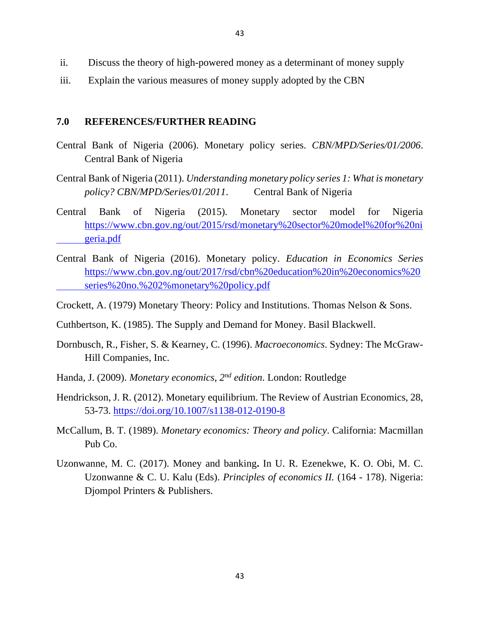- ii. Discuss the theory of high-powered money as a determinant of money supply
- iii. Explain the various measures of money supply adopted by the CBN

# **7.0 REFERENCES/FURTHER READING**

- Central Bank of Nigeria (2006). Monetary policy series. *CBN/MPD/Series/01/2006*. Central Bank of Nigeria
- Central Bank of Nigeria (2011). *Understanding monetary policy series 1: What is monetary policy? CBN/MPD/Series/01/2011*. Central Bank of Nigeria
- Central Bank of Nigeria (2015). Monetary sector model for Nigeria [https://www.cbn.gov.ng/out/2015/rsd/monetary%20sector%20model%20for%20ni](https://www.cbn.gov.ng/out/2015/rsd/monetary%20sector%20model%20for%20ni%09geria.pdf) [geria.pdf](https://www.cbn.gov.ng/out/2015/rsd/monetary%20sector%20model%20for%20ni%09geria.pdf)
- Central Bank of Nigeria (2016). Monetary policy. *Education in Economics Series*  [https://www.cbn.gov.ng/out/2017/rsd/cbn%20education%20in%20economics%20](https://www.cbn.gov.ng/out/2017/rsd/cbn%20education%20in%20economics%20%09series%20no.%202%25monetary%20policy.pdf) [series%20no.%202%monetary%20policy.pdf](https://www.cbn.gov.ng/out/2017/rsd/cbn%20education%20in%20economics%20%09series%20no.%202%25monetary%20policy.pdf)
- Crockett, A. (1979) Monetary Theory: Policy and Institutions. Thomas Nelson & Sons.
- Cuthbertson, K. (1985). The Supply and Demand for Money. Basil Blackwell.
- Dornbusch, R., Fisher, S. & Kearney, C. (1996). *Macroeconomics*. Sydney: The McGraw-Hill Companies, Inc.
- Handa, J. (2009). *Monetary economics, 2nd edition*. London: Routledge
- Hendrickson, J. R. (2012). Monetary equilibrium. The Review of Austrian Economics, 28, 53-73.<https://doi.org/10.1007/s1138-012-0190-8>
- McCallum, B. T. (1989). *Monetary economics: Theory and policy*. California: Macmillan Pub Co.
- Uzonwanne, M. C. (2017). Money and banking**.** In U. R. Ezenekwe, K. O. Obi, M. C. Uzonwanne & C. U. Kalu (Eds). *Principles of economics II.* (164 - 178). Nigeria: Djompol Printers & Publishers.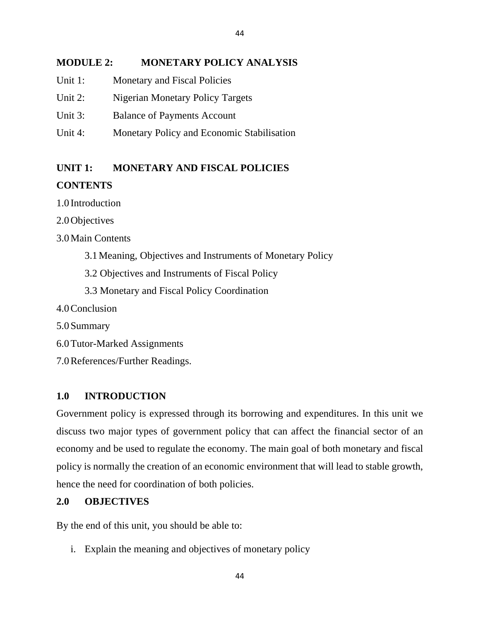# **MODULE 2: MONETARY POLICY ANALYSIS**

44

- Unit 1: Monetary and Fiscal Policies
- Unit 2: Nigerian Monetary Policy Targets
- Unit 3: Balance of Payments Account
- Unit 4: Monetary Policy and Economic Stabilisation

# **UNIT 1: MONETARY AND FISCAL POLICIES**

# **CONTENTS**

1.0 Introduction

2.0Objectives

3.0Main Contents

- 3.1Meaning, Objectives and Instruments of Monetary Policy
- 3.2 Objectives and Instruments of Fiscal Policy
- 3.3 Monetary and Fiscal Policy Coordination
- 4.0Conclusion
- 5.0Summary
- 6.0Tutor-Marked Assignments
- 7.0References/Further Readings.

# **1.0 INTRODUCTION**

Government policy is expressed through its borrowing and expenditures. In this unit we discuss two major types of government policy that can affect the financial sector of an economy and be used to regulate the economy. The main goal of both monetary and fiscal policy is normally the creation of an economic environment that will lead to stable growth, hence the need for coordination of both policies.

# **2.0 OBJECTIVES**

By the end of this unit, you should be able to:

i. Explain the meaning and objectives of monetary policy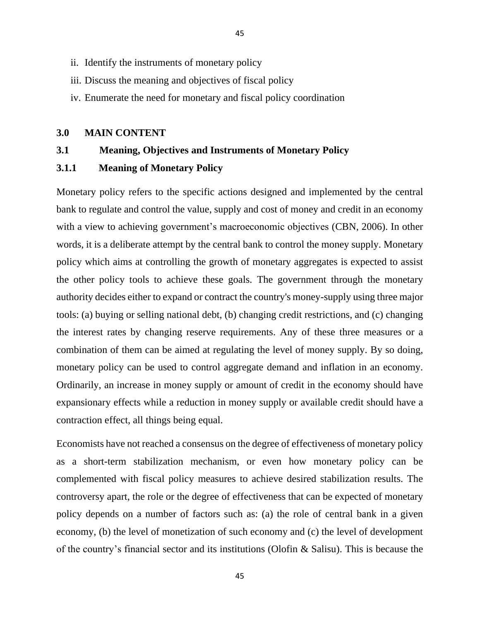- ii. Identify the instruments of monetary policy
- iii. Discuss the meaning and objectives of fiscal policy
- iv. Enumerate the need for monetary and fiscal policy coordination

45

### **3.0 MAIN CONTENT**

### **3.1 Meaning, Objectives and Instruments of Monetary Policy**

### **3.1.1 Meaning of Monetary Policy**

Monetary policy refers to the specific actions designed and implemented by the central bank to regulate and control the value, supply and cost of money and credit in an economy with a view to achieving government's macroeconomic objectives (CBN, 2006). In other words, it is a deliberate attempt by the central bank to control the money supply. Monetary policy which aims at controlling the growth of monetary aggregates is expected to assist the other policy tools to achieve these goals. The government through the monetary authority decides either to expand or contract the country's money-supply using three major tools: (a) buying or selling national debt, (b) changing credit restrictions, and (c) changing the interest rates by changing reserve requirements. Any of these three measures or a combination of them can be aimed at regulating the level of money supply. By so doing, monetary policy can be used to control aggregate demand and inflation in an economy. Ordinarily, an increase in money supply or amount of credit in the economy should have expansionary effects while a reduction in money supply or available credit should have a contraction effect, all things being equal.

Economists have not reached a consensus on the degree of effectiveness of monetary policy as a short-term stabilization mechanism, or even how monetary policy can be complemented with fiscal policy measures to achieve desired stabilization results. The controversy apart, the role or the degree of effectiveness that can be expected of monetary policy depends on a number of factors such as: (a) the role of central bank in a given economy, (b) the level of monetization of such economy and (c) the level of development of the country's financial sector and its institutions (Olofin & Salisu). This is because the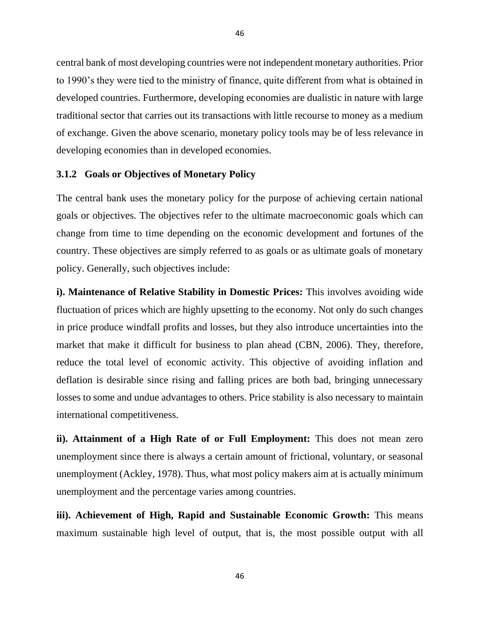central bank of most developing countries were not independent monetary authorities. Prior to 1990's they were tied to the ministry of finance, quite different from what is obtained in developed countries. Furthermore, developing economies are dualistic in nature with large traditional sector that carries out its transactions with little recourse to money as a medium of exchange. Given the above scenario, monetary policy tools may be of less relevance in developing economies than in developed economies.

#### **3.1.2 Goals or Objectives of Monetary Policy**

The central bank uses the monetary policy for the purpose of achieving certain national goals or objectives. The objectives refer to the ultimate macroeconomic goals which can change from time to time depending on the economic development and fortunes of the country. These objectives are simply referred to as goals or as ultimate goals of monetary policy. Generally, such objectives include:

**i). Maintenance of Relative Stability in Domestic Prices:** This involves avoiding wide fluctuation of prices which are highly upsetting to the economy. Not only do such changes in price produce windfall profits and losses, but they also introduce uncertainties into the market that make it difficult for business to plan ahead (CBN, 2006). They, therefore, reduce the total level of economic activity. This objective of avoiding inflation and deflation is desirable since rising and falling prices are both bad, bringing unnecessary losses to some and undue advantages to others. Price stability is also necessary to maintain international competitiveness.

**ii). Attainment of a High Rate of or Full Employment:** This does not mean zero unemployment since there is always a certain amount of frictional, voluntary, or seasonal unemployment (Ackley, 1978). Thus, what most policy makers aim at is actually minimum unemployment and the percentage varies among countries.

**iii). Achievement of High, Rapid and Sustainable Economic Growth:** This means maximum sustainable high level of output, that is, the most possible output with all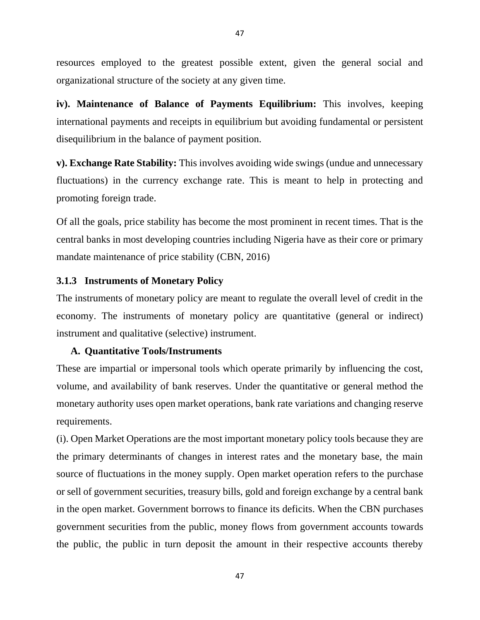resources employed to the greatest possible extent, given the general social and organizational structure of the society at any given time.

**iv). Maintenance of Balance of Payments Equilibrium:** This involves, keeping international payments and receipts in equilibrium but avoiding fundamental or persistent disequilibrium in the balance of payment position.

**v). Exchange Rate Stability:** This involves avoiding wide swings (undue and unnecessary fluctuations) in the currency exchange rate. This is meant to help in protecting and promoting foreign trade.

Of all the goals, price stability has become the most prominent in recent times. That is the central banks in most developing countries including Nigeria have as their core or primary mandate maintenance of price stability (CBN, 2016)

#### **3.1.3 Instruments of Monetary Policy**

The instruments of monetary policy are meant to regulate the overall level of credit in the economy. The instruments of monetary policy are quantitative (general or indirect) instrument and qualitative (selective) instrument.

#### **A. Quantitative Tools/Instruments**

These are impartial or impersonal tools which operate primarily by influencing the cost, volume, and availability of bank reserves. Under the quantitative or general method the monetary authority uses open market operations, bank rate variations and changing reserve requirements.

(i). Open Market Operations are the most important monetary policy tools because they are the primary determinants of changes in interest rates and the monetary base, the main source of fluctuations in the money supply. Open market operation refers to the purchase or sell of government securities, treasury bills, gold and foreign exchange by a central bank in the open market. Government borrows to finance its deficits. When the CBN purchases government securities from the public, money flows from government accounts towards the public, the public in turn deposit the amount in their respective accounts thereby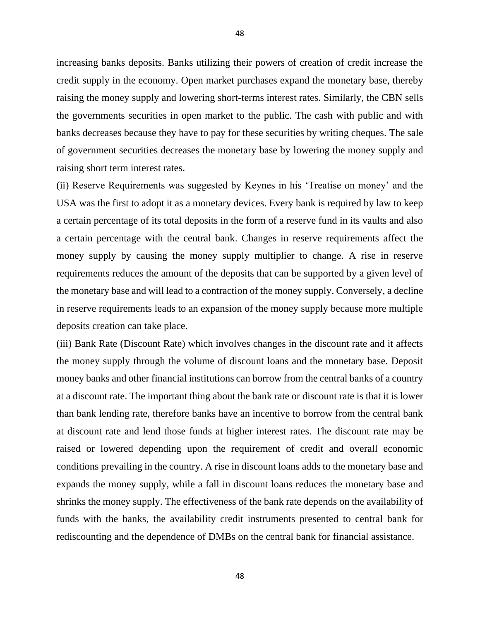increasing banks deposits. Banks utilizing their powers of creation of credit increase the credit supply in the economy. Open market purchases expand the monetary base, thereby raising the money supply and lowering short-terms interest rates. Similarly, the CBN sells the governments securities in open market to the public. The cash with public and with banks decreases because they have to pay for these securities by writing cheques. The sale of government securities decreases the monetary base by lowering the money supply and raising short term interest rates.

(ii) Reserve Requirements was suggested by Keynes in his 'Treatise on money' and the USA was the first to adopt it as a monetary devices. Every bank is required by law to keep a certain percentage of its total deposits in the form of a reserve fund in its vaults and also a certain percentage with the central bank. Changes in reserve requirements affect the money supply by causing the money supply multiplier to change. A rise in reserve requirements reduces the amount of the deposits that can be supported by a given level of the monetary base and will lead to a contraction of the money supply. Conversely, a decline in reserve requirements leads to an expansion of the money supply because more multiple deposits creation can take place.

(iii) Bank Rate (Discount Rate) which involves changes in the discount rate and it affects the money supply through the volume of discount loans and the monetary base. Deposit money banks and other financial institutions can borrow from the central banks of a country at a discount rate. The important thing about the bank rate or discount rate is that it is lower than bank lending rate, therefore banks have an incentive to borrow from the central bank at discount rate and lend those funds at higher interest rates. The discount rate may be raised or lowered depending upon the requirement of credit and overall economic conditions prevailing in the country. A rise in discount loans adds to the monetary base and expands the money supply, while a fall in discount loans reduces the monetary base and shrinks the money supply. The effectiveness of the bank rate depends on the availability of funds with the banks, the availability credit instruments presented to central bank for rediscounting and the dependence of DMBs on the central bank for financial assistance.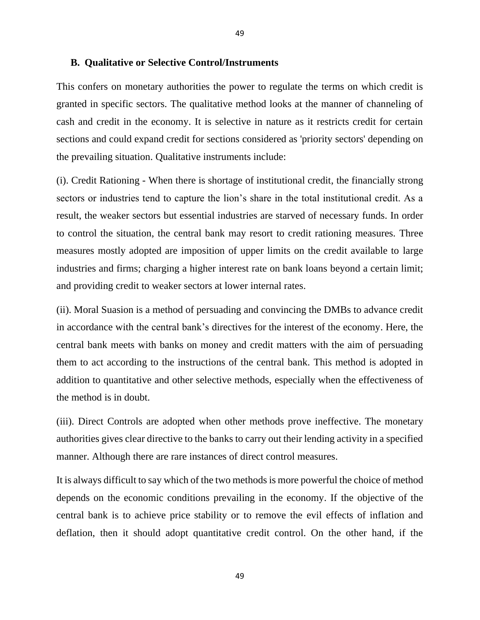#### **B. Qualitative or Selective Control/Instruments**

This confers on monetary authorities the power to regulate the terms on which credit is granted in specific sectors. The qualitative method looks at the manner of channeling of cash and credit in the economy. It is selective in nature as it restricts credit for certain sections and could expand credit for sections considered as 'priority sectors' depending on the prevailing situation. Qualitative instruments include:

(i). Credit Rationing - When there is shortage of institutional credit, the financially strong sectors or industries tend to capture the lion's share in the total institutional credit. As a result, the weaker sectors but essential industries are starved of necessary funds. In order to control the situation, the central bank may resort to credit rationing measures. Three measures mostly adopted are imposition of upper limits on the credit available to large industries and firms; charging a higher interest rate on bank loans beyond a certain limit; and providing credit to weaker sectors at lower internal rates.

(ii). Moral Suasion is a method of persuading and convincing the DMBs to advance credit in accordance with the central bank's directives for the interest of the economy. Here, the central bank meets with banks on money and credit matters with the aim of persuading them to act according to the instructions of the central bank. This method is adopted in addition to quantitative and other selective methods, especially when the effectiveness of the method is in doubt.

(iii). Direct Controls are adopted when other methods prove ineffective. The monetary authorities gives clear directive to the banks to carry out their lending activity in a specified manner. Although there are rare instances of direct control measures.

It is always difficult to say which of the two methods is more powerful the choice of method depends on the economic conditions prevailing in the economy. If the objective of the central bank is to achieve price stability or to remove the evil effects of inflation and deflation, then it should adopt quantitative credit control. On the other hand, if the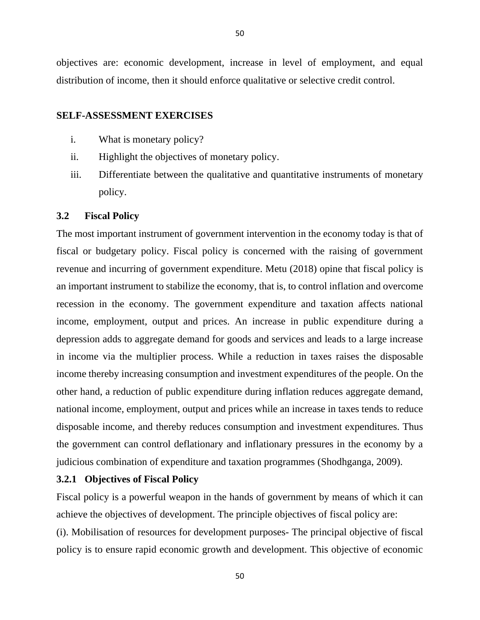objectives are: economic development, increase in level of employment, and equal distribution of income, then it should enforce qualitative or selective credit control.

### **SELF-ASSESSMENT EXERCISES**

- i. What is monetary policy?
- ii. Highlight the objectives of monetary policy.
- iii. Differentiate between the qualitative and quantitative instruments of monetary policy.

### **3.2 Fiscal Policy**

The most important instrument of government intervention in the economy today is that of fiscal or budgetary policy. Fiscal policy is concerned with the raising of government revenue and incurring of government expenditure. Metu (2018) opine that fiscal policy is an important instrument to stabilize the economy, that is, to control inflation and overcome recession in the economy. The government expenditure and taxation affects national income, employment, output and prices. An increase in public expenditure during a depression adds to aggregate demand for goods and services and leads to a large increase in income via the multiplier process. While a reduction in taxes raises the disposable income thereby increasing consumption and investment expenditures of the people. On the other hand, a reduction of public expenditure during inflation reduces aggregate demand, national income, employment, output and prices while an increase in taxes tends to reduce disposable income, and thereby reduces consumption and investment expenditures. Thus the government can control deflationary and inflationary pressures in the economy by a judicious combination of expenditure and taxation programmes (Shodhganga, 2009).

### **3.2.1 Objectives of Fiscal Policy**

Fiscal policy is a powerful weapon in the hands of government by means of which it can achieve the objectives of development. The principle objectives of fiscal policy are: (i). Mobilisation of resources for development purposes- The principal objective of fiscal policy is to ensure rapid economic growth and development. This objective of economic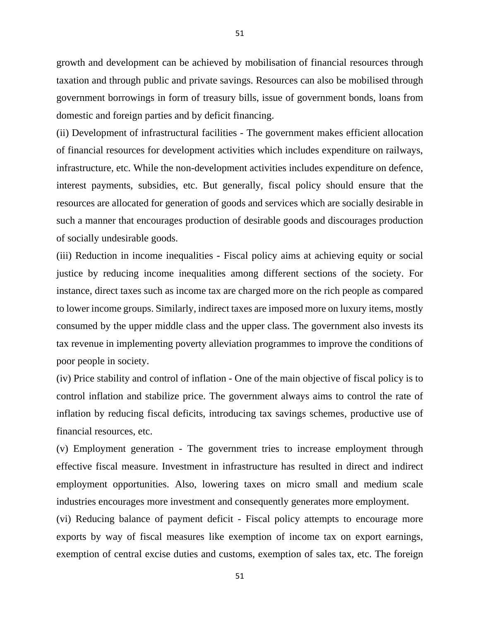growth and development can be achieved by mobilisation of financial resources through taxation and through public and private savings. Resources can also be mobilised through government borrowings in form of treasury bills, issue of government bonds, loans from domestic and foreign parties and by deficit financing.

(ii) Development of infrastructural facilities - The government makes efficient allocation of financial resources for development activities which includes expenditure on railways, infrastructure, etc. While the non-development activities includes expenditure on defence, interest payments, subsidies, etc. But generally, fiscal policy should ensure that the resources are allocated for generation of goods and services which are socially desirable in such a manner that encourages production of desirable goods and discourages production of socially undesirable goods.

(iii) Reduction in income inequalities - Fiscal policy aims at achieving equity or social justice by reducing income inequalities among different sections of the society. For instance, direct taxes such as income tax are charged more on the rich people as compared to lower income groups. Similarly, indirect taxes are imposed more on luxury items, mostly consumed by the upper middle class and the upper class. The government also invests its tax revenue in implementing poverty alleviation programmes to improve the conditions of poor people in society.

(iv) Price stability and control of inflation - One of the main objective of fiscal policy is to control inflation and stabilize price. The government always aims to control the rate of inflation by reducing fiscal deficits, introducing tax savings schemes, productive use of financial resources, etc.

(v) Employment generation - The government tries to increase employment through effective fiscal measure. Investment in infrastructure has resulted in direct and indirect employment opportunities. Also, lowering taxes on micro small and medium scale industries encourages more investment and consequently generates more employment.

(vi) Reducing balance of payment deficit - Fiscal policy attempts to encourage more exports by way of fiscal measures like exemption of income tax on export earnings, exemption of central excise duties and customs, exemption of sales tax, etc. The foreign

51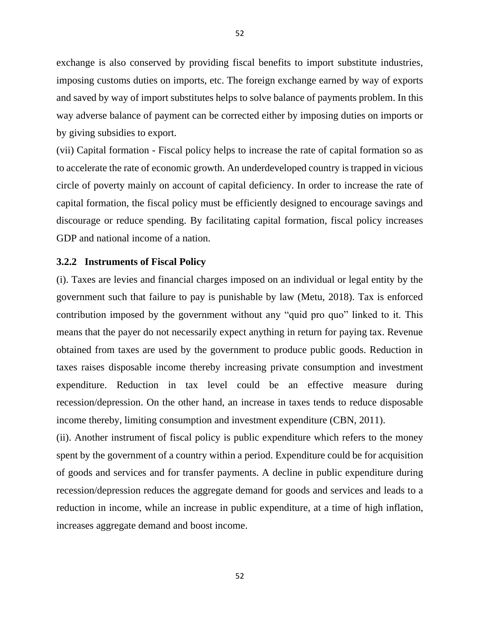exchange is also conserved by providing fiscal benefits to import substitute industries, imposing customs duties on imports, etc. The foreign exchange earned by way of exports and saved by way of import substitutes helps to solve balance of payments problem. In this way adverse balance of payment can be corrected either by imposing duties on imports or by giving subsidies to export.

(vii) Capital formation - Fiscal policy helps to increase the rate of capital formation so as to accelerate the rate of economic growth. An underdeveloped country is trapped in vicious circle of poverty mainly on account of capital deficiency. In order to increase the rate of capital formation, the fiscal policy must be efficiently designed to encourage savings and discourage or reduce spending. By facilitating capital formation, fiscal policy increases GDP and national income of a nation.

#### **3.2.2 Instruments of Fiscal Policy**

(i). Taxes are levies and financial charges imposed on an individual or legal entity by the government such that failure to pay is punishable by law (Metu, 2018). Tax is enforced contribution imposed by the government without any "quid pro quo" linked to it. This means that the payer do not necessarily expect anything in return for paying tax. Revenue obtained from taxes are used by the government to produce public goods. Reduction in taxes raises disposable income thereby increasing private consumption and investment expenditure. Reduction in tax level could be an effective measure during recession/depression. On the other hand, an increase in taxes tends to reduce disposable income thereby, limiting consumption and investment expenditure (CBN, 2011).

(ii). Another instrument of fiscal policy is public expenditure which refers to the money spent by the government of a country within a period. Expenditure could be for acquisition of goods and services and for transfer payments. A decline in public expenditure during recession/depression reduces the aggregate demand for goods and services and leads to a reduction in income, while an increase in public expenditure, at a time of high inflation, increases aggregate demand and boost income.

52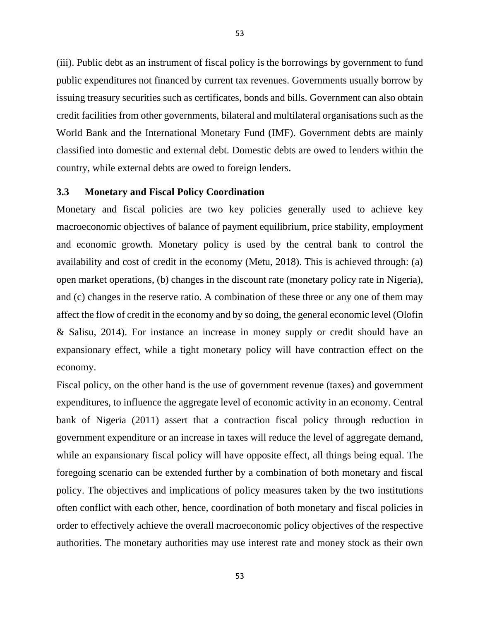(iii). Public debt as an instrument of fiscal policy is the borrowings by government to fund public expenditures not financed by current tax revenues. Governments usually borrow by issuing treasury securities such as certificates, bonds and bills. Government can also obtain credit facilities from other governments, bilateral and multilateral organisations such as the World Bank and the International Monetary Fund (IMF). Government debts are mainly classified into domestic and external debt. Domestic debts are owed to lenders within the country, while external debts are owed to foreign lenders.

### **3.3 Monetary and Fiscal Policy Coordination**

Monetary and fiscal policies are two key policies generally used to achieve key macroeconomic objectives of balance of payment equilibrium, price stability, employment and economic growth. Monetary policy is used by the central bank to control the availability and cost of credit in the economy (Metu, 2018). This is achieved through: (a) open market operations, (b) changes in the discount rate (monetary policy rate in Nigeria), and (c) changes in the reserve ratio. A combination of these three or any one of them may affect the flow of credit in the economy and by so doing, the general economic level (Olofin & Salisu, 2014). For instance an increase in money supply or credit should have an expansionary effect, while a tight monetary policy will have contraction effect on the economy.

Fiscal policy, on the other hand is the use of government revenue (taxes) and government expenditures, to influence the aggregate level of economic activity in an economy. Central bank of Nigeria (2011) assert that a contraction fiscal policy through reduction in government expenditure or an increase in taxes will reduce the level of aggregate demand, while an expansionary fiscal policy will have opposite effect, all things being equal. The foregoing scenario can be extended further by a combination of both monetary and fiscal policy. The objectives and implications of policy measures taken by the two institutions often conflict with each other, hence, coordination of both monetary and fiscal policies in order to effectively achieve the overall macroeconomic policy objectives of the respective authorities. The monetary authorities may use interest rate and money stock as their own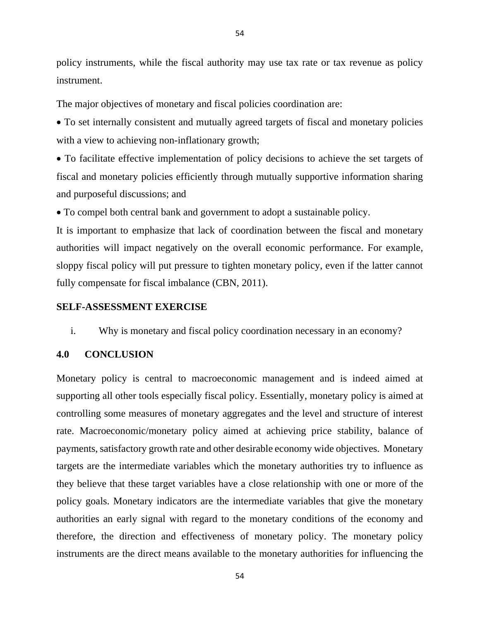policy instruments, while the fiscal authority may use tax rate or tax revenue as policy instrument.

The major objectives of monetary and fiscal policies coordination are:

• To set internally consistent and mutually agreed targets of fiscal and monetary policies with a view to achieving non-inflationary growth;

• To facilitate effective implementation of policy decisions to achieve the set targets of fiscal and monetary policies efficiently through mutually supportive information sharing and purposeful discussions; and

• To compel both central bank and government to adopt a sustainable policy.

It is important to emphasize that lack of coordination between the fiscal and monetary authorities will impact negatively on the overall economic performance. For example, sloppy fiscal policy will put pressure to tighten monetary policy, even if the latter cannot fully compensate for fiscal imbalance (CBN, 2011).

### **SELF-ASSESSMENT EXERCISE**

i. Why is monetary and fiscal policy coordination necessary in an economy?

### **4.0 CONCLUSION**

Monetary policy is central to macroeconomic management and is indeed aimed at supporting all other tools especially fiscal policy. Essentially, monetary policy is aimed at controlling some measures of monetary aggregates and the level and structure of interest rate. Macroeconomic/monetary policy aimed at achieving price stability, balance of payments, satisfactory growth rate and other desirable economy wide objectives. Monetary targets are the intermediate variables which the monetary authorities try to influence as they believe that these target variables have a close relationship with one or more of the policy goals. Monetary indicators are the intermediate variables that give the monetary authorities an early signal with regard to the monetary conditions of the economy and therefore, the direction and effectiveness of monetary policy. The monetary policy instruments are the direct means available to the monetary authorities for influencing the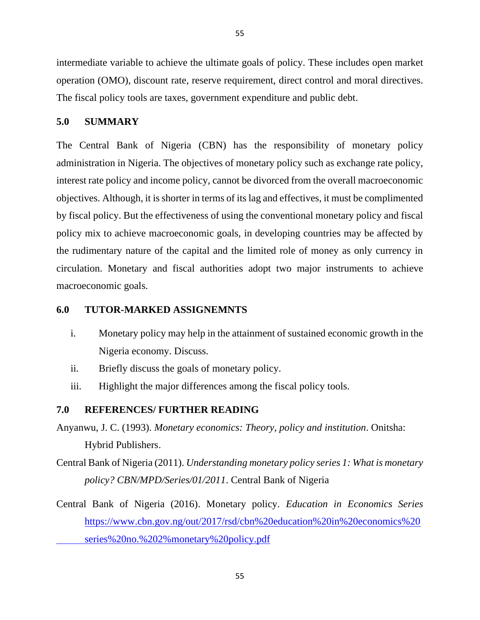intermediate variable to achieve the ultimate goals of policy. These includes open market operation (OMO), discount rate, reserve requirement, direct control and moral directives. The fiscal policy tools are taxes, government expenditure and public debt.

# **5.0 SUMMARY**

The Central Bank of Nigeria (CBN) has the responsibility of monetary policy administration in Nigeria. The objectives of monetary policy such as exchange rate policy, interest rate policy and income policy, cannot be divorced from the overall macroeconomic objectives. Although, it is shorter in terms of its lag and effectives, it must be complimented by fiscal policy. But the effectiveness of using the conventional monetary policy and fiscal policy mix to achieve macroeconomic goals, in developing countries may be affected by the rudimentary nature of the capital and the limited role of money as only currency in circulation. Monetary and fiscal authorities adopt two major instruments to achieve macroeconomic goals.

# **6.0 TUTOR-MARKED ASSIGNEMNTS**

- i. Monetary policy may help in the attainment of sustained economic growth in the Nigeria economy. Discuss.
- ii. Briefly discuss the goals of monetary policy.
- iii. Highlight the major differences among the fiscal policy tools.

# **7.0 REFERENCES/ FURTHER READING**

- Anyanwu, J. C. (1993). *Monetary economics: Theory, policy and institution*. Onitsha: Hybrid Publishers.
- Central Bank of Nigeria (2011). *Understanding monetary policy series 1: What is monetary policy? CBN/MPD/Series/01/2011*. Central Bank of Nigeria
- Central Bank of Nigeria (2016). Monetary policy. *Education in Economics Series*  [https://www.cbn.gov.ng/out/2017/rsd/cbn%20education%20in%20economics%20](https://www.cbn.gov.ng/out/2017/rsd/cbn%20education%20in%20economics%20%09series%20no.%202%25monetary%20policy.pdf) [series%20no.%202%monetary%20policy.pdf](https://www.cbn.gov.ng/out/2017/rsd/cbn%20education%20in%20economics%20%09series%20no.%202%25monetary%20policy.pdf)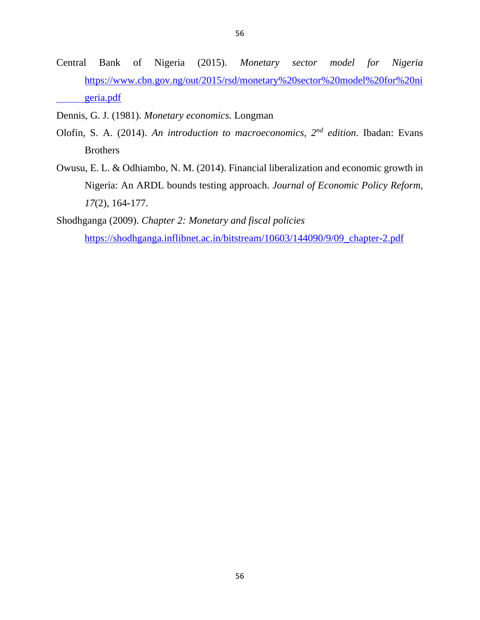- Central Bank of Nigeria (2015). *Monetary sector model for Nigeria* [https://www.cbn.gov.ng/out/2015/rsd/monetary%20sector%20model%20for%20ni](https://www.cbn.gov.ng/out/2015/rsd/monetary%20sector%20model%20for%20ni%09geria.pdf) [geria.pdf](https://www.cbn.gov.ng/out/2015/rsd/monetary%20sector%20model%20for%20ni%09geria.pdf)
- Dennis, G. J. (1981). *Monetary economics.* Longman
- Olofin, S. A. (2014). *An introduction to macroeconomics, 2nd edition*. Ibadan: Evans **Brothers**
- Owusu, E. L. & Odhiambo, N. M. (2014). Financial liberalization and economic growth in Nigeria: An ARDL bounds testing approach. *Journal of Economic Policy Reform, 17*(2), 164-177.

Shodhganga (2009). *Chapter 2: Monetary and fiscal policies* [https://shodhganga.inflibnet.ac.in/bitstream/10603/144090/9/09\\_chapter-2.pdf](https://shodhganga.inflibnet.ac.in/bitstream/10603/144090/9/09_chapter-2.pdf)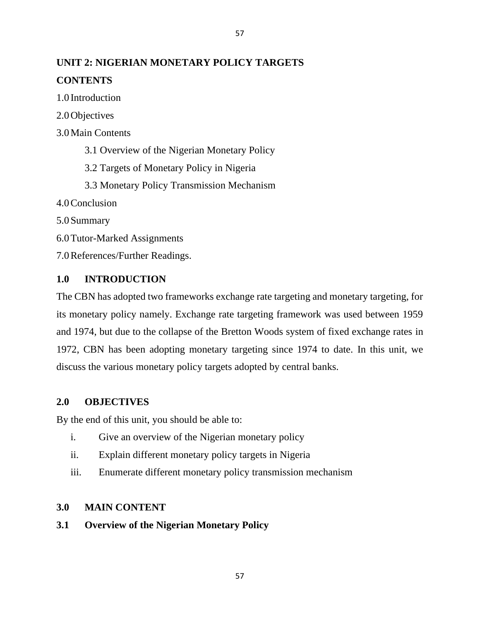# **UNIT 2: NIGERIAN MONETARY POLICY TARGETS CONTENTS**

1.0 Introduction

2.0Objectives

3.0Main Contents

3.1 Overview of the Nigerian Monetary Policy

3.2 Targets of Monetary Policy in Nigeria

3.3 Monetary Policy Transmission Mechanism

4.0Conclusion

5.0Summary

6.0Tutor-Marked Assignments

7.0References/Further Readings.

# **1.0 INTRODUCTION**

The CBN has adopted two frameworks exchange rate targeting and monetary targeting, for its monetary policy namely. Exchange rate targeting framework was used between 1959 and 1974, but due to the collapse of the Bretton Woods system of fixed exchange rates in 1972, CBN has been adopting monetary targeting since 1974 to date. In this unit, we discuss the various monetary policy targets adopted by central banks.

# **2.0 OBJECTIVES**

By the end of this unit, you should be able to:

- i. Give an overview of the Nigerian monetary policy
- ii. Explain different monetary policy targets in Nigeria
- iii. Enumerate different monetary policy transmission mechanism

# **3.0 MAIN CONTENT**

# **3.1 Overview of the Nigerian Monetary Policy**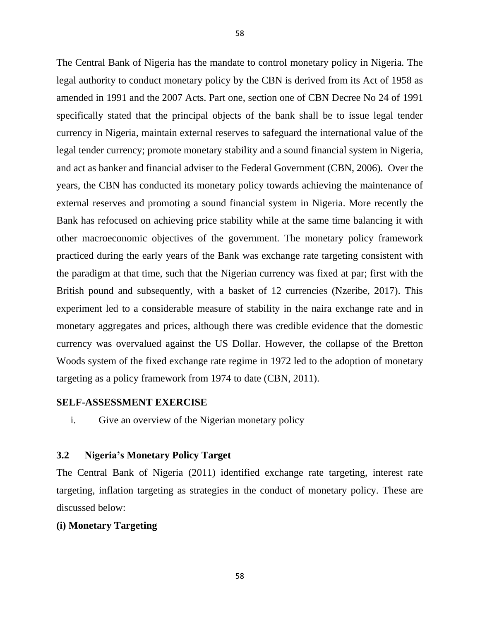The Central Bank of Nigeria has the mandate to control monetary policy in Nigeria. The legal authority to conduct monetary policy by the CBN is derived from its Act of 1958 as amended in 1991 and the 2007 Acts. Part one, section one of CBN Decree No 24 of 1991 specifically stated that the principal objects of the bank shall be to issue legal tender currency in Nigeria, maintain external reserves to safeguard the international value of the legal tender currency; promote monetary stability and a sound financial system in Nigeria, and act as banker and financial adviser to the Federal Government (CBN, 2006). Over the years, the CBN has conducted its monetary policy towards achieving the maintenance of external reserves and promoting a sound financial system in Nigeria. More recently the Bank has refocused on achieving price stability while at the same time balancing it with other macroeconomic objectives of the government. The monetary policy framework practiced during the early years of the Bank was exchange rate targeting consistent with the paradigm at that time, such that the Nigerian currency was fixed at par; first with the British pound and subsequently, with a basket of 12 currencies (Nzeribe, 2017). This experiment led to a considerable measure of stability in the naira exchange rate and in monetary aggregates and prices, although there was credible evidence that the domestic currency was overvalued against the US Dollar. However, the collapse of the Bretton Woods system of the fixed exchange rate regime in 1972 led to the adoption of monetary targeting as a policy framework from 1974 to date (CBN, 2011).

# **SELF-ASSESSMENT EXERCISE**

i. Give an overview of the Nigerian monetary policy

# **3.2 Nigeria's Monetary Policy Target**

The Central Bank of Nigeria (2011) identified exchange rate targeting, interest rate targeting, inflation targeting as strategies in the conduct of monetary policy. These are discussed below:

#### **(i) Monetary Targeting**

58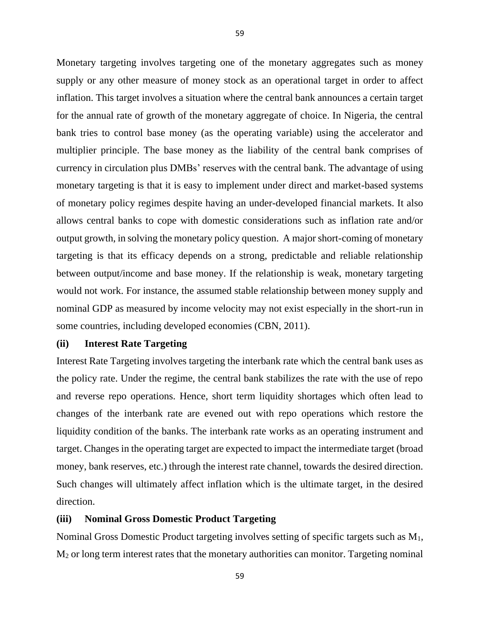Monetary targeting involves targeting one of the monetary aggregates such as money supply or any other measure of money stock as an operational target in order to affect inflation. This target involves a situation where the central bank announces a certain target for the annual rate of growth of the monetary aggregate of choice. In Nigeria, the central bank tries to control base money (as the operating variable) using the accelerator and multiplier principle. The base money as the liability of the central bank comprises of currency in circulation plus DMBs' reserves with the central bank. The advantage of using monetary targeting is that it is easy to implement under direct and market-based systems of monetary policy regimes despite having an under-developed financial markets. It also allows central banks to cope with domestic considerations such as inflation rate and/or output growth, in solving the monetary policy question. A major short-coming of monetary targeting is that its efficacy depends on a strong, predictable and reliable relationship between output/income and base money. If the relationship is weak, monetary targeting would not work. For instance, the assumed stable relationship between money supply and nominal GDP as measured by income velocity may not exist especially in the short-run in some countries, including developed economies (CBN, 2011).

#### **(ii) Interest Rate Targeting**

Interest Rate Targeting involves targeting the interbank rate which the central bank uses as the policy rate. Under the regime, the central bank stabilizes the rate with the use of repo and reverse repo operations. Hence, short term liquidity shortages which often lead to changes of the interbank rate are evened out with repo operations which restore the liquidity condition of the banks. The interbank rate works as an operating instrument and target. Changes in the operating target are expected to impact the intermediate target (broad money, bank reserves, etc.) through the interest rate channel, towards the desired direction. Such changes will ultimately affect inflation which is the ultimate target, in the desired direction.

#### **(iii) Nominal Gross Domestic Product Targeting**

Nominal Gross Domestic Product targeting involves setting of specific targets such as M1, M<sup>2</sup> or long term interest rates that the monetary authorities can monitor. Targeting nominal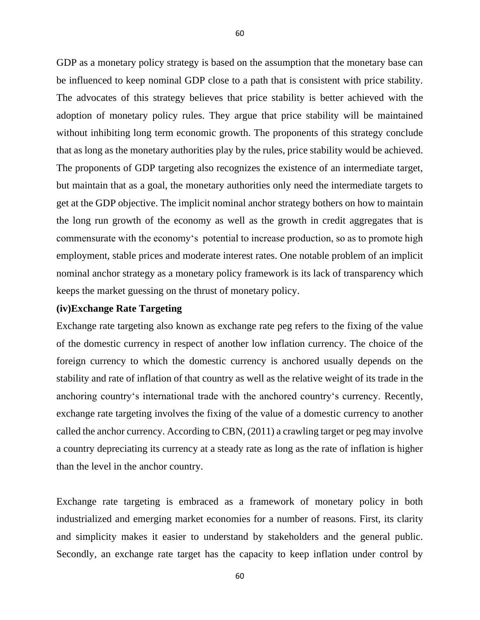GDP as a monetary policy strategy is based on the assumption that the monetary base can be influenced to keep nominal GDP close to a path that is consistent with price stability. The advocates of this strategy believes that price stability is better achieved with the adoption of monetary policy rules. They argue that price stability will be maintained without inhibiting long term economic growth. The proponents of this strategy conclude that as long as the monetary authorities play by the rules, price stability would be achieved. The proponents of GDP targeting also recognizes the existence of an intermediate target, but maintain that as a goal, the monetary authorities only need the intermediate targets to get at the GDP objective. The implicit nominal anchor strategy bothers on how to maintain the long run growth of the economy as well as the growth in credit aggregates that is commensurate with the economy's potential to increase production, so as to promote high employment, stable prices and moderate interest rates. One notable problem of an implicit nominal anchor strategy as a monetary policy framework is its lack of transparency which keeps the market guessing on the thrust of monetary policy.

#### **(iv)Exchange Rate Targeting**

Exchange rate targeting also known as exchange rate peg refers to the fixing of the value of the domestic currency in respect of another low inflation currency. The choice of the foreign currency to which the domestic currency is anchored usually depends on the stability and rate of inflation of that country as well as the relative weight of its trade in the anchoring country's international trade with the anchored country's currency. Recently, exchange rate targeting involves the fixing of the value of a domestic currency to another called the anchor currency. According to CBN, (2011) a crawling target or peg may involve a country depreciating its currency at a steady rate as long as the rate of inflation is higher than the level in the anchor country.

Exchange rate targeting is embraced as a framework of monetary policy in both industrialized and emerging market economies for a number of reasons. First, its clarity and simplicity makes it easier to understand by stakeholders and the general public. Secondly, an exchange rate target has the capacity to keep inflation under control by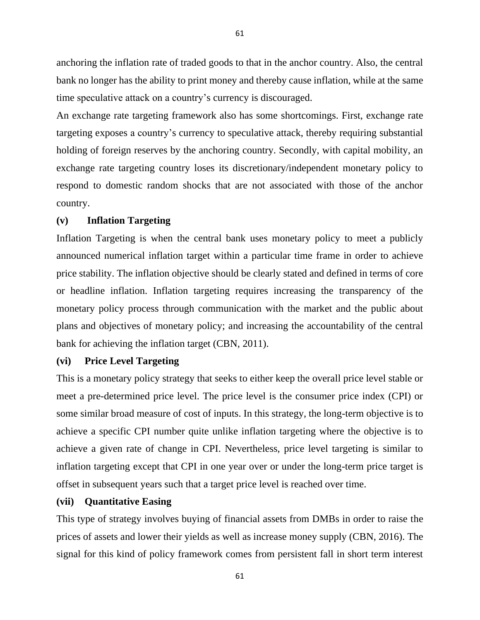anchoring the inflation rate of traded goods to that in the anchor country. Also, the central bank no longer has the ability to print money and thereby cause inflation, while at the same time speculative attack on a country's currency is discouraged.

An exchange rate targeting framework also has some shortcomings. First, exchange rate targeting exposes a country's currency to speculative attack, thereby requiring substantial holding of foreign reserves by the anchoring country. Secondly, with capital mobility, an exchange rate targeting country loses its discretionary/independent monetary policy to respond to domestic random shocks that are not associated with those of the anchor country.

# **(v) Inflation Targeting**

Inflation Targeting is when the central bank uses monetary policy to meet a publicly announced numerical inflation target within a particular time frame in order to achieve price stability. The inflation objective should be clearly stated and defined in terms of core or headline inflation. Inflation targeting requires increasing the transparency of the monetary policy process through communication with the market and the public about plans and objectives of monetary policy; and increasing the accountability of the central bank for achieving the inflation target (CBN, 2011).

# **(vi) Price Level Targeting**

This is a monetary policy strategy that seeks to either keep the overall price level stable or meet a pre-determined price level. The price level is the consumer price index (CPI) or some similar broad measure of cost of inputs. In this strategy, the long-term objective is to achieve a specific CPI number quite unlike inflation targeting where the objective is to achieve a given rate of change in CPI. Nevertheless, price level targeting is similar to inflation targeting except that CPI in one year over or under the long-term price target is offset in subsequent years such that a target price level is reached over time.

## **(vii) Quantitative Easing**

This type of strategy involves buying of financial assets from DMBs in order to raise the prices of assets and lower their yields as well as increase money supply (CBN, 2016). The signal for this kind of policy framework comes from persistent fall in short term interest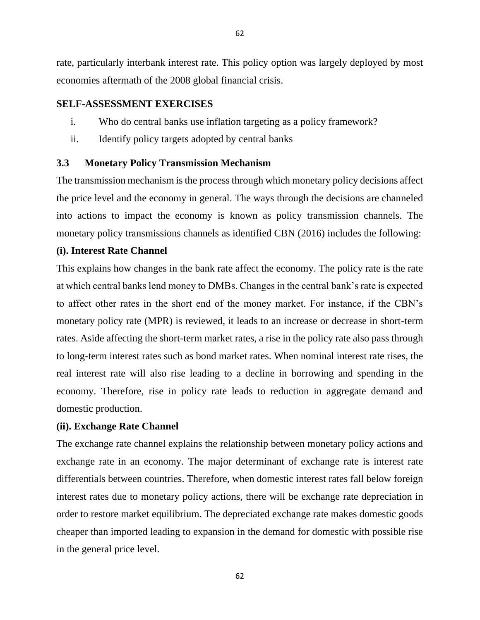rate, particularly interbank interest rate. This policy option was largely deployed by most economies aftermath of the 2008 global financial crisis.

# **SELF-ASSESSMENT EXERCISES**

- i. Who do central banks use inflation targeting as a policy framework?
- ii. Identify policy targets adopted by central banks

# **3.3 Monetary Policy Transmission Mechanism**

The transmission mechanism is the process through which monetary policy decisions affect the price level and the economy in general. The ways through the decisions are channeled into actions to impact the economy is known as policy transmission channels. The monetary policy transmissions channels as identified CBN (2016) includes the following:

# **(i). Interest Rate Channel**

This explains how changes in the bank rate affect the economy. The policy rate is the rate at which central banks lend money to DMBs. Changes in the central bank's rate is expected to affect other rates in the short end of the money market. For instance, if the CBN's monetary policy rate (MPR) is reviewed, it leads to an increase or decrease in short-term rates. Aside affecting the short-term market rates, a rise in the policy rate also pass through to long-term interest rates such as bond market rates. When nominal interest rate rises, the real interest rate will also rise leading to a decline in borrowing and spending in the economy. Therefore, rise in policy rate leads to reduction in aggregate demand and domestic production.

# **(ii). Exchange Rate Channel**

The exchange rate channel explains the relationship between monetary policy actions and exchange rate in an economy. The major determinant of exchange rate is interest rate differentials between countries. Therefore, when domestic interest rates fall below foreign interest rates due to monetary policy actions, there will be exchange rate depreciation in order to restore market equilibrium. The depreciated exchange rate makes domestic goods cheaper than imported leading to expansion in the demand for domestic with possible rise in the general price level.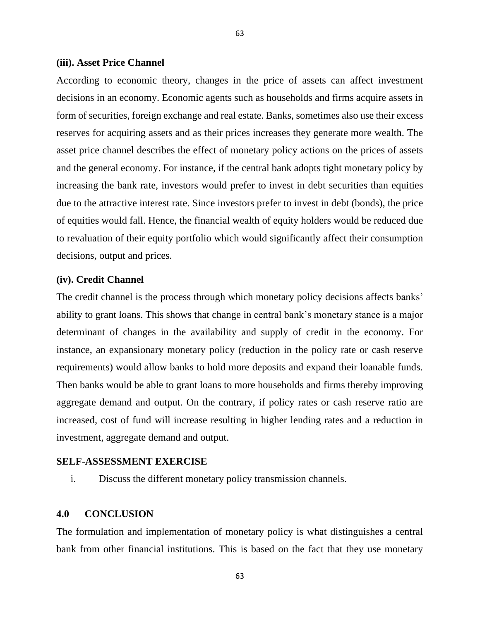#### **(iii). Asset Price Channel**

According to economic theory, changes in the price of assets can affect investment decisions in an economy. Economic agents such as households and firms acquire assets in form of securities, foreign exchange and real estate. Banks, sometimes also use their excess reserves for acquiring assets and as their prices increases they generate more wealth. The asset price channel describes the effect of monetary policy actions on the prices of assets and the general economy. For instance, if the central bank adopts tight monetary policy by increasing the bank rate, investors would prefer to invest in debt securities than equities due to the attractive interest rate. Since investors prefer to invest in debt (bonds), the price of equities would fall. Hence, the financial wealth of equity holders would be reduced due to revaluation of their equity portfolio which would significantly affect their consumption decisions, output and prices.

63

#### **(iv). Credit Channel**

The credit channel is the process through which monetary policy decisions affects banks' ability to grant loans. This shows that change in central bank's monetary stance is a major determinant of changes in the availability and supply of credit in the economy. For instance, an expansionary monetary policy (reduction in the policy rate or cash reserve requirements) would allow banks to hold more deposits and expand their loanable funds. Then banks would be able to grant loans to more households and firms thereby improving aggregate demand and output. On the contrary, if policy rates or cash reserve ratio are increased, cost of fund will increase resulting in higher lending rates and a reduction in investment, aggregate demand and output.

# **SELF-ASSESSMENT EXERCISE**

i. Discuss the different monetary policy transmission channels.

## **4.0 CONCLUSION**

The formulation and implementation of monetary policy is what distinguishes a central bank from other financial institutions. This is based on the fact that they use monetary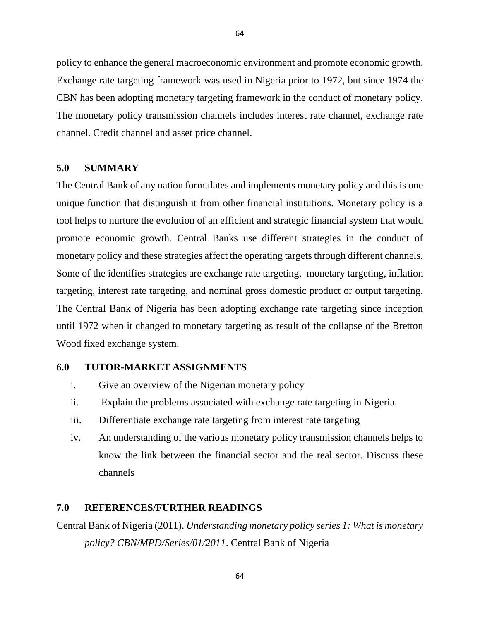policy to enhance the general macroeconomic environment and promote economic growth. Exchange rate targeting framework was used in Nigeria prior to 1972, but since 1974 the CBN has been adopting monetary targeting framework in the conduct of monetary policy. The monetary policy transmission channels includes interest rate channel, exchange rate channel. Credit channel and asset price channel.

### **5.0 SUMMARY**

The Central Bank of any nation formulates and implements monetary policy and this is one unique function that distinguish it from other financial institutions. Monetary policy is a tool helps to nurture the evolution of an efficient and strategic financial system that would promote economic growth. Central Banks use different strategies in the conduct of monetary policy and these strategies affect the operating targets through different channels. Some of the identifies strategies are exchange rate targeting, monetary targeting, inflation targeting, interest rate targeting, and nominal gross domestic product or output targeting. The Central Bank of Nigeria has been adopting exchange rate targeting since inception until 1972 when it changed to monetary targeting as result of the collapse of the Bretton Wood fixed exchange system.

# **6.0 TUTOR-MARKET ASSIGNMENTS**

- i. Give an overview of the Nigerian monetary policy
- ii. Explain the problems associated with exchange rate targeting in Nigeria.
- iii. Differentiate exchange rate targeting from interest rate targeting
- iv. An understanding of the various monetary policy transmission channels helps to know the link between the financial sector and the real sector. Discuss these channels

# **7.0 REFERENCES/FURTHER READINGS**

Central Bank of Nigeria (2011). *Understanding monetary policy series 1: What is monetary policy? CBN/MPD/Series/01/2011*. Central Bank of Nigeria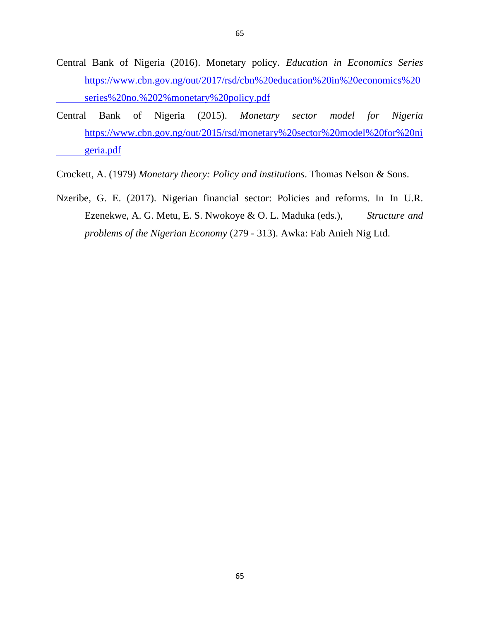- Central Bank of Nigeria (2016). Monetary policy. *Education in Economics Series*  [https://www.cbn.gov.ng/out/2017/rsd/cbn%20education%20in%20economics%20](https://www.cbn.gov.ng/out/2017/rsd/cbn%20education%20in%20economics%20%09series%20no.%202%25monetary%20policy.pdf) [series%20no.%202%monetary%20policy.pdf](https://www.cbn.gov.ng/out/2017/rsd/cbn%20education%20in%20economics%20%09series%20no.%202%25monetary%20policy.pdf)
- Central Bank of Nigeria (2015). *Monetary sector model for Nigeria* [https://www.cbn.gov.ng/out/2015/rsd/monetary%20sector%20model%20for%20ni](https://www.cbn.gov.ng/out/2015/rsd/monetary%20sector%20model%20for%20ni%09geria.pdf) [geria.pdf](https://www.cbn.gov.ng/out/2015/rsd/monetary%20sector%20model%20for%20ni%09geria.pdf)
- Crockett, A. (1979) *Monetary theory: Policy and institutions*. Thomas Nelson & Sons.
- Nzeribe, G. E. (2017). Nigerian financial sector: Policies and reforms. In In U.R. Ezenekwe, A. G. Metu, E. S. Nwokoye & O. L. Maduka (eds.), *Structure and problems of the Nigerian Economy* (279 - 313). Awka: Fab Anieh Nig Ltd.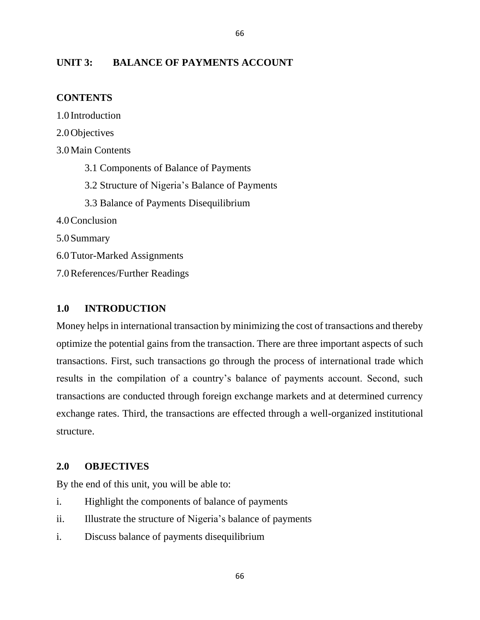# **UNIT 3: BALANCE OF PAYMENTS ACCOUNT**

# **CONTENTS**

1.0 Introduction 2.0Objectives 3.0Main Contents 3.1 Components of Balance of Payments 3.2 Structure of Nigeria's Balance of Payments 3.3 Balance of Payments Disequilibrium 4.0Conclusion 5.0Summary 6.0Tutor-Marked Assignments 7.0References/Further Readings

# **1.0 INTRODUCTION**

Money helps in international transaction by minimizing the cost of transactions and thereby optimize the potential gains from the transaction. There are three important aspects of such transactions. First, such transactions go through the process of international trade which results in the compilation of a country's balance of payments account. Second, such transactions are conducted through foreign exchange markets and at determined currency exchange rates. Third, the transactions are effected through a well-organized institutional structure.

66

## **2.0 OBJECTIVES**

By the end of this unit, you will be able to:

- i. Highlight the components of balance of payments
- ii. Illustrate the structure of Nigeria's balance of payments
- i. Discuss balance of payments disequilibrium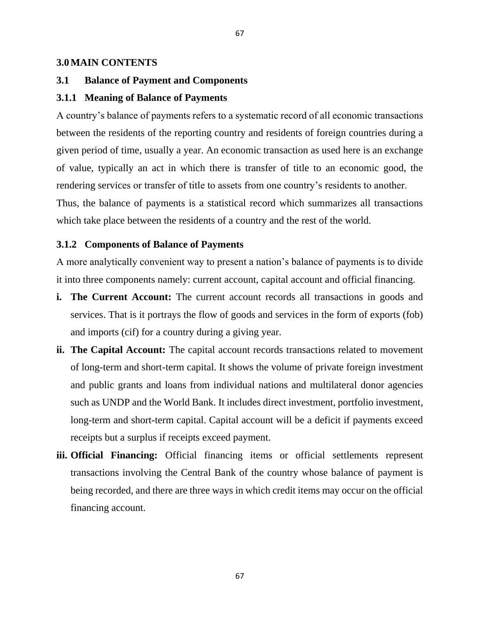#### **3.0MAIN CONTENTS**

#### **3.1 Balance of Payment and Components**

#### **3.1.1 Meaning of Balance of Payments**

A country's balance of payments refers to a systematic record of all economic transactions between the residents of the reporting country and residents of foreign countries during a given period of time, usually a year. An economic transaction as used here is an exchange of value, typically an act in which there is transfer of title to an economic good, the rendering services or transfer of title to assets from one country's residents to another. Thus, the balance of payments is a statistical record which summarizes all transactions which take place between the residents of a country and the rest of the world.

#### **3.1.2 Components of Balance of Payments**

A more analytically convenient way to present a nation's balance of payments is to divide it into three components namely: current account, capital account and official financing.

- **i. The Current Account:** The current account records all transactions in goods and services. That is it portrays the flow of goods and services in the form of exports (fob) and imports (cif) for a country during a giving year.
- **ii. The Capital Account:** The capital account records transactions related to movement of long-term and short-term capital. It shows the volume of private foreign investment and public grants and loans from individual nations and multilateral donor agencies such as UNDP and the World Bank. It includes direct investment, portfolio investment, long-term and short-term capital. Capital account will be a deficit if payments exceed receipts but a surplus if receipts exceed payment.
- **iii. Official Financing:** Official financing items or official settlements represent transactions involving the Central Bank of the country whose balance of payment is being recorded, and there are three ways in which credit items may occur on the official financing account.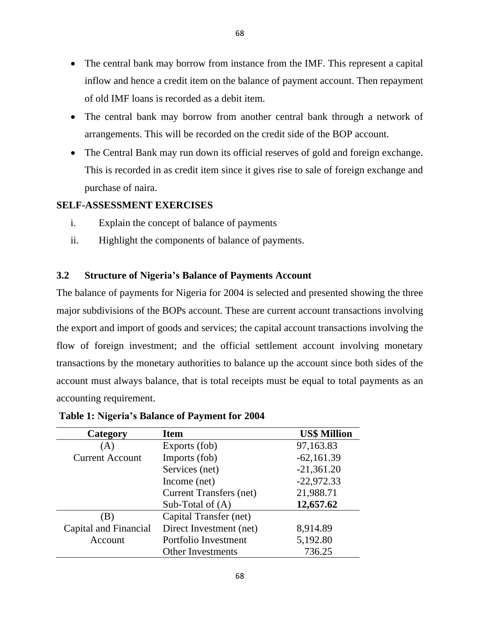68

- The central bank may borrow from another central bank through a network of arrangements. This will be recorded on the credit side of the BOP account.
- The Central Bank may run down its official reserves of gold and foreign exchange. This is recorded in as credit item since it gives rise to sale of foreign exchange and purchase of naira.

# **SELF-ASSESSMENT EXERCISES**

- i. Explain the concept of balance of payments
- ii. Highlight the components of balance of payments.

# **3.2 Structure of Nigeria's Balance of Payments Account**

The balance of payments for Nigeria for 2004 is selected and presented showing the three major subdivisions of the BOPs account. These are current account transactions involving the export and import of goods and services; the capital account transactions involving the flow of foreign investment; and the official settlement account involving monetary transactions by the monetary authorities to balance up the account since both sides of the account must always balance, that is total receipts must be equal to total payments as an accounting requirement.

| Category               | <b>Item</b>                    | <b>US\$ Million</b> |
|------------------------|--------------------------------|---------------------|
| (A)                    | Exports (fob)                  | 97,163.83           |
| <b>Current Account</b> | Imports (fob)                  | $-62,161.39$        |
|                        | Services (net)                 | $-21,361.20$        |
|                        | Income (net)                   | $-22,972.33$        |
|                        | <b>Current Transfers (net)</b> | 21,988.71           |
|                        | Sub-Total of $(A)$             | 12,657.62           |
| (B)                    | Capital Transfer (net)         |                     |
| Capital and Financial  | Direct Investment (net)        | 8,914.89            |
| Account                | Portfolio Investment           | 5,192.80            |
|                        | <b>Other Investments</b>       | 736.25              |

**Table 1: Nigeria's Balance of Payment for 2004**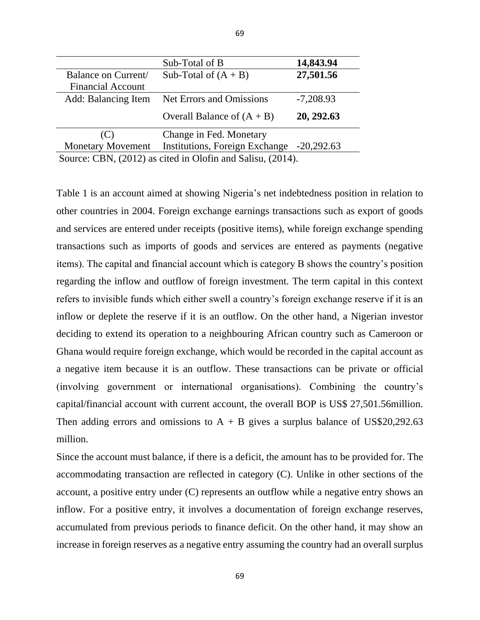|                                                            | Sub-Total of B                  | 14,843.94    |  |
|------------------------------------------------------------|---------------------------------|--------------|--|
| Balance on Current/                                        | Sub-Total of $(A + B)$          | 27,501.56    |  |
| <b>Financial Account</b>                                   |                                 |              |  |
| Add: Balancing Item                                        | <b>Net Errors and Omissions</b> | $-7,208.93$  |  |
|                                                            | Overall Balance of $(A + B)$    | 20, 292.63   |  |
| (C)                                                        | Change in Fed. Monetary         |              |  |
| <b>Monetary Movement</b>                                   | Institutions, Foreign Exchange  | $-20,292.63$ |  |
| Source: CBN, (2012) as cited in Olofin and Salisu, (2014). |                                 |              |  |

69

Table 1 is an account aimed at showing Nigeria's net indebtedness position in relation to other countries in 2004. Foreign exchange earnings transactions such as export of goods and services are entered under receipts (positive items), while foreign exchange spending transactions such as imports of goods and services are entered as payments (negative items). The capital and financial account which is category B shows the country's position regarding the inflow and outflow of foreign investment. The term capital in this context refers to invisible funds which either swell a country's foreign exchange reserve if it is an inflow or deplete the reserve if it is an outflow. On the other hand, a Nigerian investor deciding to extend its operation to a neighbouring African country such as Cameroon or Ghana would require foreign exchange, which would be recorded in the capital account as a negative item because it is an outflow. These transactions can be private or official (involving government or international organisations). Combining the country's capital/financial account with current account, the overall BOP is US\$ 27,501.56million. Then adding errors and omissions to  $A + B$  gives a surplus balance of US\$20,292.63 million.

Since the account must balance, if there is a deficit, the amount has to be provided for. The accommodating transaction are reflected in category (C). Unlike in other sections of the account, a positive entry under (C) represents an outflow while a negative entry shows an inflow. For a positive entry, it involves a documentation of foreign exchange reserves, accumulated from previous periods to finance deficit. On the other hand, it may show an increase in foreign reserves as a negative entry assuming the country had an overall surplus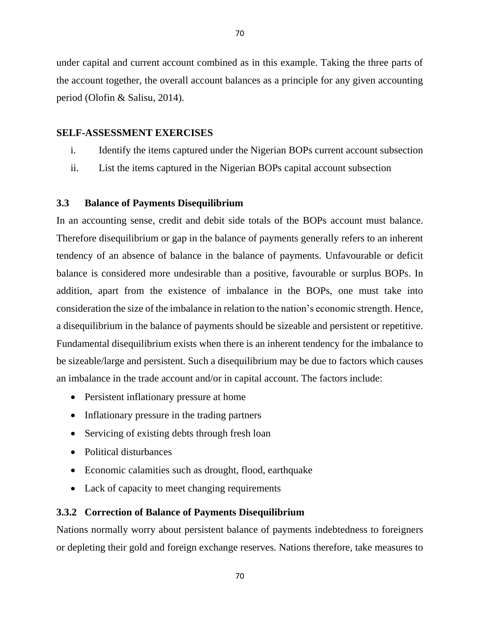under capital and current account combined as in this example. Taking the three parts of the account together, the overall account balances as a principle for any given accounting period (Olofin & Salisu, 2014).

# **SELF-ASSESSMENT EXERCISES**

- i. Identify the items captured under the Nigerian BOPs current account subsection
- ii. List the items captured in the Nigerian BOPs capital account subsection

# **3.3 Balance of Payments Disequilibrium**

In an accounting sense, credit and debit side totals of the BOPs account must balance. Therefore disequilibrium or gap in the balance of payments generally refers to an inherent tendency of an absence of balance in the balance of payments. Unfavourable or deficit balance is considered more undesirable than a positive, favourable or surplus BOPs. In addition, apart from the existence of imbalance in the BOPs, one must take into consideration the size of the imbalance in relation to the nation's economic strength. Hence, a disequilibrium in the balance of payments should be sizeable and persistent or repetitive. Fundamental disequilibrium exists when there is an inherent tendency for the imbalance to be sizeable/large and persistent. Such a disequilibrium may be due to factors which causes an imbalance in the trade account and/or in capital account. The factors include:

- Persistent inflationary pressure at home
- Inflationary pressure in the trading partners
- Servicing of existing debts through fresh loan
- Political disturbances
- Economic calamities such as drought, flood, earthquake
- Lack of capacity to meet changing requirements

# **3.3.2 Correction of Balance of Payments Disequilibrium**

Nations normally worry about persistent balance of payments indebtedness to foreigners or depleting their gold and foreign exchange reserves. Nations therefore, take measures to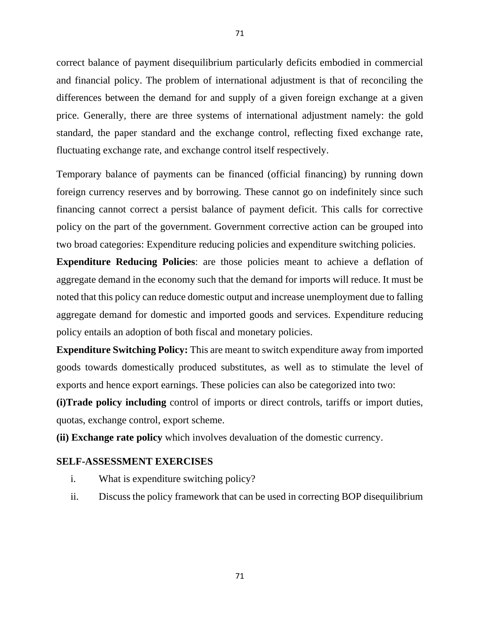correct balance of payment disequilibrium particularly deficits embodied in commercial and financial policy. The problem of international adjustment is that of reconciling the differences between the demand for and supply of a given foreign exchange at a given price. Generally, there are three systems of international adjustment namely: the gold standard, the paper standard and the exchange control, reflecting fixed exchange rate, fluctuating exchange rate, and exchange control itself respectively.

Temporary balance of payments can be financed (official financing) by running down foreign currency reserves and by borrowing. These cannot go on indefinitely since such financing cannot correct a persist balance of payment deficit. This calls for corrective policy on the part of the government. Government corrective action can be grouped into two broad categories: Expenditure reducing policies and expenditure switching policies.

**Expenditure Reducing Policies**: are those policies meant to achieve a deflation of aggregate demand in the economy such that the demand for imports will reduce. It must be noted that this policy can reduce domestic output and increase unemployment due to falling aggregate demand for domestic and imported goods and services. Expenditure reducing policy entails an adoption of both fiscal and monetary policies.

**Expenditure Switching Policy:** This are meant to switch expenditure away from imported goods towards domestically produced substitutes, as well as to stimulate the level of exports and hence export earnings. These policies can also be categorized into two:

**(i)Trade policy including** control of imports or direct controls, tariffs or import duties, quotas, exchange control, export scheme.

**(ii) Exchange rate policy** which involves devaluation of the domestic currency.

# **SELF-ASSESSMENT EXERCISES**

- i. What is expenditure switching policy?
- ii. Discuss the policy framework that can be used in correcting BOP disequilibrium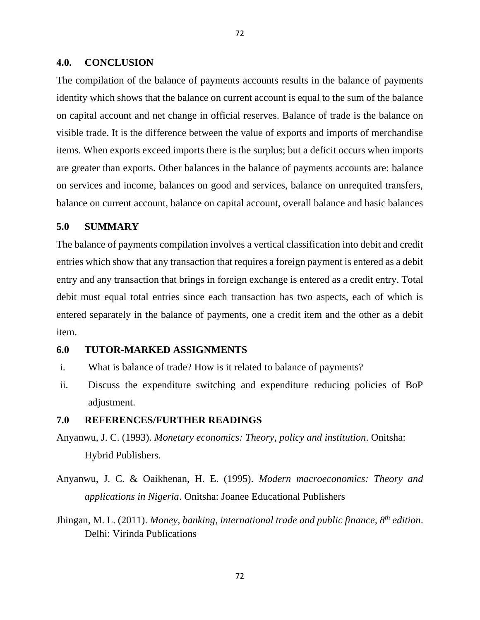#### **4.0. CONCLUSION**

The compilation of the balance of payments accounts results in the balance of payments identity which shows that the balance on current account is equal to the sum of the balance on capital account and net change in official reserves. Balance of trade is the balance on visible trade. It is the difference between the value of exports and imports of merchandise items. When exports exceed imports there is the surplus; but a deficit occurs when imports are greater than exports. Other balances in the balance of payments accounts are: balance on services and income, balances on good and services, balance on unrequited transfers, balance on current account, balance on capital account, overall balance and basic balances

#### **5.0 SUMMARY**

The balance of payments compilation involves a vertical classification into debit and credit entries which show that any transaction that requires a foreign payment is entered as a debit entry and any transaction that brings in foreign exchange is entered as a credit entry. Total debit must equal total entries since each transaction has two aspects, each of which is entered separately in the balance of payments, one a credit item and the other as a debit item.

#### **6.0 TUTOR-MARKED ASSIGNMENTS**

- i. What is balance of trade? How is it related to balance of payments?
- ii. Discuss the expenditure switching and expenditure reducing policies of BoP adjustment.

#### **7.0 REFERENCES/FURTHER READINGS**

- Anyanwu, J. C. (1993). *Monetary economics: Theory, policy and institution*. Onitsha: Hybrid Publishers.
- Anyanwu, J. C. & Oaikhenan, H. E. (1995). *Modern macroeconomics: Theory and applications in Nigeria*. Onitsha: Joanee Educational Publishers
- Jhingan, M. L. (2011). *Money, banking, international trade and public finance, 8th edition*. Delhi: Virinda Publications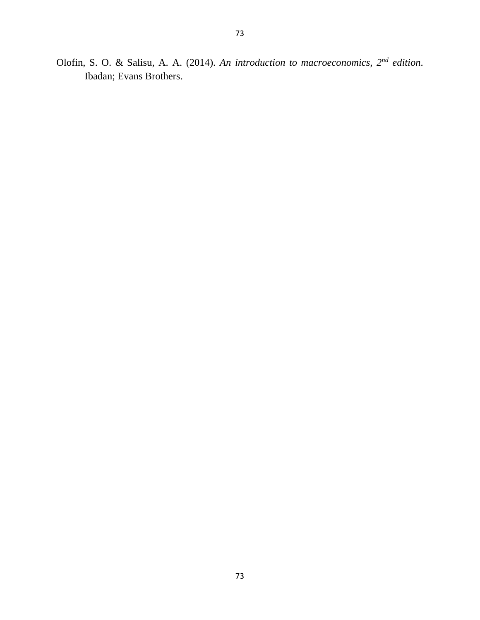Olofin, S. O. & Salisu, A. A. (2014). *An introduction to macroeconomics, 2nd edition*. Ibadan; Evans Brothers.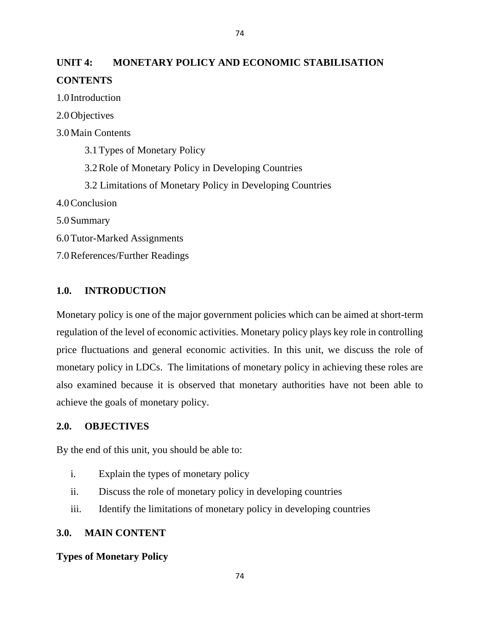# **UNIT 4: MONETARY POLICY AND ECONOMIC STABILISATION CONTENTS**

1.0 Introduction

2.0Objectives

3.0Main Contents

3.1Types of Monetary Policy

3.2Role of Monetary Policy in Developing Countries

3.2 Limitations of Monetary Policy in Developing Countries

4.0Conclusion

5.0Summary

6.0Tutor-Marked Assignments

7.0References/Further Readings

# **1.0. INTRODUCTION**

Monetary policy is one of the major government policies which can be aimed at short-term regulation of the level of economic activities. Monetary policy plays key role in controlling price fluctuations and general economic activities. In this unit, we discuss the role of monetary policy in LDCs. The limitations of monetary policy in achieving these roles are also examined because it is observed that monetary authorities have not been able to achieve the goals of monetary policy.

#### **2.0. OBJECTIVES**

By the end of this unit, you should be able to:

- i. Explain the types of monetary policy
- ii. Discuss the role of monetary policy in developing countries
- iii. Identify the limitations of monetary policy in developing countries

## **3.0. MAIN CONTENT**

### **Types of Monetary Policy**

74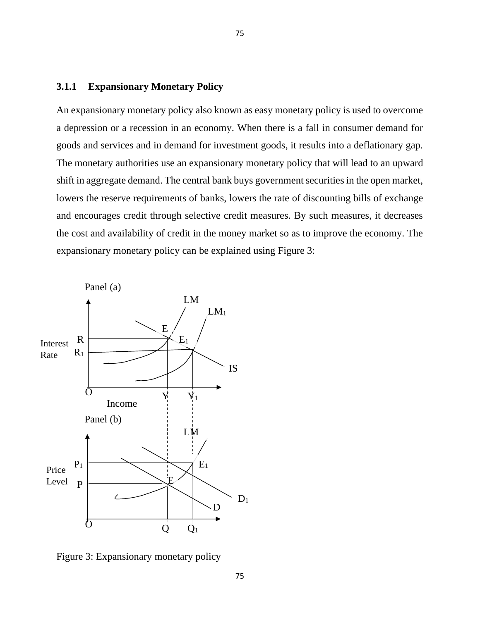# **3.1.1 Expansionary Monetary Policy**

An expansionary monetary policy also known as easy monetary policy is used to overcome a depression or a recession in an economy. When there is a fall in consumer demand for goods and services and in demand for investment goods, it results into a deflationary gap. The monetary authorities use an expansionary monetary policy that will lead to an upward shift in aggregate demand. The central bank buys government securities in the open market, lowers the reserve requirements of banks, lowers the rate of discounting bills of exchange and encourages credit through selective credit measures. By such measures, it decreases the cost and availability of credit in the money market so as to improve the economy. The expansionary monetary policy can be explained using Figure 3:



Figure 3: Expansionary monetary policy 1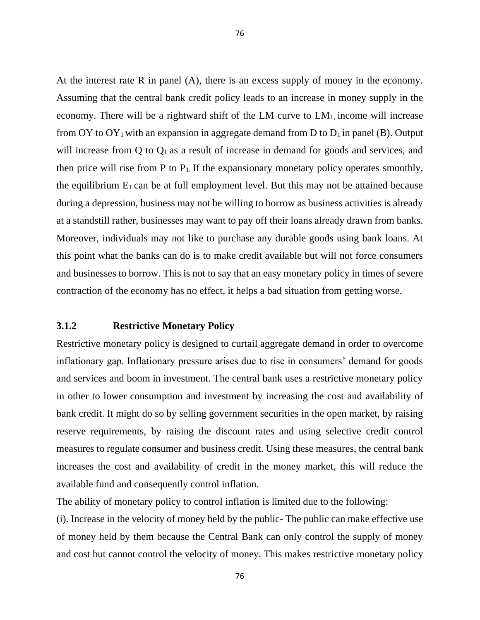At the interest rate R in panel (A), there is an excess supply of money in the economy. Assuming that the central bank credit policy leads to an increase in money supply in the economy. There will be a rightward shift of the LM curve to  $LM<sub>1</sub>$ , income will increase from OY to OY<sub>1</sub> with an expansion in aggregate demand from D to  $D_1$  in panel (B). Output will increase from  $Q$  to  $Q_1$  as a result of increase in demand for goods and services, and then price will rise from P to  $P_1$ . If the expansionary monetary policy operates smoothly, the equilibrium  $E_1$  can be at full employment level. But this may not be attained because during a depression, business may not be willing to borrow as business activities is already at a standstill rather, businesses may want to pay off their loans already drawn from banks. Moreover, individuals may not like to purchase any durable goods using bank loans. At this point what the banks can do is to make credit available but will not force consumers and businesses to borrow. This is not to say that an easy monetary policy in times of severe contraction of the economy has no effect, it helps a bad situation from getting worse.

## **3.1.2 Restrictive Monetary Policy**

Restrictive monetary policy is designed to curtail aggregate demand in order to overcome inflationary gap. Inflationary pressure arises due to rise in consumers' demand for goods and services and boom in investment. The central bank uses a restrictive monetary policy in other to lower consumption and investment by increasing the cost and availability of bank credit. It might do so by selling government securities in the open market, by raising reserve requirements, by raising the discount rates and using selective credit control measures to regulate consumer and business credit. Using these measures, the central bank increases the cost and availability of credit in the money market, this will reduce the available fund and consequently control inflation.

The ability of monetary policy to control inflation is limited due to the following:

(i). Increase in the velocity of money held by the public- The public can make effective use of money held by them because the Central Bank can only control the supply of money and cost but cannot control the velocity of money. This makes restrictive monetary policy

76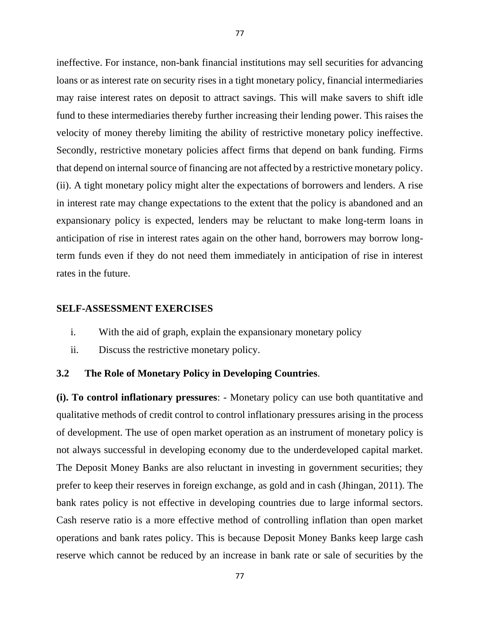ineffective. For instance, non-bank financial institutions may sell securities for advancing loans or as interest rate on security rises in a tight monetary policy, financial intermediaries may raise interest rates on deposit to attract savings. This will make savers to shift idle fund to these intermediaries thereby further increasing their lending power. This raises the velocity of money thereby limiting the ability of restrictive monetary policy ineffective. Secondly, restrictive monetary policies affect firms that depend on bank funding. Firms that depend on internal source of financing are not affected by a restrictive monetary policy. (ii). A tight monetary policy might alter the expectations of borrowers and lenders. A rise in interest rate may change expectations to the extent that the policy is abandoned and an expansionary policy is expected, lenders may be reluctant to make long-term loans in anticipation of rise in interest rates again on the other hand, borrowers may borrow longterm funds even if they do not need them immediately in anticipation of rise in interest rates in the future.

#### **SELF-ASSESSMENT EXERCISES**

- i. With the aid of graph, explain the expansionary monetary policy
- ii. Discuss the restrictive monetary policy.

#### **3.2 The Role of Monetary Policy in Developing Countries**.

**(i). To control inflationary pressures**: - Monetary policy can use both quantitative and qualitative methods of credit control to control inflationary pressures arising in the process of development. The use of open market operation as an instrument of monetary policy is not always successful in developing economy due to the underdeveloped capital market. The Deposit Money Banks are also reluctant in investing in government securities; they prefer to keep their reserves in foreign exchange, as gold and in cash (Jhingan, 2011). The bank rates policy is not effective in developing countries due to large informal sectors. Cash reserve ratio is a more effective method of controlling inflation than open market operations and bank rates policy. This is because Deposit Money Banks keep large cash reserve which cannot be reduced by an increase in bank rate or sale of securities by the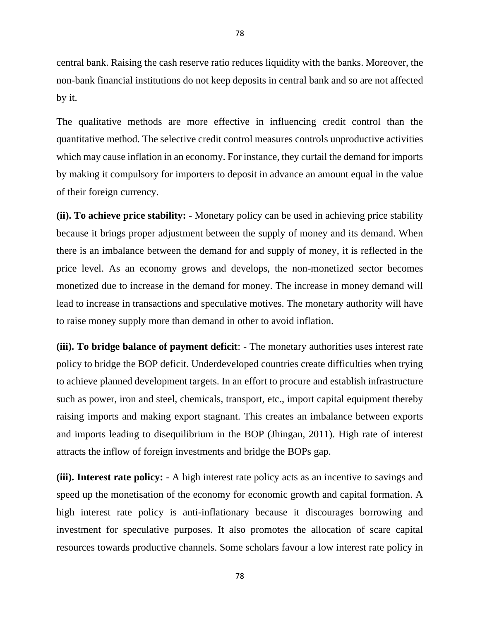central bank. Raising the cash reserve ratio reduces liquidity with the banks. Moreover, the non-bank financial institutions do not keep deposits in central bank and so are not affected by it.

The qualitative methods are more effective in influencing credit control than the quantitative method. The selective credit control measures controls unproductive activities which may cause inflation in an economy. For instance, they curtail the demand for imports by making it compulsory for importers to deposit in advance an amount equal in the value of their foreign currency.

**(ii). To achieve price stability:** - Monetary policy can be used in achieving price stability because it brings proper adjustment between the supply of money and its demand. When there is an imbalance between the demand for and supply of money, it is reflected in the price level. As an economy grows and develops, the non-monetized sector becomes monetized due to increase in the demand for money. The increase in money demand will lead to increase in transactions and speculative motives. The monetary authority will have to raise money supply more than demand in other to avoid inflation.

**(iii). To bridge balance of payment deficit**: - The monetary authorities uses interest rate policy to bridge the BOP deficit. Underdeveloped countries create difficulties when trying to achieve planned development targets. In an effort to procure and establish infrastructure such as power, iron and steel, chemicals, transport, etc., import capital equipment thereby raising imports and making export stagnant. This creates an imbalance between exports and imports leading to disequilibrium in the BOP (Jhingan, 2011). High rate of interest attracts the inflow of foreign investments and bridge the BOPs gap.

**(iii). Interest rate policy:** - A high interest rate policy acts as an incentive to savings and speed up the monetisation of the economy for economic growth and capital formation. A high interest rate policy is anti-inflationary because it discourages borrowing and investment for speculative purposes. It also promotes the allocation of scare capital resources towards productive channels. Some scholars favour a low interest rate policy in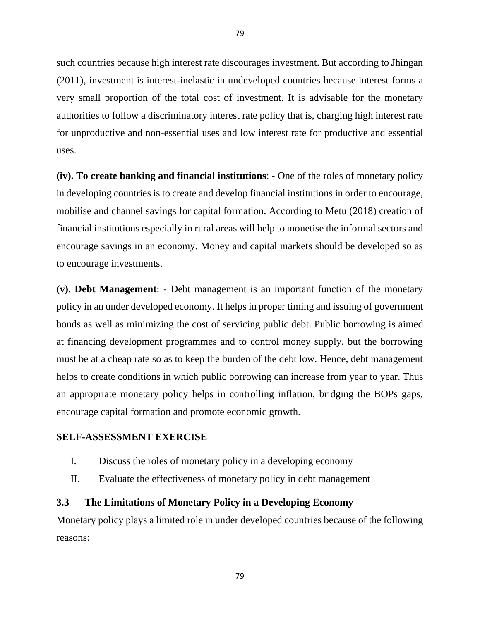such countries because high interest rate discourages investment. But according to Jhingan (2011), investment is interest-inelastic in undeveloped countries because interest forms a very small proportion of the total cost of investment. It is advisable for the monetary authorities to follow a discriminatory interest rate policy that is, charging high interest rate for unproductive and non-essential uses and low interest rate for productive and essential uses.

**(iv). To create banking and financial institutions**: - One of the roles of monetary policy in developing countries is to create and develop financial institutions in order to encourage, mobilise and channel savings for capital formation. According to Metu (2018) creation of financial institutions especially in rural areas will help to monetise the informal sectors and encourage savings in an economy. Money and capital markets should be developed so as to encourage investments.

**(v). Debt Management**: - Debt management is an important function of the monetary policy in an under developed economy. It helps in proper timing and issuing of government bonds as well as minimizing the cost of servicing public debt. Public borrowing is aimed at financing development programmes and to control money supply, but the borrowing must be at a cheap rate so as to keep the burden of the debt low. Hence, debt management helps to create conditions in which public borrowing can increase from year to year. Thus an appropriate monetary policy helps in controlling inflation, bridging the BOPs gaps, encourage capital formation and promote economic growth.

#### **SELF-ASSESSMENT EXERCISE**

- I. Discuss the roles of monetary policy in a developing economy
- II. Evaluate the effectiveness of monetary policy in debt management

#### **3.3 The Limitations of Monetary Policy in a Developing Economy**

Monetary policy plays a limited role in under developed countries because of the following reasons:

79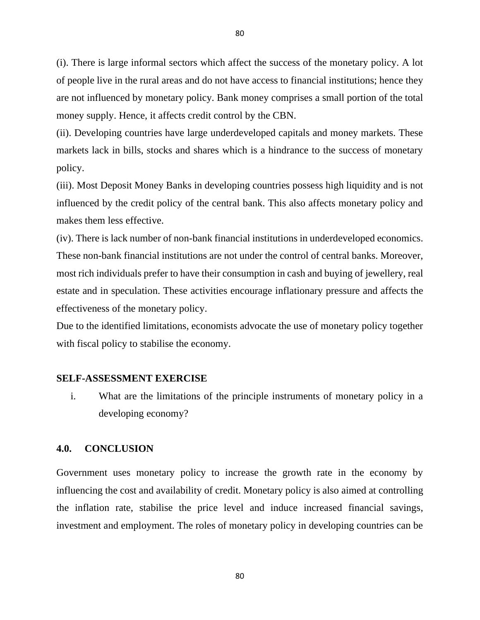(i). There is large informal sectors which affect the success of the monetary policy. A lot of people live in the rural areas and do not have access to financial institutions; hence they are not influenced by monetary policy. Bank money comprises a small portion of the total money supply. Hence, it affects credit control by the CBN.

(ii). Developing countries have large underdeveloped capitals and money markets. These markets lack in bills, stocks and shares which is a hindrance to the success of monetary policy.

(iii). Most Deposit Money Banks in developing countries possess high liquidity and is not influenced by the credit policy of the central bank. This also affects monetary policy and makes them less effective.

(iv). There is lack number of non-bank financial institutions in underdeveloped economics. These non-bank financial institutions are not under the control of central banks. Moreover, most rich individuals prefer to have their consumption in cash and buying of jewellery, real estate and in speculation. These activities encourage inflationary pressure and affects the effectiveness of the monetary policy.

Due to the identified limitations, economists advocate the use of monetary policy together with fiscal policy to stabilise the economy.

#### **SELF-ASSESSMENT EXERCISE**

i. What are the limitations of the principle instruments of monetary policy in a developing economy?

### **4.0. CONCLUSION**

Government uses monetary policy to increase the growth rate in the economy by influencing the cost and availability of credit. Monetary policy is also aimed at controlling the inflation rate, stabilise the price level and induce increased financial savings, investment and employment. The roles of monetary policy in developing countries can be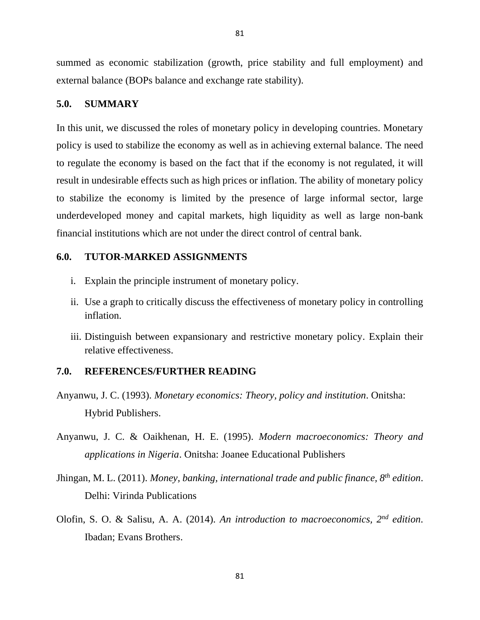summed as economic stabilization (growth, price stability and full employment) and external balance (BOPs balance and exchange rate stability).

#### **5.0. SUMMARY**

In this unit, we discussed the roles of monetary policy in developing countries. Monetary policy is used to stabilize the economy as well as in achieving external balance. The need to regulate the economy is based on the fact that if the economy is not regulated, it will result in undesirable effects such as high prices or inflation. The ability of monetary policy to stabilize the economy is limited by the presence of large informal sector, large underdeveloped money and capital markets, high liquidity as well as large non-bank financial institutions which are not under the direct control of central bank.

#### **6.0. TUTOR-MARKED ASSIGNMENTS**

- i. Explain the principle instrument of monetary policy.
- ii. Use a graph to critically discuss the effectiveness of monetary policy in controlling inflation.
- iii. Distinguish between expansionary and restrictive monetary policy. Explain their relative effectiveness.

# **7.0. REFERENCES/FURTHER READING**

- Anyanwu, J. C. (1993). *Monetary economics: Theory, policy and institution*. Onitsha: Hybrid Publishers.
- Anyanwu, J. C. & Oaikhenan, H. E. (1995). *Modern macroeconomics: Theory and applications in Nigeria*. Onitsha: Joanee Educational Publishers
- Jhingan, M. L. (2011). *Money, banking, international trade and public finance, 8th edition*. Delhi: Virinda Publications
- Olofin, S. O. & Salisu, A. A. (2014). *An introduction to macroeconomics, 2nd edition*. Ibadan; Evans Brothers.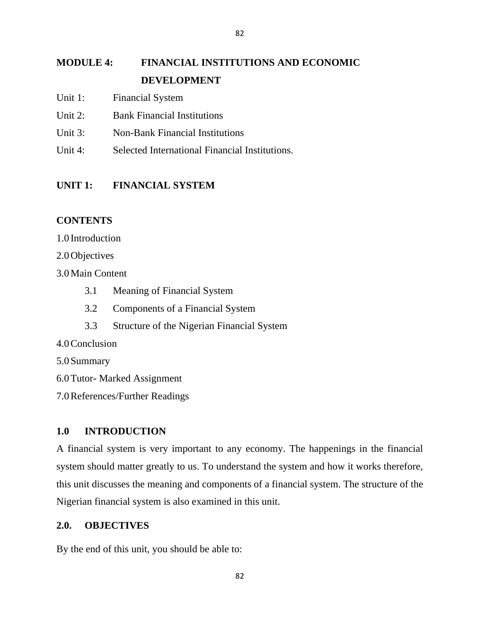# **MODULE 4: FINANCIAL INSTITUTIONS AND ECONOMIC DEVELOPMENT**

- Unit 1: Financial System
- Unit 2: Bank Financial Institutions
- Unit 3: Non-Bank Financial Institutions
- Unit 4: Selected International Financial Institutions.

# **UNIT 1: FINANCIAL SYSTEM**

# **CONTENTS**

1.0 Introduction

2.0Objectives

3.0Main Content

- 3.1 Meaning of Financial System
- 3.2 Components of a Financial System
- 3.3 Structure of the Nigerian Financial System
- 4.0Conclusion
- 5.0Summary
- 6.0Tutor- Marked Assignment
- 7.0References/Further Readings

# **1.0 INTRODUCTION**

A financial system is very important to any economy. The happenings in the financial system should matter greatly to us. To understand the system and how it works therefore, this unit discusses the meaning and components of a financial system. The structure of the Nigerian financial system is also examined in this unit.

### **2.0. OBJECTIVES**

By the end of this unit, you should be able to: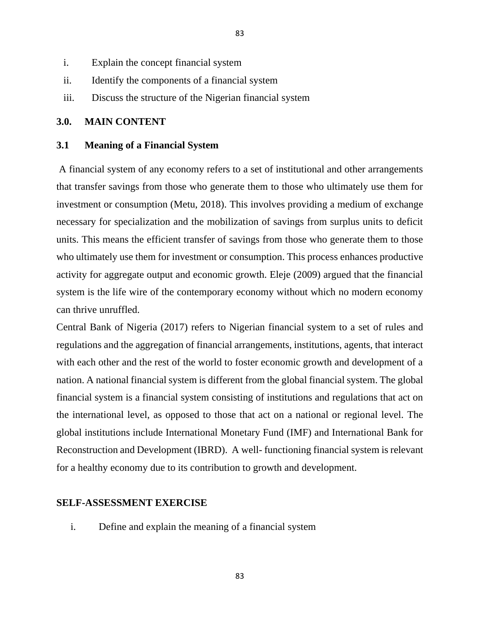- i. Explain the concept financial system
- ii. Identify the components of a financial system
- iii. Discuss the structure of the Nigerian financial system

# **3.0. MAIN CONTENT**

#### **3.1 Meaning of a Financial System**

A financial system of any economy refers to a set of institutional and other arrangements that transfer savings from those who generate them to those who ultimately use them for investment or consumption (Metu, 2018). This involves providing a medium of exchange necessary for specialization and the mobilization of savings from surplus units to deficit units. This means the efficient transfer of savings from those who generate them to those who ultimately use them for investment or consumption. This process enhances productive activity for aggregate output and economic growth. Eleje (2009) argued that the financial system is the life wire of the contemporary economy without which no modern economy can thrive unruffled.

83

Central Bank of Nigeria (2017) refers to Nigerian financial system to a set of rules and regulations and the aggregation of financial arrangements, institutions, agents, that interact with each other and the rest of the world to foster economic growth and development of a nation. A national financial system is different from the global financial system. The global financial system is a financial system consisting of institutions and regulations that act on the international level, as opposed to those that act on a national or regional level. The global institutions include International Monetary Fund (IMF) and International Bank for Reconstruction and Development (IBRD). A well- functioning financial system is relevant for a healthy economy due to its contribution to growth and development.

#### **SELF-ASSESSMENT EXERCISE**

i. Define and explain the meaning of a financial system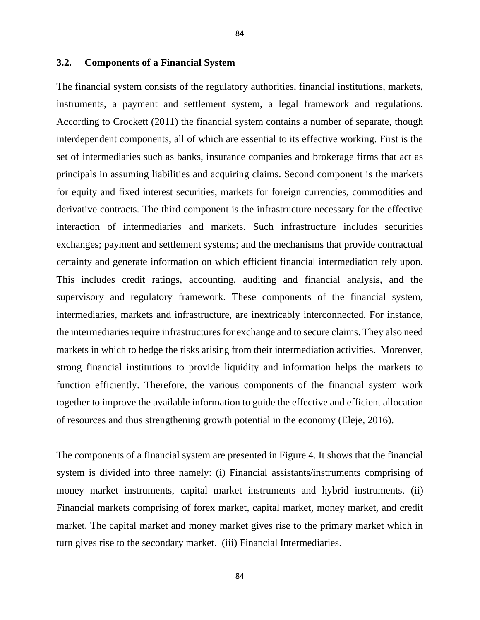#### **3.2. Components of a Financial System**

The financial system consists of the regulatory authorities, financial institutions, markets, instruments, a payment and settlement system, a legal framework and regulations. According to Crockett (2011) the financial system contains a number of separate, though interdependent components, all of which are essential to its effective working. First is the set of intermediaries such as banks, insurance companies and brokerage firms that act as principals in assuming liabilities and acquiring claims. Second component is the markets for equity and fixed interest securities, markets for foreign currencies, commodities and derivative contracts. The third component is the infrastructure necessary for the effective interaction of intermediaries and markets. Such infrastructure includes securities exchanges; payment and settlement systems; and the mechanisms that provide contractual certainty and generate information on which efficient financial intermediation rely upon. This includes credit ratings, accounting, auditing and financial analysis, and the supervisory and regulatory framework. These components of the financial system, intermediaries, markets and infrastructure, are inextricably interconnected. For instance, the intermediaries require infrastructures for exchange and to secure claims. They also need markets in which to hedge the risks arising from their intermediation activities. Moreover, strong financial institutions to provide liquidity and information helps the markets to function efficiently. Therefore, the various components of the financial system work together to improve the available information to guide the effective and efficient allocation of resources and thus strengthening growth potential in the economy (Eleje, 2016).

The components of a financial system are presented in Figure 4. It shows that the financial system is divided into three namely: (i) Financial assistants/instruments comprising of money market instruments, capital market instruments and hybrid instruments. (ii) Financial markets comprising of forex market, capital market, money market, and credit market. The capital market and money market gives rise to the primary market which in turn gives rise to the secondary market. (iii) Financial Intermediaries.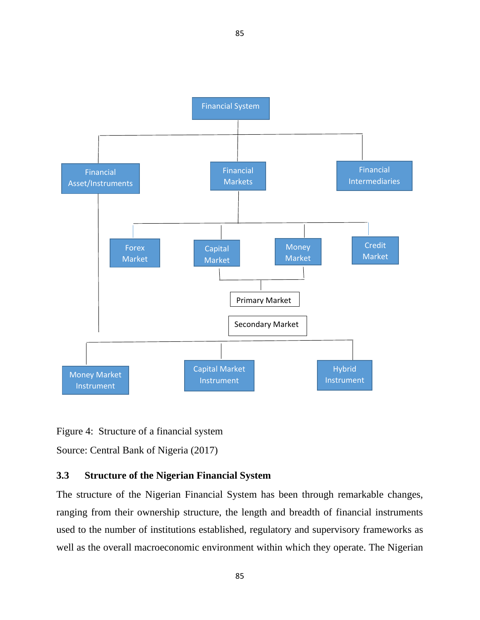

85

Figure 4: Structure of a financial system

Source: Central Bank of Nigeria (2017)

# **3.3 Structure of the Nigerian Financial System**

The structure of the Nigerian Financial System has been through remarkable changes, ranging from their ownership structure, the length and breadth of financial instruments used to the number of institutions established, regulatory and supervisory frameworks as well as the overall macroeconomic environment within which they operate. The Nigerian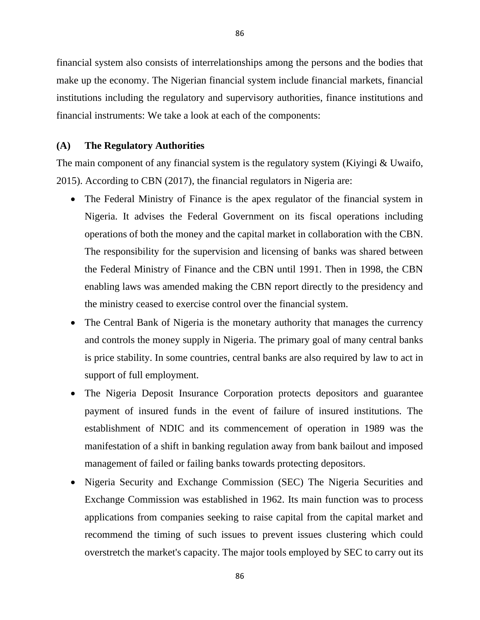financial system also consists of interrelationships among the persons and the bodies that make up the economy. The Nigerian financial system include financial markets, financial institutions including the regulatory and supervisory authorities, finance institutions and financial instruments: We take a look at each of the components:

#### **(A) The Regulatory Authorities**

The main component of any financial system is the regulatory system (Kiyingi & Uwaifo, 2015). According to CBN (2017), the financial regulators in Nigeria are:

- The Federal Ministry of Finance is the apex regulator of the financial system in Nigeria. It advises the Federal Government on its fiscal operations including operations of both the money and the capital market in collaboration with the CBN. The responsibility for the supervision and licensing of banks was shared between the Federal Ministry of Finance and the CBN until 1991. Then in 1998, the CBN enabling laws was amended making the CBN report directly to the presidency and the ministry ceased to exercise control over the financial system.
- The Central Bank of Nigeria is the monetary authority that manages the currency and controls the money supply in Nigeria. The primary goal of many central banks is price stability. In some countries, central banks are also required by law to act in support of full employment.
- The Nigeria Deposit Insurance Corporation protects depositors and guarantee payment of insured funds in the event of failure of insured institutions. The establishment of NDIC and its commencement of operation in 1989 was the manifestation of a shift in banking regulation away from bank bailout and imposed management of failed or failing banks towards protecting depositors.
- Nigeria Security and Exchange Commission (SEC) The Nigeria Securities and Exchange Commission was established in 1962. Its main function was to process applications from companies seeking to raise capital from the capital market and recommend the timing of such issues to prevent issues clustering which could overstretch the market's capacity. The major tools employed by SEC to carry out its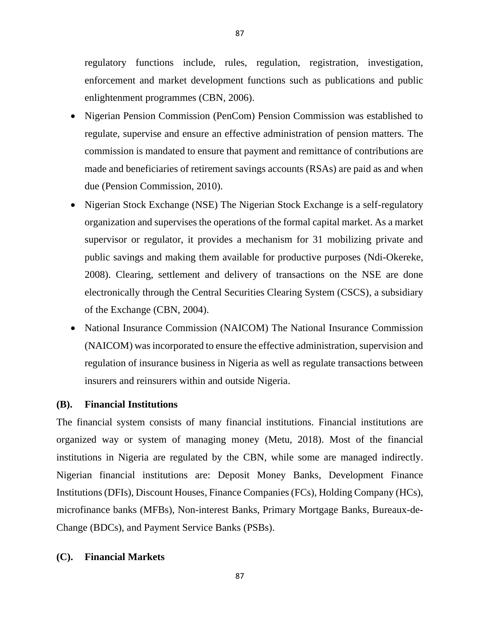regulatory functions include, rules, regulation, registration, investigation, enforcement and market development functions such as publications and public enlightenment programmes (CBN, 2006).

- Nigerian Pension Commission (PenCom) Pension Commission was established to regulate, supervise and ensure an effective administration of pension matters. The commission is mandated to ensure that payment and remittance of contributions are made and beneficiaries of retirement savings accounts (RSAs) are paid as and when due (Pension Commission, 2010).
- Nigerian Stock Exchange (NSE) The Nigerian Stock Exchange is a self-regulatory organization and supervises the operations of the formal capital market. As a market supervisor or regulator, it provides a mechanism for 31 mobilizing private and public savings and making them available for productive purposes (Ndi-Okereke, 2008). Clearing, settlement and delivery of transactions on the NSE are done electronically through the Central Securities Clearing System (CSCS), a subsidiary of the Exchange (CBN, 2004).
- National Insurance Commission (NAICOM) The National Insurance Commission (NAICOM) was incorporated to ensure the effective administration, supervision and regulation of insurance business in Nigeria as well as regulate transactions between insurers and reinsurers within and outside Nigeria.

### **(B). Financial Institutions**

The financial system consists of many financial institutions. Financial institutions are organized way or system of managing money (Metu, 2018). Most of the financial institutions in Nigeria are regulated by the CBN, while some are managed indirectly. Nigerian financial institutions are: Deposit Money Banks, Development Finance Institutions (DFIs), Discount Houses, Finance Companies (FCs), Holding Company (HCs), microfinance banks (MFBs), Non-interest Banks, Primary Mortgage Banks, Bureaux-de-Change (BDCs), and Payment Service Banks (PSBs).

### **(C). Financial Markets**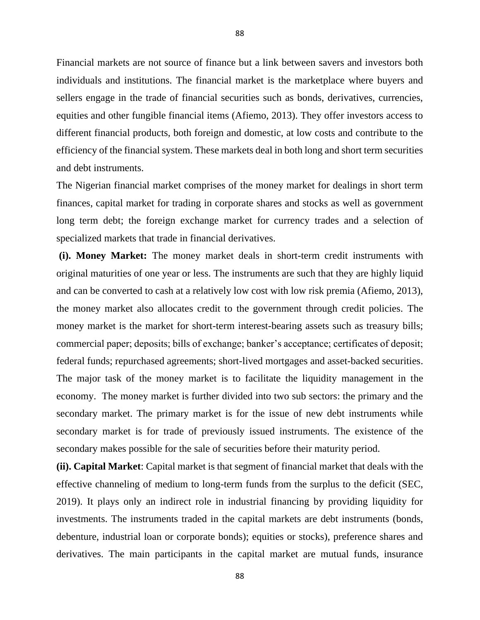Financial markets are not source of finance but a link between savers and investors both individuals and institutions. The financial market is the marketplace where buyers and sellers engage in the trade of financial securities such as bonds, derivatives, currencies, equities and other fungible financial items (Afiemo, 2013). They offer investors access to different financial products, both foreign and domestic, at low costs and contribute to the efficiency of the financial system. These markets deal in both long and short term securities and debt instruments.

The Nigerian financial market comprises of the money market for dealings in short term finances, capital market for trading in corporate shares and stocks as well as government long term debt; the foreign exchange market for currency trades and a selection of specialized markets that trade in financial derivatives.

**(i). Money Market:** The money market deals in short-term credit instruments with original maturities of one year or less. The instruments are such that they are highly liquid and can be converted to cash at a relatively low cost with low risk premia (Afiemo, 2013), the money market also allocates credit to the government through credit policies. The money market is the market for short-term interest-bearing assets such as treasury bills; commercial paper; deposits; bills of exchange; banker's acceptance; certificates of deposit; federal funds; repurchased agreements; short-lived mortgages and asset-backed securities. The major task of the money market is to facilitate the liquidity management in the economy. The money market is further divided into two sub sectors: the primary and the secondary market. The primary market is for the issue of new debt instruments while secondary market is for trade of previously issued instruments. The existence of the secondary makes possible for the sale of securities before their maturity period.

**(ii). Capital Market**: Capital market is that segment of financial market that deals with the effective channeling of medium to long-term funds from the surplus to the deficit (SEC, 2019). It plays only an indirect role in industrial financing by providing liquidity for investments. The instruments traded in the capital markets are debt instruments (bonds, debenture, industrial loan or corporate bonds); equities or stocks), preference shares and derivatives. The main participants in the capital market are mutual funds, insurance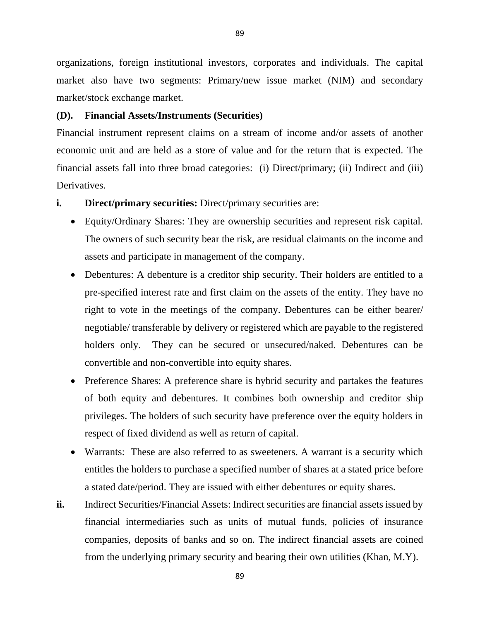organizations, foreign institutional investors, corporates and individuals. The capital market also have two segments: Primary/new issue market (NIM) and secondary market/stock exchange market.

# **(D). Financial Assets/Instruments (Securities)**

Financial instrument represent claims on a stream of income and/or assets of another economic unit and are held as a store of value and for the return that is expected. The financial assets fall into three broad categories: (i) Direct/primary; (ii) Indirect and (iii) Derivatives.

- **i. Direct/primary securities:** Direct/primary securities are:
	- Equity/Ordinary Shares: They are ownership securities and represent risk capital. The owners of such security bear the risk, are residual claimants on the income and assets and participate in management of the company.
	- Debentures: A debenture is a creditor ship security. Their holders are entitled to a pre-specified interest rate and first claim on the assets of the entity. They have no right to vote in the meetings of the company. Debentures can be either bearer/ negotiable/ transferable by delivery or registered which are payable to the registered holders only. They can be secured or unsecured/naked. Debentures can be convertible and non-convertible into equity shares.
	- Preference Shares: A preference share is hybrid security and partakes the features of both equity and debentures. It combines both ownership and creditor ship privileges. The holders of such security have preference over the equity holders in respect of fixed dividend as well as return of capital.
	- Warrants: These are also referred to as sweeteners. A warrant is a security which entitles the holders to purchase a specified number of shares at a stated price before a stated date/period. They are issued with either debentures or equity shares.
- **ii.** Indirect Securities/Financial Assets: Indirect securities are financial assets issued by financial intermediaries such as units of mutual funds, policies of insurance companies, deposits of banks and so on. The indirect financial assets are coined from the underlying primary security and bearing their own utilities (Khan, M.Y).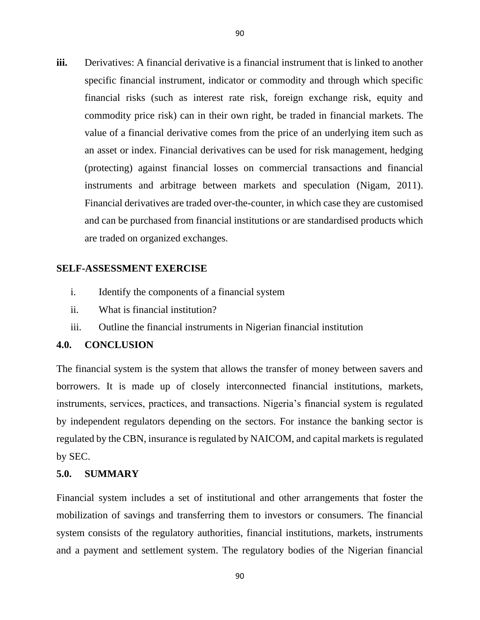90

**iii.** Derivatives: A financial derivative is a financial instrument that is linked to another specific financial instrument, indicator or commodity and through which specific financial risks (such as interest rate risk, foreign exchange risk, equity and commodity price risk) can in their own right, be traded in financial markets. The value of a financial derivative comes from the price of an underlying item such as an asset or index. Financial derivatives can be used for risk management, hedging (protecting) against financial losses on commercial transactions and financial instruments and arbitrage between markets and speculation (Nigam, 2011). Financial derivatives are traded over-the-counter, in which case they are customised and can be purchased from financial institutions or are standardised products which are traded on organized exchanges.

# **SELF-ASSESSMENT EXERCISE**

- i. Identify the components of a financial system
- ii. What is financial institution?
- iii. Outline the financial instruments in Nigerian financial institution

# **4.0. CONCLUSION**

The financial system is the system that allows the transfer of money between savers and borrowers. It is made up of closely interconnected financial institutions, markets, instruments, services, practices, and transactions. Nigeria's financial system is regulated by independent regulators depending on the sectors. For instance the banking sector is regulated by the CBN, insurance is regulated by NAICOM, and capital markets is regulated by SEC.

### **5.0. SUMMARY**

Financial system includes a set of institutional and other arrangements that foster the mobilization of savings and transferring them to investors or consumers. The financial system consists of the regulatory authorities, financial institutions, markets, instruments and a payment and settlement system. The regulatory bodies of the Nigerian financial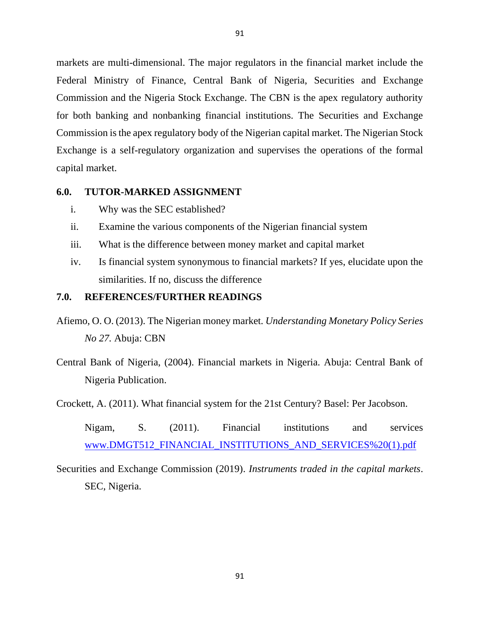markets are multi-dimensional. The major regulators in the financial market include the Federal Ministry of Finance, Central Bank of Nigeria, Securities and Exchange Commission and the Nigeria Stock Exchange. The CBN is the apex regulatory authority for both banking and nonbanking financial institutions. The Securities and Exchange Commission is the apex regulatory body of the Nigerian capital market. The Nigerian Stock Exchange is a self-regulatory organization and supervises the operations of the formal capital market.

#### **6.0. TUTOR-MARKED ASSIGNMENT**

- i. Why was the SEC established?
- ii. Examine the various components of the Nigerian financial system
- iii. What is the difference between money market and capital market
- iv. Is financial system synonymous to financial markets? If yes, elucidate upon the similarities. If no, discuss the difference

# **7.0. REFERENCES/FURTHER READINGS**

- Afiemo, O. O. (2013). The Nigerian money market*. Understanding Monetary Policy Series No 27.* Abuja: CBN
- Central Bank of Nigeria, (2004). Financial markets in Nigeria. Abuja: Central Bank of Nigeria Publication.
- Crockett, A. (2011). What financial system for the 21st Century? Basel: Per Jacobson.
	- Nigam, S. (2011). Financial institutions and services www.DMGT512\_FINANCIAL\_INSTITUTIONS\_AND\_SERVICES%20(1).pdf
- Securities and Exchange Commission (2019). *Instruments traded in the capital markets*. SEC, Nigeria.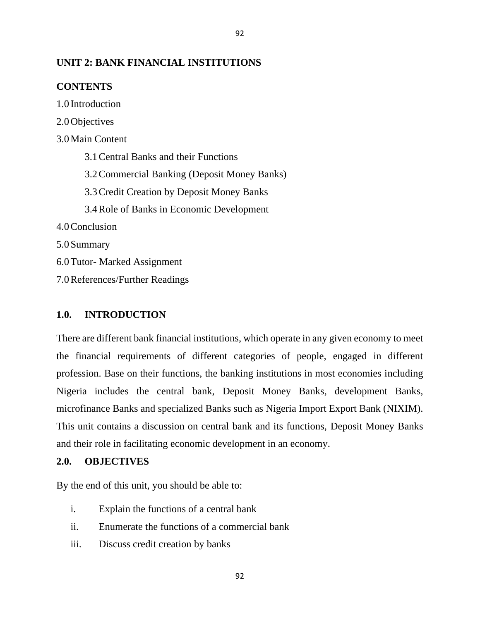# **UNIT 2: BANK FINANCIAL INSTITUTIONS**

# **CONTENTS**

1.0 Introduction

2.0Objectives 3.0Main Content 3.1Central Banks and their Functions 3.2Commercial Banking (Deposit Money Banks) 3.3Credit Creation by Deposit Money Banks 3.4Role of Banks in Economic Development 4.0Conclusion 5.0Summary 6.0Tutor- Marked Assignment

7.0References/Further Readings

### **1.0. INTRODUCTION**

There are different bank financial institutions, which operate in any given economy to meet the financial requirements of different categories of people, engaged in different profession. Base on their functions, the banking institutions in most economies including Nigeria includes the central bank, Deposit Money Banks, development Banks, microfinance Banks and specialized Banks such as Nigeria Import Export Bank (NIXIM). This unit contains a discussion on central bank and its functions, Deposit Money Banks and their role in facilitating economic development in an economy.

#### **2.0. OBJECTIVES**

By the end of this unit, you should be able to:

- i. Explain the functions of a central bank
- ii. Enumerate the functions of a commercial bank
- iii. Discuss credit creation by banks

92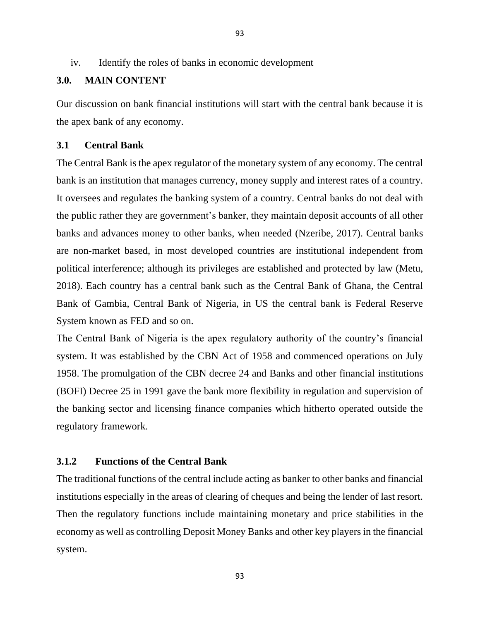## **3.0. MAIN CONTENT**

Our discussion on bank financial institutions will start with the central bank because it is the apex bank of any economy.

## **3.1 Central Bank**

The Central Bank is the apex regulator of the monetary system of any economy. The central bank is an institution that manages currency, money supply and interest rates of a country. It oversees and regulates the banking system of a country. Central banks do not deal with the public rather they are government's banker, they maintain deposit accounts of all other banks and advances money to other banks, when needed (Nzeribe, 2017). Central banks are non-market based, in most developed countries are institutional independent from political interference; although its privileges are established and protected by law (Metu, 2018). Each country has a central bank such as the Central Bank of Ghana, the Central Bank of Gambia, Central Bank of Nigeria, in US the central bank is Federal Reserve System known as FED and so on.

The Central Bank of Nigeria is the apex regulatory authority of the country's financial system. It was established by the CBN Act of 1958 and commenced operations on July 1958. The promulgation of the CBN decree 24 and Banks and other financial institutions (BOFI) Decree 25 in 1991 gave the bank more flexibility in regulation and supervision of the banking sector and licensing finance companies which hitherto operated outside the regulatory framework.

# **3.1.2 Functions of the Central Bank**

The traditional functions of the central include acting as banker to other banks and financial institutions especially in the areas of clearing of cheques and being the lender of last resort. Then the regulatory functions include maintaining monetary and price stabilities in the economy as well as controlling Deposit Money Banks and other key players in the financial system.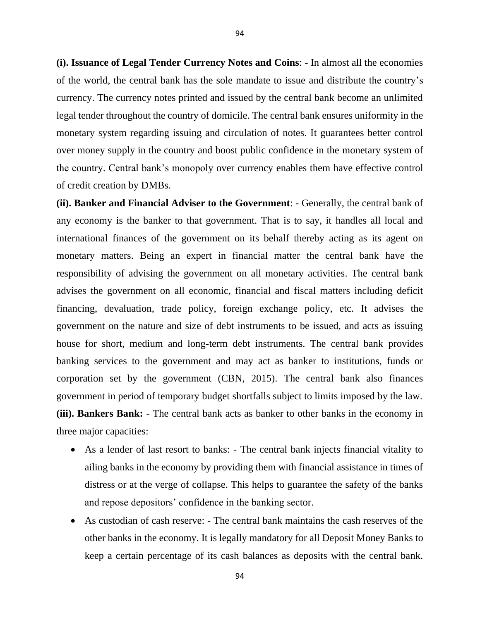**(i). Issuance of Legal Tender Currency Notes and Coins**: - In almost all the economies of the world, the central bank has the sole mandate to issue and distribute the country's currency. The currency notes printed and issued by the central bank become an unlimited legal tender throughout the country of domicile. The central bank ensures uniformity in the monetary system regarding issuing and circulation of notes. It guarantees better control over money supply in the country and boost public confidence in the monetary system of the country. Central bank's monopoly over currency enables them have effective control of credit creation by DMBs.

**(ii). Banker and Financial Adviser to the Government**: - Generally, the central bank of any economy is the banker to that government. That is to say, it handles all local and international finances of the government on its behalf thereby acting as its agent on monetary matters. Being an expert in financial matter the central bank have the responsibility of advising the government on all monetary activities. The central bank advises the government on all economic, financial and fiscal matters including deficit financing, devaluation, trade policy, foreign exchange policy, etc. It advises the government on the nature and size of debt instruments to be issued, and acts as issuing house for short, medium and long-term debt instruments. The central bank provides banking services to the government and may act as banker to institutions, funds or corporation set by the government (CBN, 2015). The central bank also finances government in period of temporary budget shortfalls subject to limits imposed by the law. **(iii). Bankers Bank:** - The central bank acts as banker to other banks in the economy in three major capacities:

- As a lender of last resort to banks: The central bank injects financial vitality to ailing banks in the economy by providing them with financial assistance in times of distress or at the verge of collapse. This helps to guarantee the safety of the banks and repose depositors' confidence in the banking sector.
- As custodian of cash reserve: The central bank maintains the cash reserves of the other banks in the economy. It is legally mandatory for all Deposit Money Banks to keep a certain percentage of its cash balances as deposits with the central bank.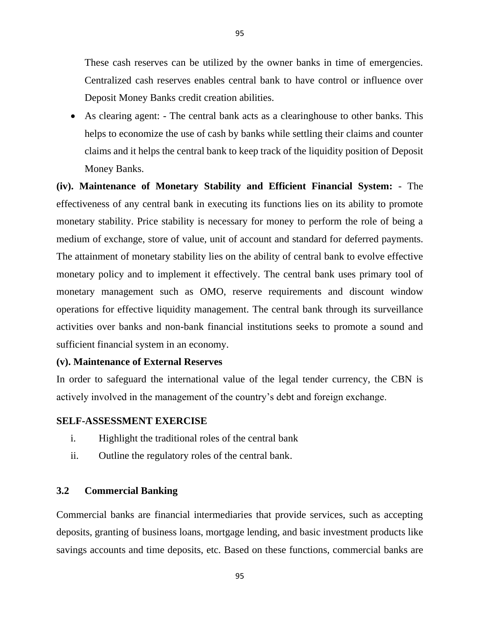These cash reserves can be utilized by the owner banks in time of emergencies. Centralized cash reserves enables central bank to have control or influence over Deposit Money Banks credit creation abilities.

• As clearing agent: - The central bank acts as a clearinghouse to other banks. This helps to economize the use of cash by banks while settling their claims and counter claims and it helps the central bank to keep track of the liquidity position of Deposit Money Banks.

**(iv). Maintenance of Monetary Stability and Efficient Financial System:** - The effectiveness of any central bank in executing its functions lies on its ability to promote monetary stability. Price stability is necessary for money to perform the role of being a medium of exchange, store of value, unit of account and standard for deferred payments. The attainment of monetary stability lies on the ability of central bank to evolve effective monetary policy and to implement it effectively. The central bank uses primary tool of monetary management such as OMO, reserve requirements and discount window operations for effective liquidity management. The central bank through its surveillance activities over banks and non-bank financial institutions seeks to promote a sound and sufficient financial system in an economy.

## **(v). Maintenance of External Reserves**

In order to safeguard the international value of the legal tender currency, the CBN is actively involved in the management of the country's debt and foreign exchange.

## **SELF-ASSESSMENT EXERCISE**

- i. Highlight the traditional roles of the central bank
- ii. Outline the regulatory roles of the central bank.

## **3.2 Commercial Banking**

Commercial banks are financial intermediaries that provide services, such as accepting deposits, granting of business loans, mortgage lending, and basic investment products like savings accounts and time deposits, etc. Based on these functions, commercial banks are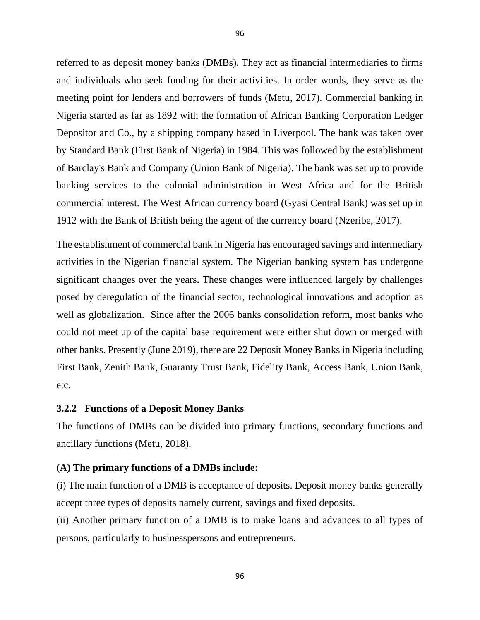referred to as deposit money banks (DMBs). They act as financial intermediaries to firms and individuals who seek funding for their activities. In order words, they serve as the meeting point for lenders and borrowers of funds (Metu, 2017). Commercial banking in Nigeria started as far as 1892 with the formation of African Banking Corporation Ledger Depositor and Co., by a shipping company based in Liverpool. The bank was taken over by Standard Bank (First Bank of Nigeria) in 1984. This was followed by the establishment of Barclay's Bank and Company (Union Bank of Nigeria). The bank was set up to provide banking services to the colonial administration in West Africa and for the British commercial interest. The West African currency board (Gyasi Central Bank) was set up in 1912 with the Bank of British being the agent of the currency board (Nzeribe, 2017).

The establishment of commercial bank in Nigeria has encouraged savings and intermediary activities in the Nigerian financial system. The Nigerian banking system has undergone significant changes over the years. These changes were influenced largely by challenges posed by deregulation of the financial sector, technological innovations and adoption as well as globalization. Since after the 2006 banks consolidation reform, most banks who could not meet up of the capital base requirement were either shut down or merged with other banks. Presently (June 2019), there are 22 Deposit Money Banks in Nigeria including First Bank, Zenith Bank, Guaranty Trust Bank, Fidelity Bank, Access Bank, Union Bank, etc.

#### **3.2.2 Functions of a Deposit Money Banks**

The functions of DMBs can be divided into primary functions, secondary functions and ancillary functions (Metu, 2018).

#### **(A) The primary functions of a DMBs include:**

(i) The main function of a DMB is acceptance of deposits. Deposit money banks generally accept three types of deposits namely current, savings and fixed deposits.

(ii) Another primary function of a DMB is to make loans and advances to all types of persons, particularly to businesspersons and entrepreneurs.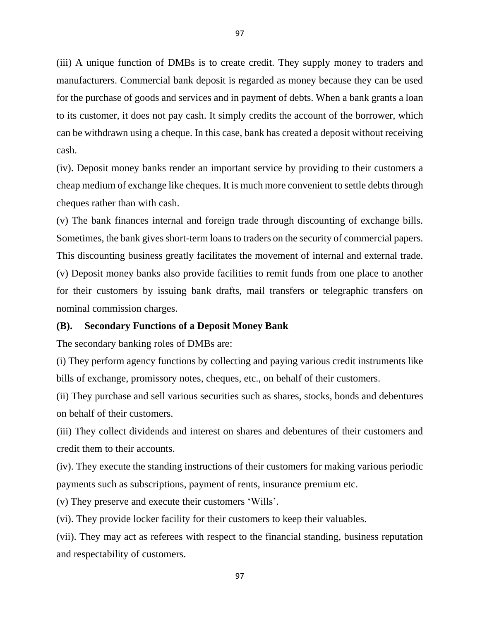(iii) A unique function of DMBs is to create credit. They supply money to traders and manufacturers. Commercial bank deposit is regarded as money because they can be used for the purchase of goods and services and in payment of debts. When a bank grants a loan to its customer, it does not pay cash. It simply credits the account of the borrower, which can be withdrawn using a cheque. In this case, bank has created a deposit without receiving cash.

(iv). Deposit money banks render an important service by providing to their customers a cheap medium of exchange like cheques. It is much more convenient to settle debts through cheques rather than with cash.

(v) The bank finances internal and foreign trade through discounting of exchange bills. Sometimes, the bank gives short-term loans to traders on the security of commercial papers. This discounting business greatly facilitates the movement of internal and external trade. (v) Deposit money banks also provide facilities to remit funds from one place to another for their customers by issuing bank drafts, mail transfers or telegraphic transfers on nominal commission charges.

## **(B). Secondary Functions of a Deposit Money Bank**

The secondary banking roles of DMBs are:

(i) They perform agency functions by collecting and paying various credit instruments like bills of exchange, promissory notes, cheques, etc., on behalf of their customers.

(ii) They purchase and sell various securities such as shares, stocks, bonds and debentures on behalf of their customers.

(iii) They collect dividends and interest on shares and debentures of their customers and credit them to their accounts.

(iv). They execute the standing instructions of their customers for making various periodic payments such as subscriptions, payment of rents, insurance premium etc.

(v) They preserve and execute their customers 'Wills'.

(vi). They provide locker facility for their customers to keep their valuables.

(vii). They may act as referees with respect to the financial standing, business reputation and respectability of customers.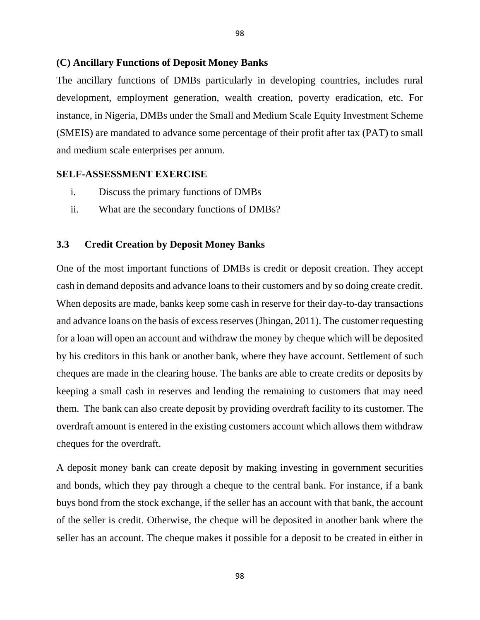#### **(C) Ancillary Functions of Deposit Money Banks**

The ancillary functions of DMBs particularly in developing countries, includes rural development, employment generation, wealth creation, poverty eradication, etc. For instance, in Nigeria, DMBs under the Small and Medium Scale Equity Investment Scheme (SMEIS) are mandated to advance some percentage of their profit after tax (PAT) to small and medium scale enterprises per annum.

#### **SELF-ASSESSMENT EXERCISE**

- i. Discuss the primary functions of DMBs
- ii. What are the secondary functions of DMBs?

#### **3.3 Credit Creation by Deposit Money Banks**

One of the most important functions of DMBs is credit or deposit creation. They accept cash in demand deposits and advance loans to their customers and by so doing create credit. When deposits are made, banks keep some cash in reserve for their day-to-day transactions and advance loans on the basis of excess reserves (Jhingan, 2011). The customer requesting for a loan will open an account and withdraw the money by cheque which will be deposited by his creditors in this bank or another bank, where they have account. Settlement of such cheques are made in the clearing house. The banks are able to create credits or deposits by keeping a small cash in reserves and lending the remaining to customers that may need them. The bank can also create deposit by providing overdraft facility to its customer. The overdraft amount is entered in the existing customers account which allows them withdraw cheques for the overdraft.

A deposit money bank can create deposit by making investing in government securities and bonds, which they pay through a cheque to the central bank. For instance, if a bank buys bond from the stock exchange, if the seller has an account with that bank, the account of the seller is credit. Otherwise, the cheque will be deposited in another bank where the seller has an account. The cheque makes it possible for a deposit to be created in either in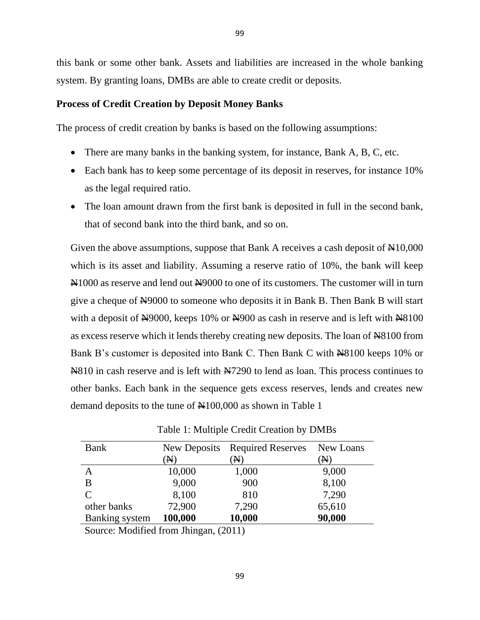this bank or some other bank. Assets and liabilities are increased in the whole banking system. By granting loans, DMBs are able to create credit or deposits.

## **Process of Credit Creation by Deposit Money Banks**

The process of credit creation by banks is based on the following assumptions:

- There are many banks in the banking system, for instance, Bank A, B, C, etc.
- Each bank has to keep some percentage of its deposit in reserves, for instance 10% as the legal required ratio.
- The loan amount drawn from the first bank is deposited in full in the second bank, that of second bank into the third bank, and so on.

Given the above assumptions, suppose that Bank A receives a cash deposit of  $\mathbb{A}10,000$ which is its asset and liability. Assuming a reserve ratio of 10%, the bank will keep  $\text{N}1000$  as reserve and lend out  $\text{N}9000$  to one of its customers. The customer will in turn give a cheque of Negolo to someone who deposits it in Bank B. Then Bank B will start with a deposit of  $\frac{N}{9000}$ , keeps 10% or  $\frac{N}{900}$  as cash in reserve and is left with  $\frac{N}{8100}$ as excess reserve which it lends thereby creating new deposits. The loan of  $\text{N}8100$  from Bank B's customer is deposited into Bank C. Then Bank C with  $\frac{100}{100}$  keeps 10% or Next Asserve and is left with Next North as loan. This process continues to other banks. Each bank in the sequence gets excess reserves, lends and creates new demand deposits to the tune of  $\mathbb{N}100,000$  as shown in Table 1

| Bank                                  | New Deposits | <b>Required Reserves</b> | New Loans      |
|---------------------------------------|--------------|--------------------------|----------------|
|                                       | N)           | N)                       | $(\mathbb{N})$ |
| A                                     | 10,000       | 1,000                    | 9,000          |
| B                                     | 9,000        | 900                      | 8,100          |
| $\mathcal{C}$                         | 8,100        | 810                      | 7,290          |
| other banks                           | 72,900       | 7,290                    | 65,610         |
| <b>Banking</b> system                 | 100,000      | 10,000                   | 90,000         |
| ------<br>$\sim$ $\sim$ $\sim$ $\sim$ |              |                          |                |

Table 1: Multiple Credit Creation by DMBs

Source: Modified from Jhingan, (2011)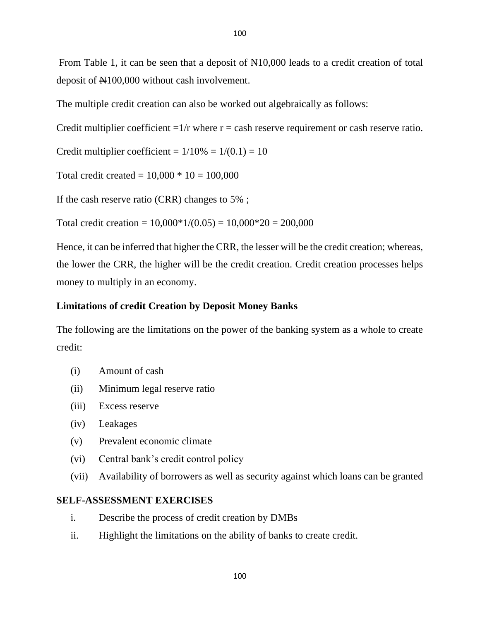From Table 1, it can be seen that a deposit of  $\mathbb{N}10,000$  leads to a credit creation of total deposit of  $\text{H}100,000$  without cash involvement.

The multiple credit creation can also be worked out algebraically as follows:

Credit multiplier coefficient  $=1/r$  where  $r =$  cash reserve requirement or cash reserve ratio.

Credit multiplier coefficient =  $1/10\% = 1/(0.1) = 10$ 

Total credit created =  $10,000 * 10 = 100,000$ 

If the cash reserve ratio (CRR) changes to 5% ;

Total credit creation =  $10,000*1/(0.05) = 10,000*20 = 200,000$ 

Hence, it can be inferred that higher the CRR, the lesser will be the credit creation; whereas, the lower the CRR, the higher will be the credit creation. Credit creation processes helps money to multiply in an economy.

# **Limitations of credit Creation by Deposit Money Banks**

The following are the limitations on the power of the banking system as a whole to create credit:

- (i) Amount of cash
- (ii) Minimum legal reserve ratio
- (iii) Excess reserve
- (iv) Leakages
- (v) Prevalent economic climate
- (vi) Central bank's credit control policy
- (vii) Availability of borrowers as well as security against which loans can be granted

# **SELF-ASSESSMENT EXERCISES**

- i. Describe the process of credit creation by DMBs
- ii. Highlight the limitations on the ability of banks to create credit.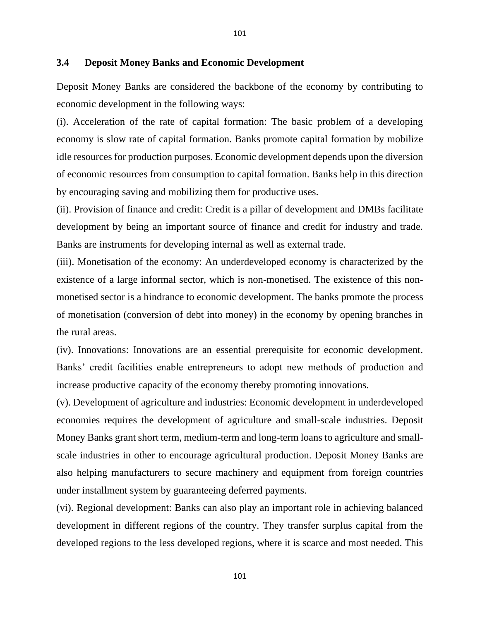#### **3.4 Deposit Money Banks and Economic Development**

Deposit Money Banks are considered the backbone of the economy by contributing to economic development in the following ways:

(i). Acceleration of the rate of capital formation: The basic problem of a developing economy is slow rate of capital formation. Banks promote capital formation by mobilize idle resources for production purposes. Economic development depends upon the diversion of economic resources from consumption to capital formation. Banks help in this direction by encouraging saving and mobilizing them for productive uses.

(ii). Provision of finance and credit: Credit is a pillar of development and DMBs facilitate development by being an important source of finance and credit for industry and trade. Banks are instruments for developing internal as well as external trade.

(iii). Monetisation of the economy: An underdeveloped economy is characterized by the existence of a large informal sector, which is non-monetised. The existence of this nonmonetised sector is a hindrance to economic development. The banks promote the process of monetisation (conversion of debt into money) in the economy by opening branches in the rural areas.

(iv). Innovations: Innovations are an essential prerequisite for economic development. Banks' credit facilities enable entrepreneurs to adopt new methods of production and increase productive capacity of the economy thereby promoting innovations.

(v). Development of agriculture and industries: Economic development in underdeveloped economies requires the development of agriculture and small-scale industries. Deposit Money Banks grant short term, medium-term and long-term loans to agriculture and smallscale industries in other to encourage agricultural production. Deposit Money Banks are also helping manufacturers to secure machinery and equipment from foreign countries under installment system by guaranteeing deferred payments.

(vi). Regional development: Banks can also play an important role in achieving balanced development in different regions of the country. They transfer surplus capital from the developed regions to the less developed regions, where it is scarce and most needed. This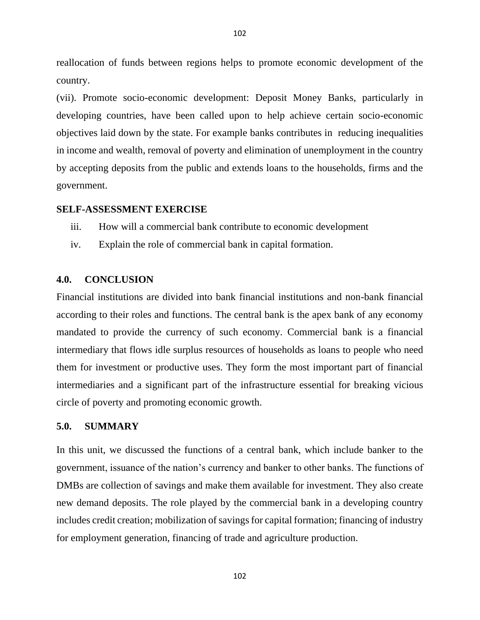reallocation of funds between regions helps to promote economic development of the country.

(vii). Promote socio-economic development: Deposit Money Banks, particularly in developing countries, have been called upon to help achieve certain socio-economic objectives laid down by the state. For example banks contributes in reducing inequalities in income and wealth, removal of poverty and elimination of unemployment in the country by accepting deposits from the public and extends loans to the households, firms and the government.

#### **SELF-ASSESSMENT EXERCISE**

- iii. How will a commercial bank contribute to economic development
- iv. Explain the role of commercial bank in capital formation.

## **4.0. CONCLUSION**

Financial institutions are divided into bank financial institutions and non-bank financial according to their roles and functions. The central bank is the apex bank of any economy mandated to provide the currency of such economy. Commercial bank is a financial intermediary that flows idle surplus resources of households as loans to people who need them for investment or productive uses. They form the most important part of financial intermediaries and a significant part of the infrastructure essential for breaking vicious circle of poverty and promoting economic growth.

#### **5.0. SUMMARY**

In this unit, we discussed the functions of a central bank, which include banker to the government, issuance of the nation's currency and banker to other banks. The functions of DMBs are collection of savings and make them available for investment. They also create new demand deposits. The role played by the commercial bank in a developing country includes credit creation; mobilization of savings for capital formation; financing of industry for employment generation, financing of trade and agriculture production.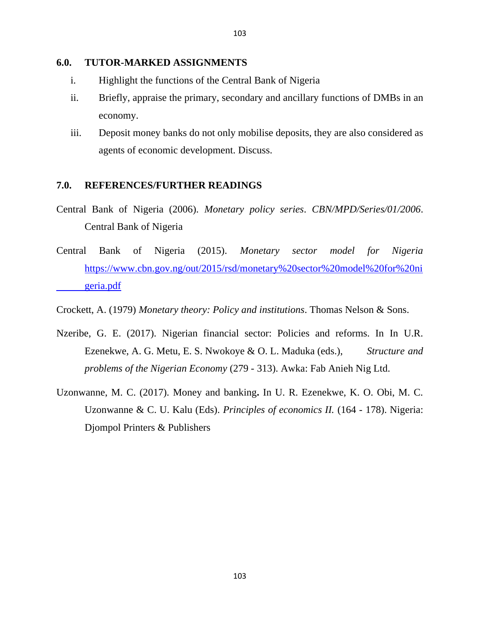#### **6.0. TUTOR-MARKED ASSIGNMENTS**

- i. Highlight the functions of the Central Bank of Nigeria
- ii. Briefly, appraise the primary, secondary and ancillary functions of DMBs in an economy.
- iii. Deposit money banks do not only mobilise deposits, they are also considered as agents of economic development. Discuss.

## **7.0. REFERENCES/FURTHER READINGS**

- Central Bank of Nigeria (2006). *Monetary policy series*. *CBN/MPD/Series/01/2006*. Central Bank of Nigeria
- Central Bank of Nigeria (2015). *Monetary sector model for Nigeria* [https://www.cbn.gov.ng/out/2015/rsd/monetary%20sector%20model%20for%20ni](https://www.cbn.gov.ng/out/2015/rsd/monetary%20sector%20model%20for%20ni%09geria.pdf) [geria.pdf](https://www.cbn.gov.ng/out/2015/rsd/monetary%20sector%20model%20for%20ni%09geria.pdf)

Crockett, A. (1979) *Monetary theory: Policy and institutions*. Thomas Nelson & Sons.

- Nzeribe, G. E. (2017). Nigerian financial sector: Policies and reforms. In In U.R. Ezenekwe, A. G. Metu, E. S. Nwokoye & O. L. Maduka (eds.), *Structure and problems of the Nigerian Economy* (279 - 313). Awka: Fab Anieh Nig Ltd.
- Uzonwanne, M. C. (2017). Money and banking**.** In U. R. Ezenekwe, K. O. Obi, M. C. Uzonwanne & C. U. Kalu (Eds). *Principles of economics II.* (164 - 178). Nigeria: Djompol Printers & Publishers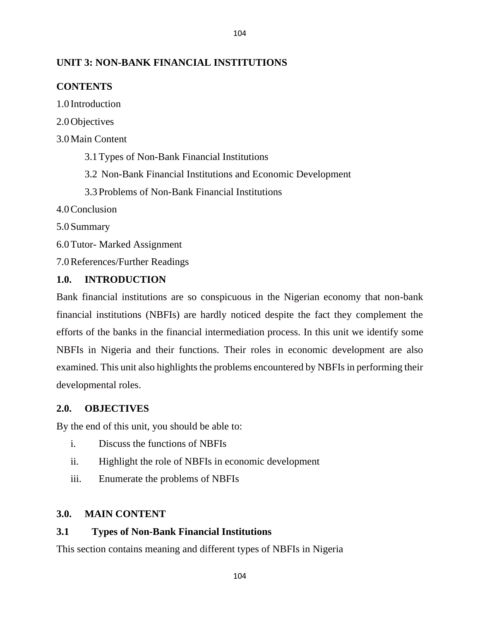# **UNIT 3: NON-BANK FINANCIAL INSTITUTIONS**

# **CONTENTS**

1.0 Introduction

2.0Objectives

3.0Main Content

3.1Types of Non-Bank Financial Institutions

3.2 Non-Bank Financial Institutions and Economic Development

104

3.3Problems of Non-Bank Financial Institutions

4.0Conclusion

5.0Summary

6.0Tutor- Marked Assignment

7.0References/Further Readings

## **1.0. INTRODUCTION**

Bank financial institutions are so conspicuous in the Nigerian economy that non-bank financial institutions (NBFIs) are hardly noticed despite the fact they complement the efforts of the banks in the financial intermediation process. In this unit we identify some NBFIs in Nigeria and their functions. Their roles in economic development are also examined. This unit also highlights the problems encountered by NBFIs in performing their developmental roles.

## **2.0. OBJECTIVES**

By the end of this unit, you should be able to:

- i. Discuss the functions of NBFIs
- ii. Highlight the role of NBFIs in economic development
- iii. Enumerate the problems of NBFIs

# **3.0. MAIN CONTENT**

# **3.1 Types of Non-Bank Financial Institutions**

This section contains meaning and different types of NBFIs in Nigeria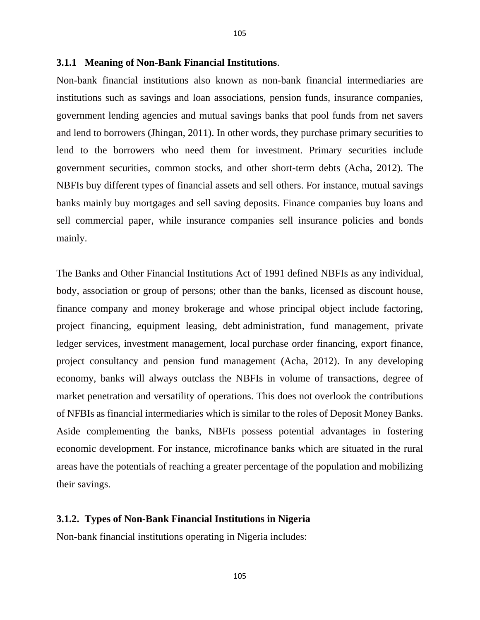Non-bank financial institutions also known as non-bank financial intermediaries are institutions such as savings and loan associations, pension funds, insurance companies, government lending agencies and mutual savings banks that pool funds from net savers and lend to borrowers (Jhingan, 2011). In other words, they purchase primary securities to lend to the borrowers who need them for investment. Primary securities include government securities, common stocks, and other short-term debts (Acha, 2012). The NBFIs buy different types of financial assets and sell others. For instance, mutual savings banks mainly buy mortgages and sell saving deposits. Finance companies buy loans and sell commercial paper, while insurance companies sell insurance policies and bonds mainly.

105

The Banks and Other Financial Institutions Act of 1991 defined NBFIs as any individual, body, association or group of persons; other than the banks, licensed as discount house, finance company and money brokerage and whose principal object include factoring, project financing, equipment leasing, debt administration, fund management, private ledger services, investment management, local purchase order financing, export finance, project consultancy and pension fund management (Acha, 2012). In any developing economy, banks will always outclass the NBFIs in volume of transactions, degree of market penetration and versatility of operations. This does not overlook the contributions of NFBIs as financial intermediaries which is similar to the roles of Deposit Money Banks. Aside complementing the banks, NBFIs possess potential advantages in fostering economic development. For instance, microfinance banks which are situated in the rural areas have the potentials of reaching a greater percentage of the population and mobilizing their savings.

#### **3.1.2. Types of Non-Bank Financial Institutions in Nigeria**

Non-bank financial institutions operating in Nigeria includes: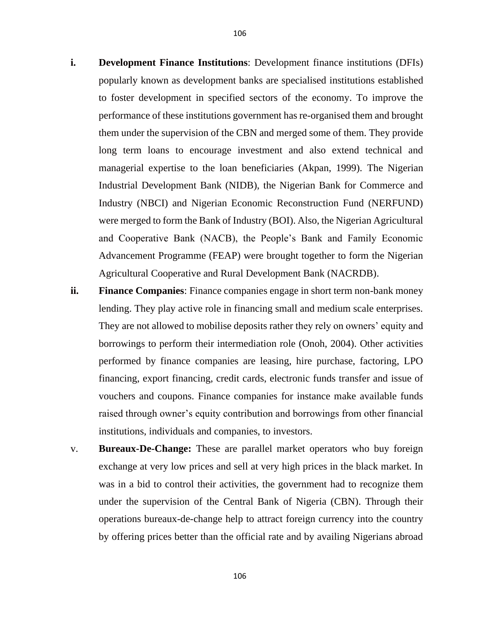- **i. Development Finance Institutions**: Development finance institutions (DFIs) popularly known as development banks are specialised institutions established to foster development in specified sectors of the economy. To improve the performance of these institutions government has re-organised them and brought them under the supervision of the CBN and merged some of them. They provide long term loans to encourage investment and also extend technical and managerial expertise to the loan beneficiaries (Akpan, 1999). The Nigerian Industrial Development Bank (NIDB), the Nigerian Bank for Commerce and Industry (NBCI) and Nigerian Economic Reconstruction Fund (NERFUND) were merged to form the Bank of Industry (BOI). Also, the Nigerian Agricultural and Cooperative Bank (NACB), the People's Bank and Family Economic Advancement Programme (FEAP) were brought together to form the Nigerian Agricultural Cooperative and Rural Development Bank (NACRDB).
- **ii. Finance Companies**: Finance companies engage in short term non-bank money lending. They play active role in financing small and medium scale enterprises. They are not allowed to mobilise deposits rather they rely on owners' equity and borrowings to perform their intermediation role (Onoh, 2004). Other activities performed by finance companies are leasing, hire purchase, factoring, LPO financing, export financing, credit cards, electronic funds transfer and issue of vouchers and coupons. Finance companies for instance make available funds raised through owner's equity contribution and borrowings from other financial institutions, individuals and companies, to investors.
- v. **Bureaux-De-Change:** These are parallel market operators who buy foreign exchange at very low prices and sell at very high prices in the black market. In was in a bid to control their activities, the government had to recognize them under the supervision of the Central Bank of Nigeria (CBN). Through their operations bureaux-de-change help to attract foreign currency into the country by offering prices better than the official rate and by availing Nigerians abroad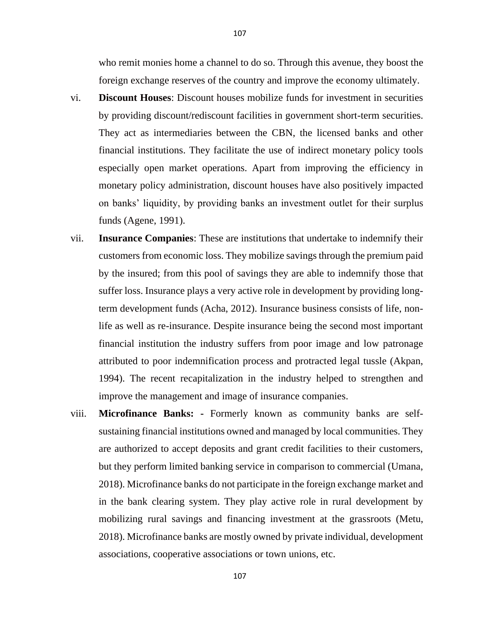who remit monies home a channel to do so. Through this avenue, they boost the foreign exchange reserves of the country and improve the economy ultimately.

- vi. **Discount Houses**: Discount houses mobilize funds for investment in securities by providing discount/rediscount facilities in government short-term securities. They act as intermediaries between the CBN, the licensed banks and other financial institutions. They facilitate the use of indirect monetary policy tools especially open market operations. Apart from improving the efficiency in monetary policy administration, discount houses have also positively impacted on banks' liquidity, by providing banks an investment outlet for their surplus funds (Agene, 1991).
- vii. **Insurance Companies**: These are institutions that undertake to indemnify their customers from economic loss. They mobilize savings through the premium paid by the insured; from this pool of savings they are able to indemnify those that suffer loss. Insurance plays a very active role in development by providing longterm development funds (Acha, 2012). Insurance business consists of life, nonlife as well as re-insurance. Despite insurance being the second most important financial institution the industry suffers from poor image and low patronage attributed to poor indemnification process and protracted legal tussle (Akpan, 1994). The recent recapitalization in the industry helped to strengthen and improve the management and image of insurance companies.
- viii. **Microfinance Banks: -** Formerly known as community banks are selfsustaining financial institutions owned and managed by local communities. They are authorized to accept deposits and grant credit facilities to their customers, but they perform limited banking service in comparison to commercial (Umana, 2018). Microfinance banks do not participate in the foreign exchange market and in the bank clearing system. They play active role in rural development by mobilizing rural savings and financing investment at the grassroots (Metu, 2018). Microfinance banks are mostly owned by private individual, development associations, cooperative associations or town unions, etc.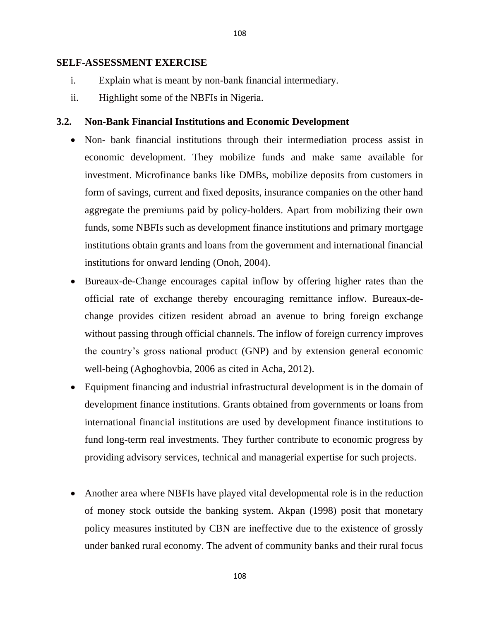#### **SELF-ASSESSMENT EXERCISE**

- i. Explain what is meant by non-bank financial intermediary.
- ii. Highlight some of the NBFIs in Nigeria.

## **3.2. Non-Bank Financial Institutions and Economic Development**

- Non- bank financial institutions through their intermediation process assist in economic development. They mobilize funds and make same available for investment. Microfinance banks like DMBs, mobilize deposits from customers in form of savings, current and fixed deposits, insurance companies on the other hand aggregate the premiums paid by policy-holders. Apart from mobilizing their own funds, some NBFIs such as development finance institutions and primary mortgage institutions obtain grants and loans from the government and international financial institutions for onward lending (Onoh, 2004).
- Bureaux-de-Change encourages capital inflow by offering higher rates than the official rate of exchange thereby encouraging remittance inflow. Bureaux-dechange provides citizen resident abroad an avenue to bring foreign exchange without passing through official channels. The inflow of foreign currency improves the country's gross national product (GNP) and by extension general economic well-being (Aghoghovbia, 2006 as cited in Acha, 2012).
- Equipment financing and industrial infrastructural development is in the domain of development finance institutions. Grants obtained from governments or loans from international financial institutions are used by development finance institutions to fund long-term real investments. They further contribute to economic progress by providing advisory services, technical and managerial expertise for such projects.
- Another area where NBFIs have played vital developmental role is in the reduction of money stock outside the banking system. Akpan (1998) posit that monetary policy measures instituted by CBN are ineffective due to the existence of grossly under banked rural economy. The advent of community banks and their rural focus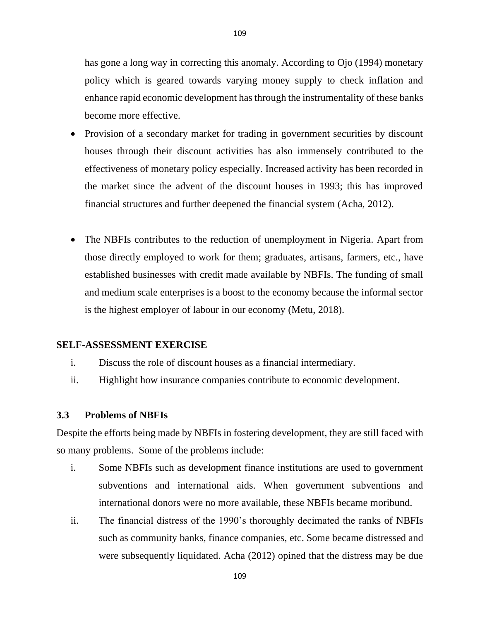has gone a long way in correcting this anomaly. According to Ojo (1994) monetary policy which is geared towards varying money supply to check inflation and enhance rapid economic development has through the instrumentality of these banks become more effective.

- Provision of a secondary market for trading in government securities by discount houses through their discount activities has also immensely contributed to the effectiveness of monetary policy especially. Increased activity has been recorded in the market since the advent of the discount houses in 1993; this has improved financial structures and further deepened the financial system (Acha, 2012).
- The NBFIs contributes to the reduction of unemployment in Nigeria. Apart from those directly employed to work for them; graduates, artisans, farmers, etc., have established businesses with credit made available by NBFIs. The funding of small and medium scale enterprises is a boost to the economy because the informal sector is the highest employer of labour in our economy (Metu, 2018).

## **SELF-ASSESSMENT EXERCISE**

- i. Discuss the role of discount houses as a financial intermediary.
- ii. Highlight how insurance companies contribute to economic development.

## **3.3 Problems of NBFIs**

Despite the efforts being made by NBFIs in fostering development, they are still faced with so many problems. Some of the problems include:

- i. Some NBFIs such as development finance institutions are used to government subventions and international aids. When government subventions and international donors were no more available, these NBFIs became moribund.
- ii. The financial distress of the 1990's thoroughly decimated the ranks of NBFIs such as community banks, finance companies, etc. Some became distressed and were subsequently liquidated. Acha (2012) opined that the distress may be due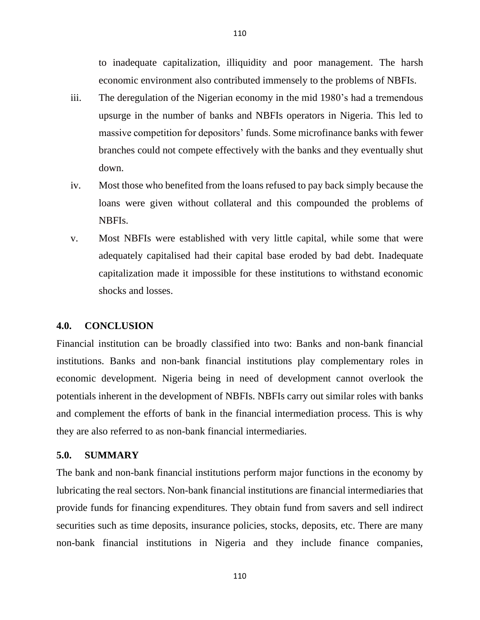to inadequate capitalization, illiquidity and poor management. The harsh economic environment also contributed immensely to the problems of NBFIs.

iii. The deregulation of the Nigerian economy in the mid 1980's had a tremendous upsurge in the number of banks and NBFIs operators in Nigeria. This led to massive competition for depositors' funds. Some microfinance banks with fewer branches could not compete effectively with the banks and they eventually shut down.

110

- iv. Most those who benefited from the loans refused to pay back simply because the loans were given without collateral and this compounded the problems of NBFIs.
- v. Most NBFIs were established with very little capital, while some that were adequately capitalised had their capital base eroded by bad debt. Inadequate capitalization made it impossible for these institutions to withstand economic shocks and losses.

#### **4.0. CONCLUSION**

Financial institution can be broadly classified into two: Banks and non-bank financial institutions. Banks and non-bank financial institutions play complementary roles in economic development. Nigeria being in need of development cannot overlook the potentials inherent in the development of NBFIs. NBFIs carry out similar roles with banks and complement the efforts of bank in the financial intermediation process. This is why they are also referred to as non-bank financial intermediaries.

## **5.0. SUMMARY**

The bank and non-bank financial institutions perform major functions in the economy by lubricating the real sectors. Non-bank financial institutions are financial intermediaries that provide funds for financing expenditures. They obtain fund from savers and sell indirect securities such as time deposits, insurance policies, stocks, deposits, etc. There are many non-bank financial institutions in Nigeria and they include finance companies,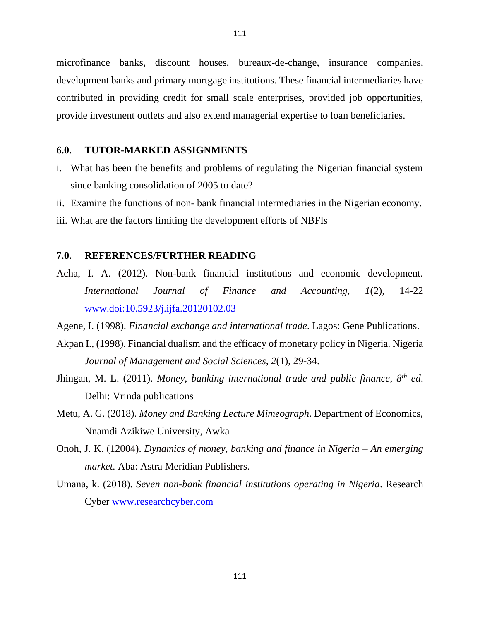microfinance banks, discount houses, bureaux-de-change, insurance companies, development banks and primary mortgage institutions. These financial intermediaries have contributed in providing credit for small scale enterprises, provided job opportunities, provide investment outlets and also extend managerial expertise to loan beneficiaries.

## **6.0. TUTOR-MARKED ASSIGNMENTS**

- i. What has been the benefits and problems of regulating the Nigerian financial system since banking consolidation of 2005 to date?
- ii. Examine the functions of non- bank financial intermediaries in the Nigerian economy.
- iii. What are the factors limiting the development efforts of NBFIs

# **7.0. REFERENCES/FURTHER READING**

Acha, I. A. (2012). Non-bank financial institutions and economic development. *International Journal of Finance and Accounting, 1*(2), 14-22 [www.doi:10.5923/j.ijfa.20120102.03](http://www.doi:10.5923/j.ijfa.20120102.03)

Agene, I. (1998). *Financial exchange and international trade*. Lagos: Gene Publications.

- Akpan I., (1998). Financial dualism and the efficacy of monetary policy in Nigeria. Nigeria *Journal of Management and Social Sciences, 2*(1), 29-34.
- Jhingan, M. L. (2011). *Money, banking international trade and public finance, 8th ed*. Delhi: Vrinda publications
- Metu, A. G. (2018). *Money and Banking Lecture Mimeograph*. Department of Economics, Nnamdi Azikiwe University, Awka
- Onoh, J. K. (12004). *Dynamics of money, banking and finance in Nigeria – An emerging market.* Aba: Astra Meridian Publishers.
- Umana, k. (2018). *Seven non-bank financial institutions operating in Nigeria*. Research Cyber [www.researchcyber.com](http://www.researchcyber.com/)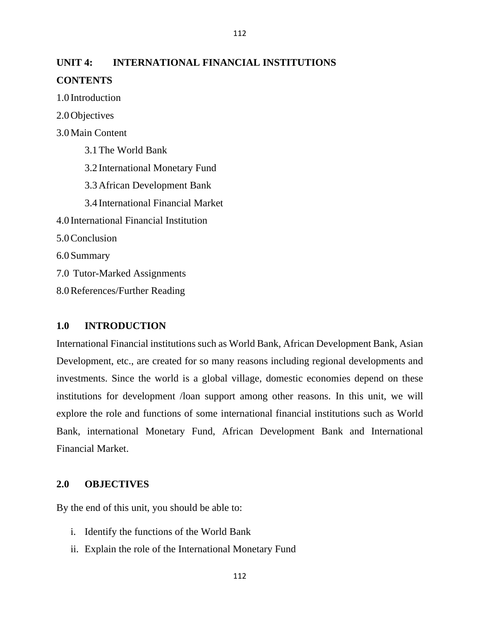# **UNIT 4: INTERNATIONAL FINANCIAL INSTITUTIONS CONTENTS**

112

1.0 Introduction

2.0Objectives

3.0Main Content

3.1The World Bank 3.2 International Monetary Fund 3.3African Development Bank 3.4 International Financial Market 4.0 International Financial Institution 5.0Conclusion 6.0Summary 7.0 Tutor-Marked Assignments 8.0References/Further Reading

## **1.0 INTRODUCTION**

International Financial institutions such as World Bank, African Development Bank, Asian Development, etc., are created for so many reasons including regional developments and investments. Since the world is a global village, domestic economies depend on these institutions for development /loan support among other reasons. In this unit, we will explore the role and functions of some international financial institutions such as World Bank, international Monetary Fund, African Development Bank and International Financial Market.

# **2.0 OBJECTIVES**

By the end of this unit, you should be able to:

- i. Identify the functions of the World Bank
- ii. Explain the role of the International Monetary Fund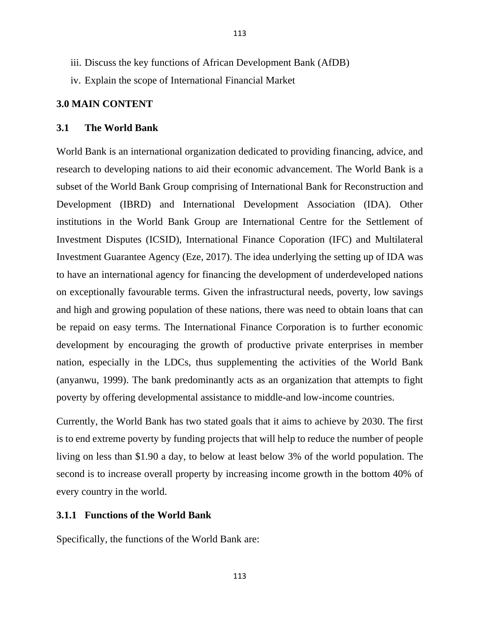- iii. Discuss the key functions of African Development Bank (AfDB)
- iv. Explain the scope of International Financial Market

## **3.0 MAIN CONTENT**

#### **3.1 The World Bank**

World Bank is an international organization dedicated to providing financing, advice, and research to developing nations to aid their economic advancement. The World Bank is a subset of the World Bank Group comprising of International Bank for Reconstruction and Development (IBRD) and International Development Association (IDA). Other institutions in the World Bank Group are International Centre for the Settlement of Investment Disputes (ICSID), International Finance Coporation (IFC) and Multilateral Investment Guarantee Agency (Eze, 2017). The idea underlying the setting up of IDA was to have an international agency for financing the development of underdeveloped nations on exceptionally favourable terms. Given the infrastructural needs, poverty, low savings and high and growing population of these nations, there was need to obtain loans that can be repaid on easy terms. The International Finance Corporation is to further economic development by encouraging the growth of productive private enterprises in member nation, especially in the LDCs, thus supplementing the activities of the World Bank (anyanwu, 1999). The bank predominantly acts as an organization that attempts to fight poverty by offering developmental assistance to middle-and low-income countries.

Currently, the World Bank has two stated goals that it aims to achieve by 2030. The first is to end extreme poverty by funding projects that will help to reduce the number of people living on less than \$1.90 a day, to below at least below 3% of the world population. The second is to increase overall property by increasing income growth in the bottom 40% of every country in the world.

## **3.1.1 Functions of the World Bank**

Specifically, the functions of the World Bank are: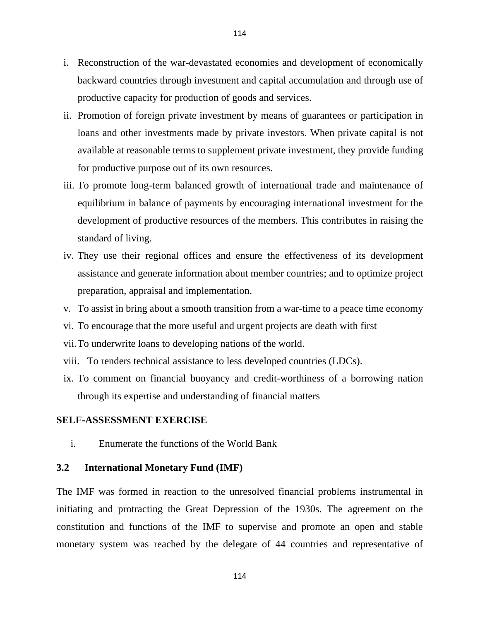- i. Reconstruction of the war-devastated economies and development of economically backward countries through investment and capital accumulation and through use of productive capacity for production of goods and services.
- ii. Promotion of foreign private investment by means of guarantees or participation in loans and other investments made by private investors. When private capital is not available at reasonable terms to supplement private investment, they provide funding for productive purpose out of its own resources.
- iii. To promote long-term balanced growth of international trade and maintenance of equilibrium in balance of payments by encouraging international investment for the development of productive resources of the members. This contributes in raising the standard of living.
- iv. They use their regional offices and ensure the effectiveness of its development assistance and generate information about member countries; and to optimize project preparation, appraisal and implementation.
- v. To assist in bring about a smooth transition from a war-time to a peace time economy
- vi. To encourage that the more useful and urgent projects are death with first
- vii.To underwrite loans to developing nations of the world.
- viii. To renders technical assistance to less developed countries (LDCs).
- ix. To comment on financial buoyancy and credit-worthiness of a borrowing nation through its expertise and understanding of financial matters

## **SELF-ASSESSMENT EXERCISE**

i. Enumerate the functions of the World Bank

## **3.2 International Monetary Fund (IMF)**

The IMF was formed in reaction to the unresolved financial problems instrumental in initiating and protracting the Great Depression of the 1930s. The agreement on the constitution and functions of the IMF to supervise and promote an open and stable monetary system was reached by the delegate of 44 countries and representative of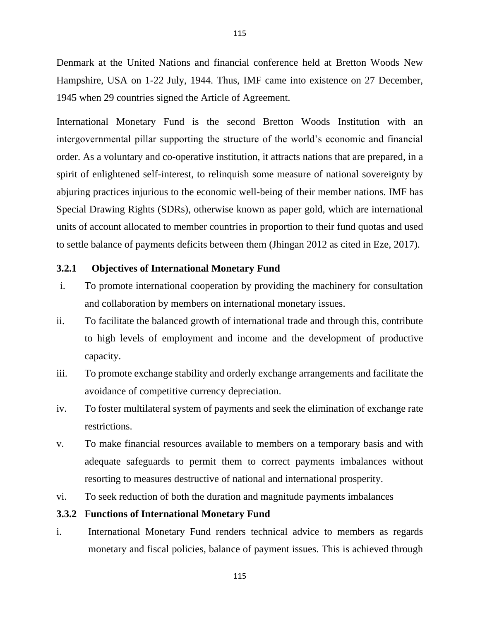Denmark at the United Nations and financial conference held at Bretton Woods New Hampshire, USA on 1-22 July, 1944. Thus, IMF came into existence on 27 December, 1945 when 29 countries signed the Article of Agreement.

International Monetary Fund is the second Bretton Woods Institution with an intergovernmental pillar supporting the structure of the world's economic and financial order. As a voluntary and co-operative institution, it attracts nations that are prepared, in a spirit of enlightened self-interest, to relinquish some measure of national sovereignty by abjuring practices injurious to the economic well-being of their member nations. IMF has Special Drawing Rights (SDRs), otherwise known as paper gold, which are international units of account allocated to member countries in proportion to their fund quotas and used to settle balance of payments deficits between them (Jhingan 2012 as cited in Eze, 2017).

## **3.2.1 Objectives of International Monetary Fund**

- i. To promote international cooperation by providing the machinery for consultation and collaboration by members on international monetary issues.
- ii. To facilitate the balanced growth of international trade and through this, contribute to high levels of employment and income and the development of productive capacity.
- iii. To promote exchange stability and orderly exchange arrangements and facilitate the avoidance of competitive currency depreciation.
- iv. To foster multilateral system of payments and seek the elimination of exchange rate restrictions.
- v. To make financial resources available to members on a temporary basis and with adequate safeguards to permit them to correct payments imbalances without resorting to measures destructive of national and international prosperity.
- vi. To seek reduction of both the duration and magnitude payments imbalances

## **3.3.2 Functions of International Monetary Fund**

i. International Monetary Fund renders technical advice to members as regards monetary and fiscal policies, balance of payment issues. This is achieved through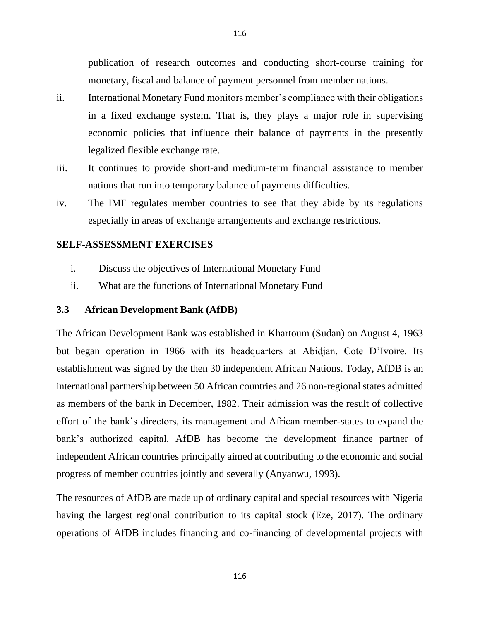publication of research outcomes and conducting short-course training for monetary, fiscal and balance of payment personnel from member nations.

- ii. International Monetary Fund monitors member's compliance with their obligations in a fixed exchange system. That is, they plays a major role in supervising economic policies that influence their balance of payments in the presently legalized flexible exchange rate.
- iii. It continues to provide short-and medium-term financial assistance to member nations that run into temporary balance of payments difficulties.
- iv. The IMF regulates member countries to see that they abide by its regulations especially in areas of exchange arrangements and exchange restrictions.

## **SELF-ASSESSMENT EXERCISES**

- i. Discuss the objectives of International Monetary Fund
- ii. What are the functions of International Monetary Fund

#### **3.3 African Development Bank (AfDB)**

The African Development Bank was established in Khartoum (Sudan) on August 4, 1963 but began operation in 1966 with its headquarters at Abidjan, Cote D'Ivoire. Its establishment was signed by the then 30 independent African Nations. Today, AfDB is an international partnership between 50 African countries and 26 non-regional states admitted as members of the bank in December, 1982. Their admission was the result of collective effort of the bank's directors, its management and African member-states to expand the bank's authorized capital. AfDB has become the development finance partner of independent African countries principally aimed at contributing to the economic and social progress of member countries jointly and severally (Anyanwu, 1993).

The resources of AfDB are made up of ordinary capital and special resources with Nigeria having the largest regional contribution to its capital stock (Eze, 2017). The ordinary operations of AfDB includes financing and co-financing of developmental projects with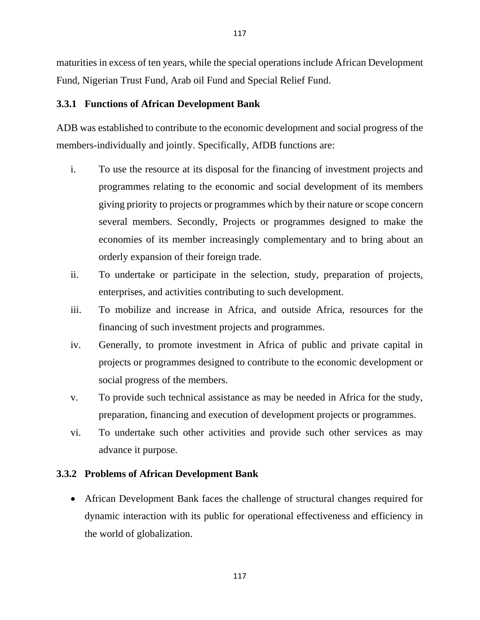maturities in excess of ten years, while the special operations include African Development Fund, Nigerian Trust Fund, Arab oil Fund and Special Relief Fund.

# **3.3.1 Functions of African Development Bank**

ADB was established to contribute to the economic development and social progress of the members-individually and jointly. Specifically, AfDB functions are:

- i. To use the resource at its disposal for the financing of investment projects and programmes relating to the economic and social development of its members giving priority to projects or programmes which by their nature or scope concern several members. Secondly, Projects or programmes designed to make the economies of its member increasingly complementary and to bring about an orderly expansion of their foreign trade.
- ii. To undertake or participate in the selection, study, preparation of projects, enterprises, and activities contributing to such development.
- iii. To mobilize and increase in Africa, and outside Africa, resources for the financing of such investment projects and programmes.
- iv. Generally, to promote investment in Africa of public and private capital in projects or programmes designed to contribute to the economic development or social progress of the members.
- v. To provide such technical assistance as may be needed in Africa for the study, preparation, financing and execution of development projects or programmes.
- vi. To undertake such other activities and provide such other services as may advance it purpose.

# **3.3.2 Problems of African Development Bank**

• African Development Bank faces the challenge of structural changes required for dynamic interaction with its public for operational effectiveness and efficiency in the world of globalization.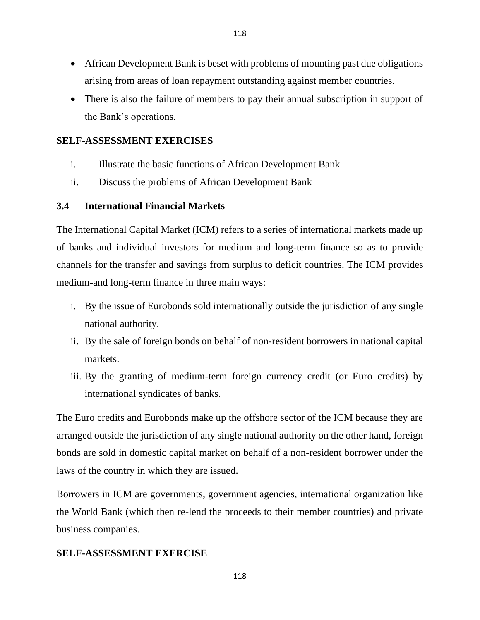- African Development Bank is beset with problems of mounting past due obligations arising from areas of loan repayment outstanding against member countries.
- There is also the failure of members to pay their annual subscription in support of the Bank's operations.

# **SELF-ASSESSMENT EXERCISES**

- i. Illustrate the basic functions of African Development Bank
- ii. Discuss the problems of African Development Bank

# **3.4 International Financial Markets**

The International Capital Market (ICM) refers to a series of international markets made up of banks and individual investors for medium and long-term finance so as to provide channels for the transfer and savings from surplus to deficit countries. The ICM provides medium-and long-term finance in three main ways:

- i. By the issue of Eurobonds sold internationally outside the jurisdiction of any single national authority.
- ii. By the sale of foreign bonds on behalf of non-resident borrowers in national capital markets.
- iii. By the granting of medium-term foreign currency credit (or Euro credits) by international syndicates of banks.

The Euro credits and Eurobonds make up the offshore sector of the ICM because they are arranged outside the jurisdiction of any single national authority on the other hand, foreign bonds are sold in domestic capital market on behalf of a non-resident borrower under the laws of the country in which they are issued.

Borrowers in ICM are governments, government agencies, international organization like the World Bank (which then re-lend the proceeds to their member countries) and private business companies.

# **SELF-ASSESSMENT EXERCISE**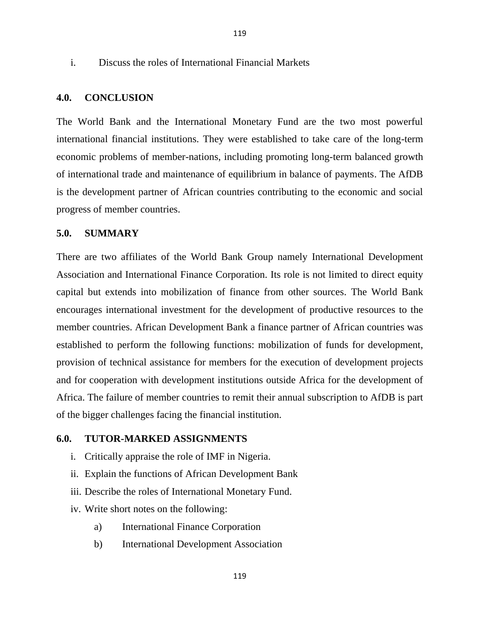#### i. Discuss the roles of International Financial Markets

#### **4.0. CONCLUSION**

The World Bank and the International Monetary Fund are the two most powerful international financial institutions. They were established to take care of the long-term economic problems of member-nations, including promoting long-term balanced growth of international trade and maintenance of equilibrium in balance of payments. The AfDB is the development partner of African countries contributing to the economic and social progress of member countries.

# **5.0. SUMMARY**

There are two affiliates of the World Bank Group namely International Development Association and International Finance Corporation. Its role is not limited to direct equity capital but extends into mobilization of finance from other sources. The World Bank encourages international investment for the development of productive resources to the member countries. African Development Bank a finance partner of African countries was established to perform the following functions: mobilization of funds for development, provision of technical assistance for members for the execution of development projects and for cooperation with development institutions outside Africa for the development of Africa. The failure of member countries to remit their annual subscription to AfDB is part of the bigger challenges facing the financial institution.

#### **6.0. TUTOR-MARKED ASSIGNMENTS**

- i. Critically appraise the role of IMF in Nigeria.
- ii. Explain the functions of African Development Bank
- iii. Describe the roles of International Monetary Fund.
- iv. Write short notes on the following:
	- a) International Finance Corporation
	- b) International Development Association